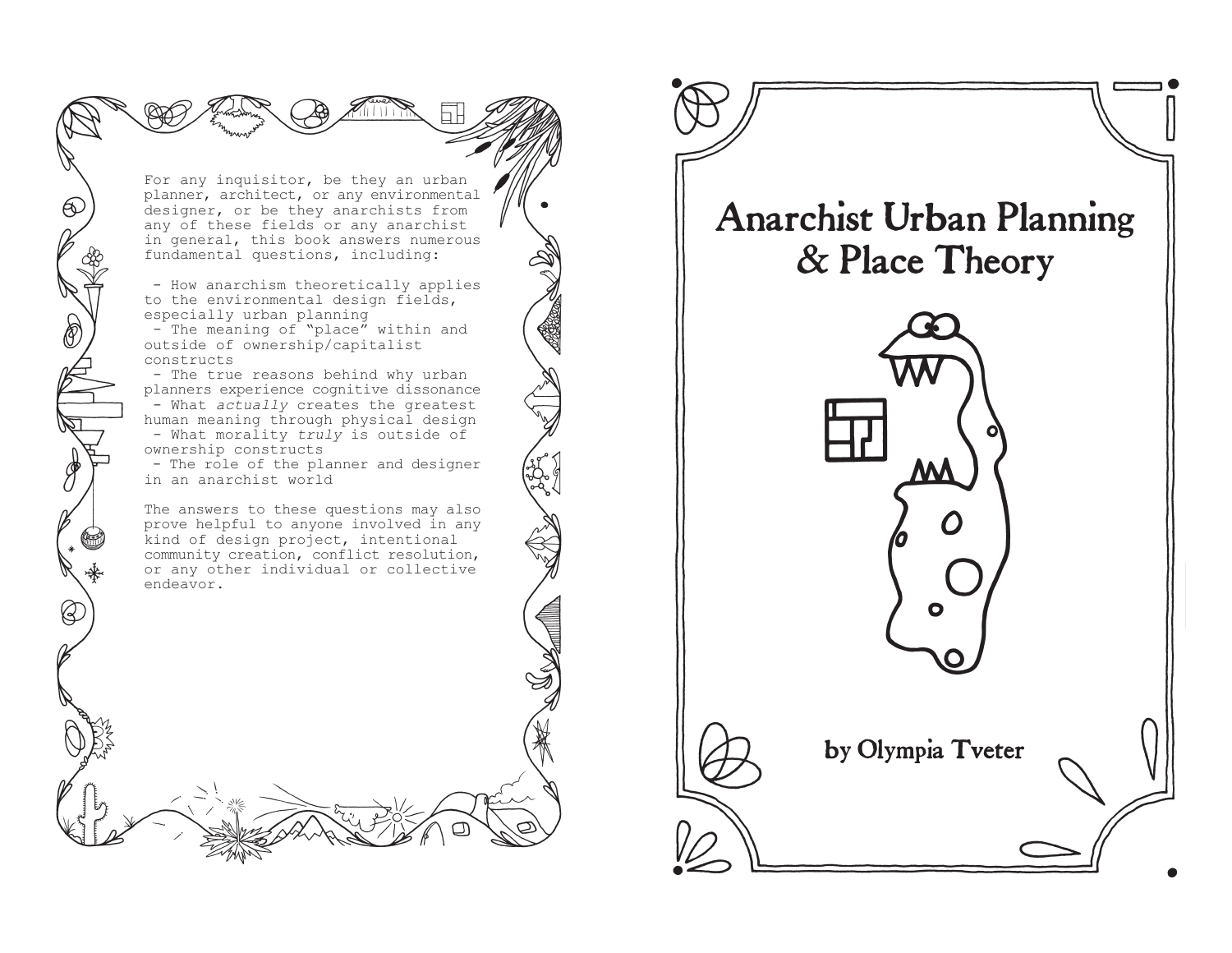For any inquisitor, be they an urban planner, architect, or any environmental designer, or be they anarchists from any of these fields or any anarchist in general, this book answers numerous fundamental questions, including:

 $\Theta$ 

١

 - How anarchism theoretically applies to the environmental design fields, especially urban planning

 $-$  The meaning of "place" within and outside of ownership/capitalist constructs

 - The true reasons behind why urban planners experience cognitive dissonance - What *actually* creates the greatest human meaning through physical design - What morality *truly* is outside of ownership constructs

 - The role of the planner and designer in an anarchist world

The answers to these questions may also prove helpful to anyone involved in any kind of design project, intentional community creation, conflict resolution, or any other individual or collective endeavor.

# Anarchist Urban Planning & Place Theory



by Olympia Tveter

O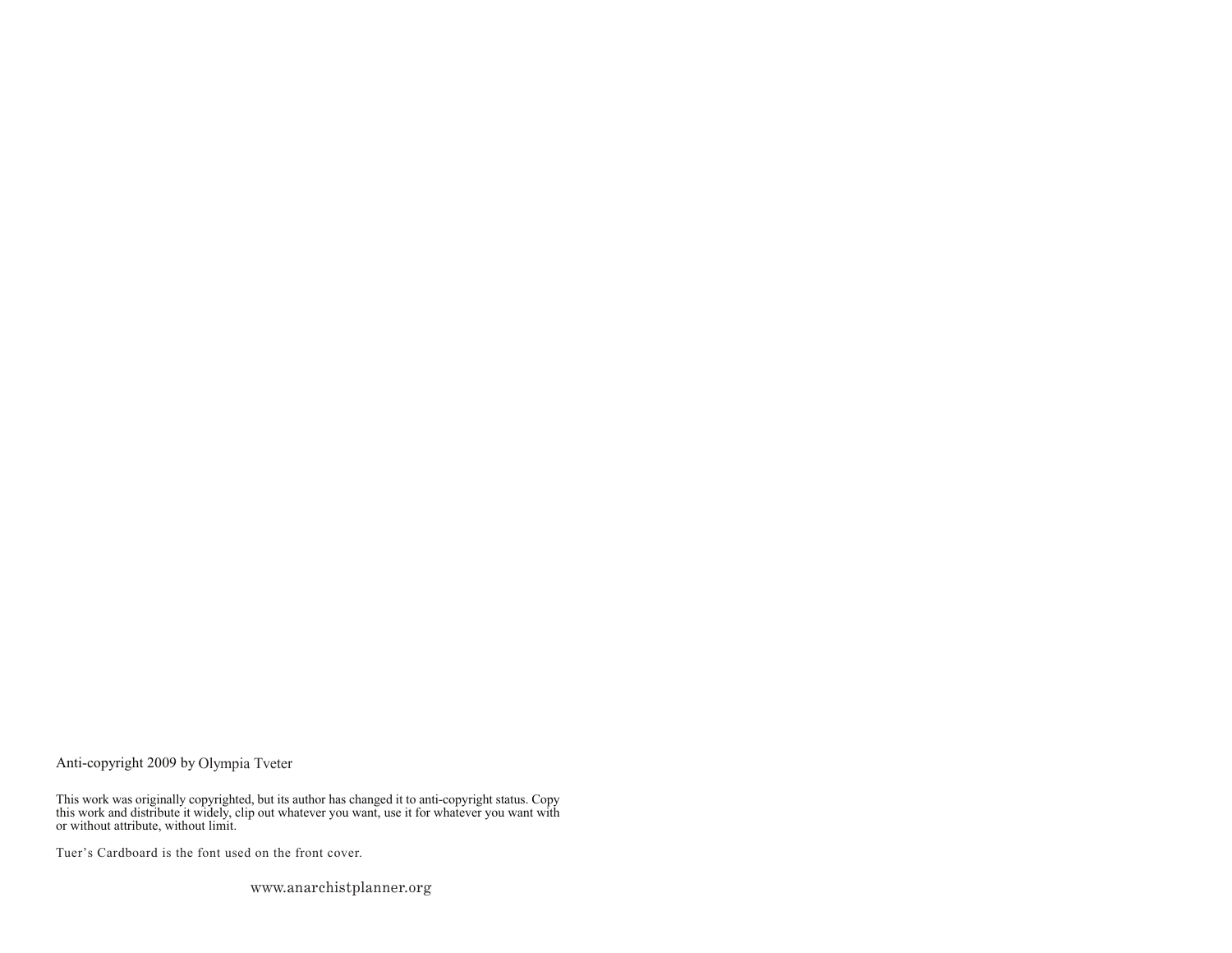Anti-copyright 2009 by

This work was originally copyrighted, but its author has changed it to anti-copyright status. Copy this work and distribute it widely, clip out whatever you want, use it for whatever you want with or without attribute, without limit.

Tuer's Cardboard is the font used on the front cover.

www.anarchistplanner.org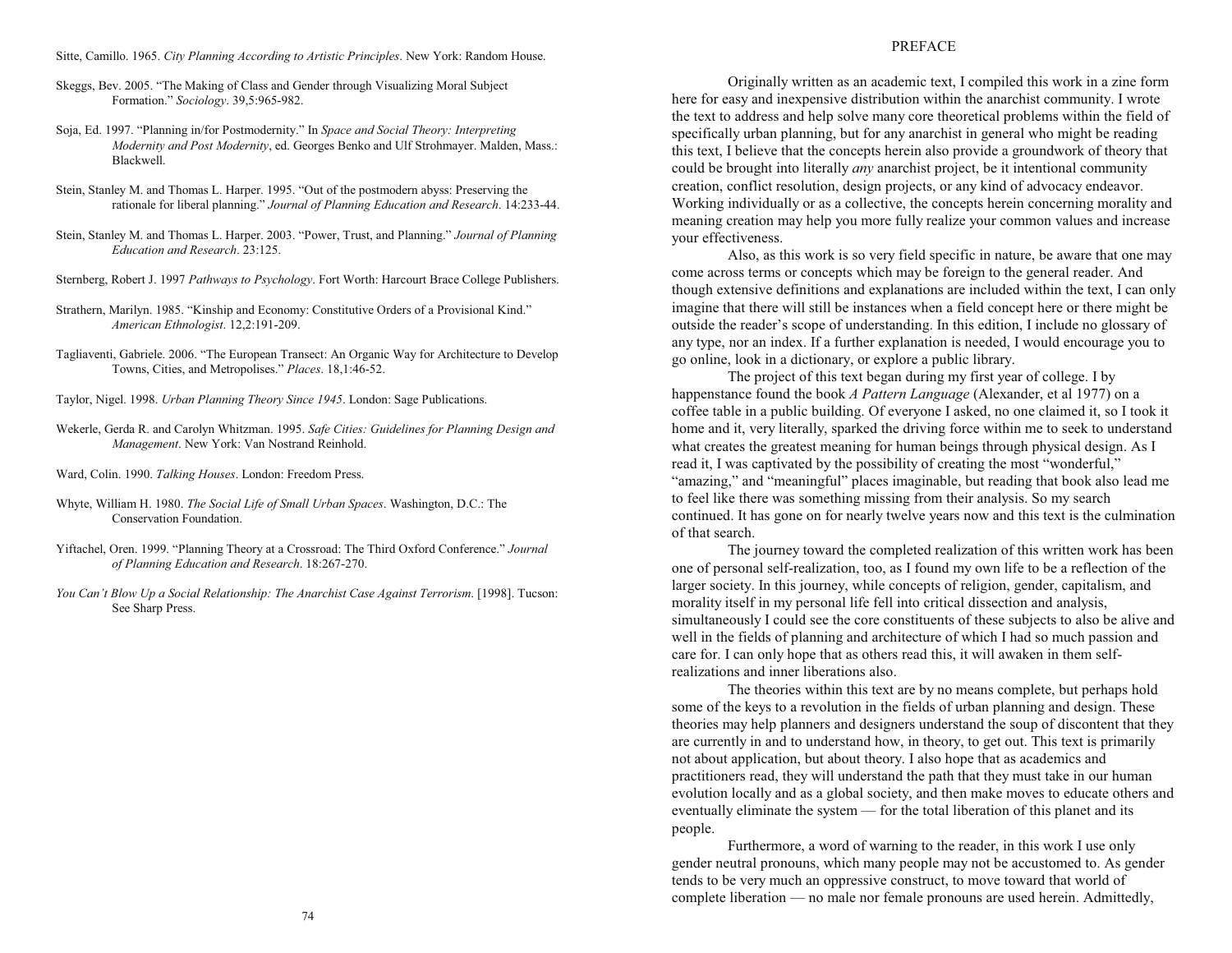Sitte, Camillo. 1965. *City Planning According to Artistic Principles*. New York: Random House.

- Skeggs, Bev. 2005. The Making of Class and Gender through Visualizing Moral Subject Formation. *Sociology*. 39,5:965-982.
- Soja, Ed. 1997. "Planning in/for Postmodernity." In *Space and Social Theory: Interpreting Modernity and Post Modernity*, ed. Georges Benko and Ulf Strohmayer. Malden, Mass.: Blackwell.
- Stein, Stanley M. and Thomas L. Harper. 1995. "Out of the postmodern abyss: Preserving the rationale for liberal planning. *Journal of Planning Education and Research*. 14:233-44.
- Stein, Stanley M. and Thomas L. Harper. 2003. "Power, Trust, and Planning." Journal of Planning *Education and Research*. 23:125.
- Sternberg, Robert J. 1997 *Pathways to Psychology*. Fort Worth: Harcourt Brace College Publishers.
- Strathern, Marilyn. 1985. "Kinship and Economy: Constitutive Orders of a Provisional Kind." *American Ethnologist*. 12,2:191-209.
- Tagliaventi, Gabriele. 2006. "The European Transect: An Organic Way for Architecture to Develop Towns, Cities, and Metropolises. *Places*. 18,1:46-52.
- Taylor, Nigel. 1998. *Urban Planning Theory Since 1945*. London: Sage Publications.
- Wekerle, Gerda R. and Carolyn Whitzman. 1995. *Safe Cities: Guidelines for Planning Design and Management*. New York: Van Nostrand Reinhold.
- Ward, Colin. 1990. *Talking Houses*. London: Freedom Press.
- Whyte, William H. 1980. *The Social Life of Small Urban Spaces*. Washington, D.C.: The Conservation Foundation.
- Yiftachel, Oren. 1999. "Planning Theory at a Crossroad: The Third Oxford Conference." Journal *of Planning Education and Research*. 18:267-270.
- *You Cant Blow Up a Social Relationship: The Anarchist Case Against Terrorism*. [1998]. Tucson: See Sharp Press.

## PREFACE

Originally written as an academic text, I compiled this work in a zine form here for easy and inexpensive distribution within the anarchist community. I wrote the text to address and help solve many core theoretical problems within the field of specifically urban planning, but for any anarchist in general who might be reading this text, I believe that the concepts herein also provide a groundwork of theory that could be brought into literally *any* anarchist project, be it intentional community creation, conflict resolution, design projects, or any kind of advocacy endeavor. Working individually or as a collective, the concepts herein concerning morality and meaning creation may help you more fully realize your common values and increase your effectiveness.

Also, as this work is so very field specific in nature, be aware that one may come across terms or concepts which may be foreign to the general reader. And though extensive definitions and explanations are included within the text, I can only imagine that there will still be instances when a field concept here or there might be outside the reader's scope of understanding. In this edition, I include no glossary of any type, nor an index. If a further explanation is needed, I would encourage you to go online, look in a dictionary, or explore a public library.

The project of this text began during my first year of college. I by happenstance found the book *A Pattern Language* (Alexander, et al 1977) on a coffee table in a public building. Of everyone I asked, no one claimed it, so I took it home and it, very literally, sparked the driving force within me to seek to understand what creates the greatest meaning for human beings through physical design. As I read it, I was captivated by the possibility of creating the most "wonderful," "amazing," and "meaningful" places imaginable, but reading that book also lead me to feel like there was something missing from their analysis. So my search continued. It has gone on for nearly twelve years now and this text is the culmination of that search.

The journey toward the completed realization of this written work has been one of personal self-realization, too, as I found my own life to be a reflection of the larger society. In this journey, while concepts of religion, gender, capitalism, and morality itself in my personal life fell into critical dissection and analysis, simultaneously I could see the core constituents of these subjects to also be alive and well in the fields of planning and architecture of which I had so much passion and care for. I can only hope that as others read this, it will awaken in them selfrealizations and inner liberations also.

The theories within this text are by no means complete, but perhaps hold some of the keys to a revolution in the fields of urban planning and design. These theories may help planners and designers understand the soup of discontent that they are currently in and to understand how, in theory, to get out. This text is primarily not about application, but about theory. I also hope that as academics and practitioners read, they will understand the path that they must take in our human evolution locally and as a global society, and then make moves to educate others and eventually eliminate the system — for the total liberation of this planet and its people.

Furthermore, a word of warning to the reader, in this work I use only gender neutral pronouns, which many people may not be accustomed to. As gender tends to be very much an oppressive construct, to move toward that world of complete liberation — no male nor female pronouns are used herein. Admittedly,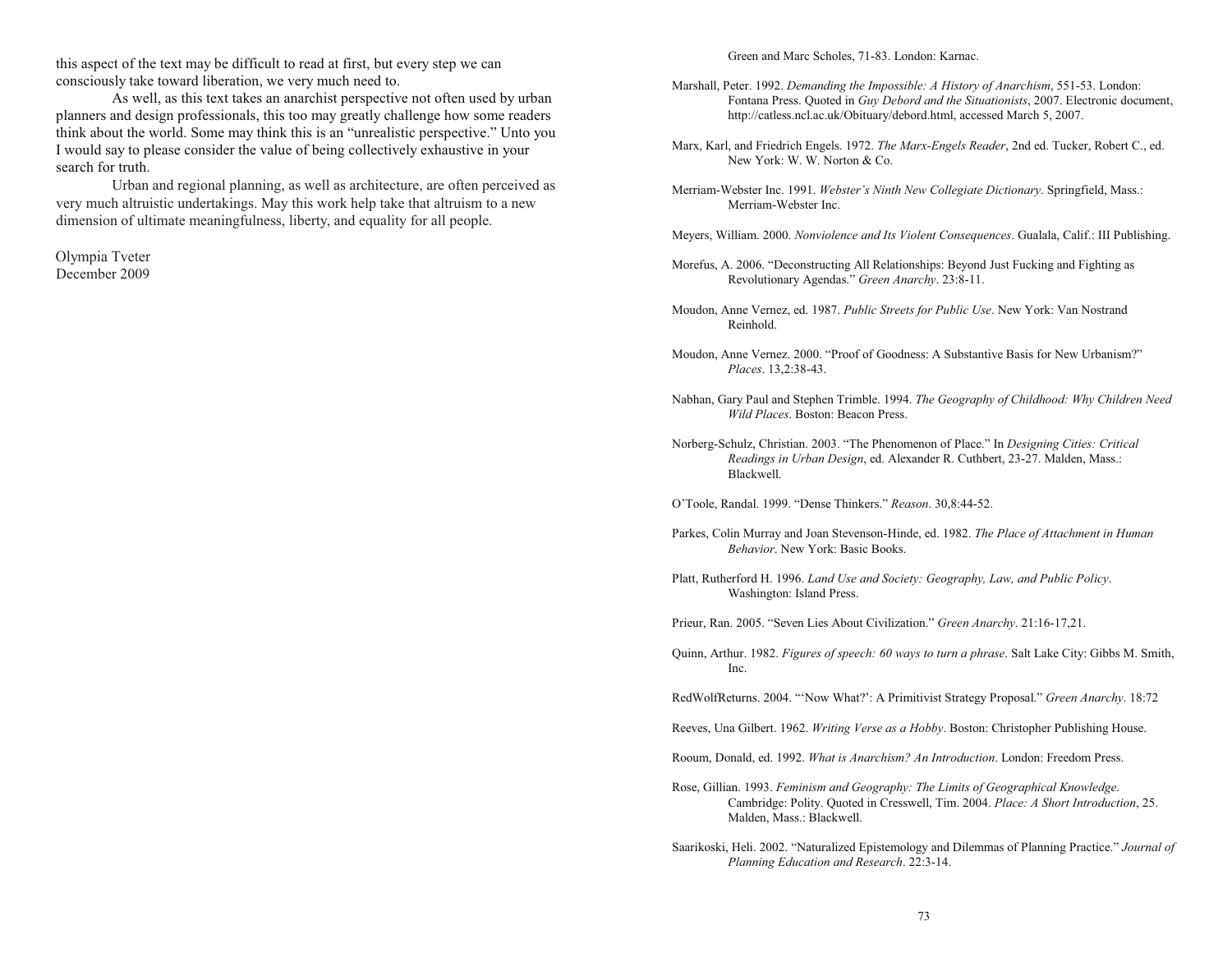this aspect of the text may be difficult to read at first, but every step we can consciously take toward liberation, we very much need to.

As well, as this text takes an anarchist perspective not often used by urban planners and design professionals, this too may greatly challenge how some readers think about the world. Some may think this is an "unrealistic perspective." Unto you I would say to please consider the value of being collectively exhaustive in your search for truth.

Urban and regional planning, as well as architecture, are often perceived as very much altruistic undertakings. May this work help take that altruism to a new dimension of ultimate meaningfulness, liberty, and equality for all people.

Olympia Tveter December 2009

Green and Marc Scholes, 71-83. London: Karnac.

- Marshall, Peter. 1992. *Demanding the Impossible: A History of Anarchism*, 551-53. London: Fontana Press. Quoted in *Guy Debord and the Situationists*, 2007. Electronic document, http://catless.ncl.ac.uk/Obituary/debord.html, accessed March 5, 2007.
- Marx, Karl, and Friedrich Engels. 1972. *The Marx-Engels Reader*, 2nd ed. Tucker, Robert C., ed. New York: W. W. Norton & Co.
- Merriam-Webster Inc. 1991. *Webster's Ninth New Collegiate Dictionary*. Springfield, Mass.: Merriam-Webster Inc.
- Meyers, William. 2000. *Nonviolence and Its Violent Consequences*. Gualala, Calif.: III Publishing.
- Morefus, A. 2006. "Deconstructing All Relationships: Beyond Just Fucking and Fighting as Revolutionary Agendas. *Green Anarchy*. 23:8-11.
- Moudon, Anne Vernez, ed. 1987. *Public Streets for Public Use*. New York: Van Nostrand Reinhold.
- Moudon, Anne Vernez. 2000. "Proof of Goodness: A Substantive Basis for New Urbanism?" *Places*. 13,2:38-43.
- Nabhan, Gary Paul and Stephen Trimble. 1994. *The Geography of Childhood: Why Children Need Wild Places*. Boston: Beacon Press.
- Norberg-Schulz, Christian. 2003. The Phenomenon of Place. In *Designing Cities: Critical Readings in Urban Design*, ed. Alexander R. Cuthbert, 23-27. Malden, Mass.: Blackwell.
- OToole, Randal. 1999. Dense Thinkers. *Reason*. 30,8:44-52.
- Parkes, Colin Murray and Joan Stevenson-Hinde, ed. 1982. *The Place of Attachment in Human Behavior*. New York: Basic Books.
- Platt, Rutherford H. 1996. *Land Use and Society: Geography, Law, and Public Policy*. Washington: Island Press.

Prieur, Ran. 2005. "Seven Lies About Civilization." Green Anarchy. 21:16-17,21.

Quinn, Arthur. 1982. *Figures of speech: 60 ways to turn a phrase*. Salt Lake City: Gibbs M. Smith, Inc.

RedWolfReturns. 2004. "'Now What?': A Primitivist Strategy Proposal." Green Anarchy. 18:72

Reeves, Una Gilbert. 1962. *Writing Verse as a Hobby*. Boston: Christopher Publishing House.

Rooum, Donald, ed. 1992. *What is Anarchism? An Introduction*. London: Freedom Press.

- Rose, Gillian. 1993. *Feminism and Geography: The Limits of Geographical Knowledge*. Cambridge: Polity. Quoted in Cresswell, Tim. 2004. *Place: A Short Introduction*, 25. Malden, Mass.: Blackwell.
- Saarikoski, Heli. 2002. "Naturalized Epistemology and Dilemmas of Planning Practice." Journal of *Planning Education and Research*. 22:3-14.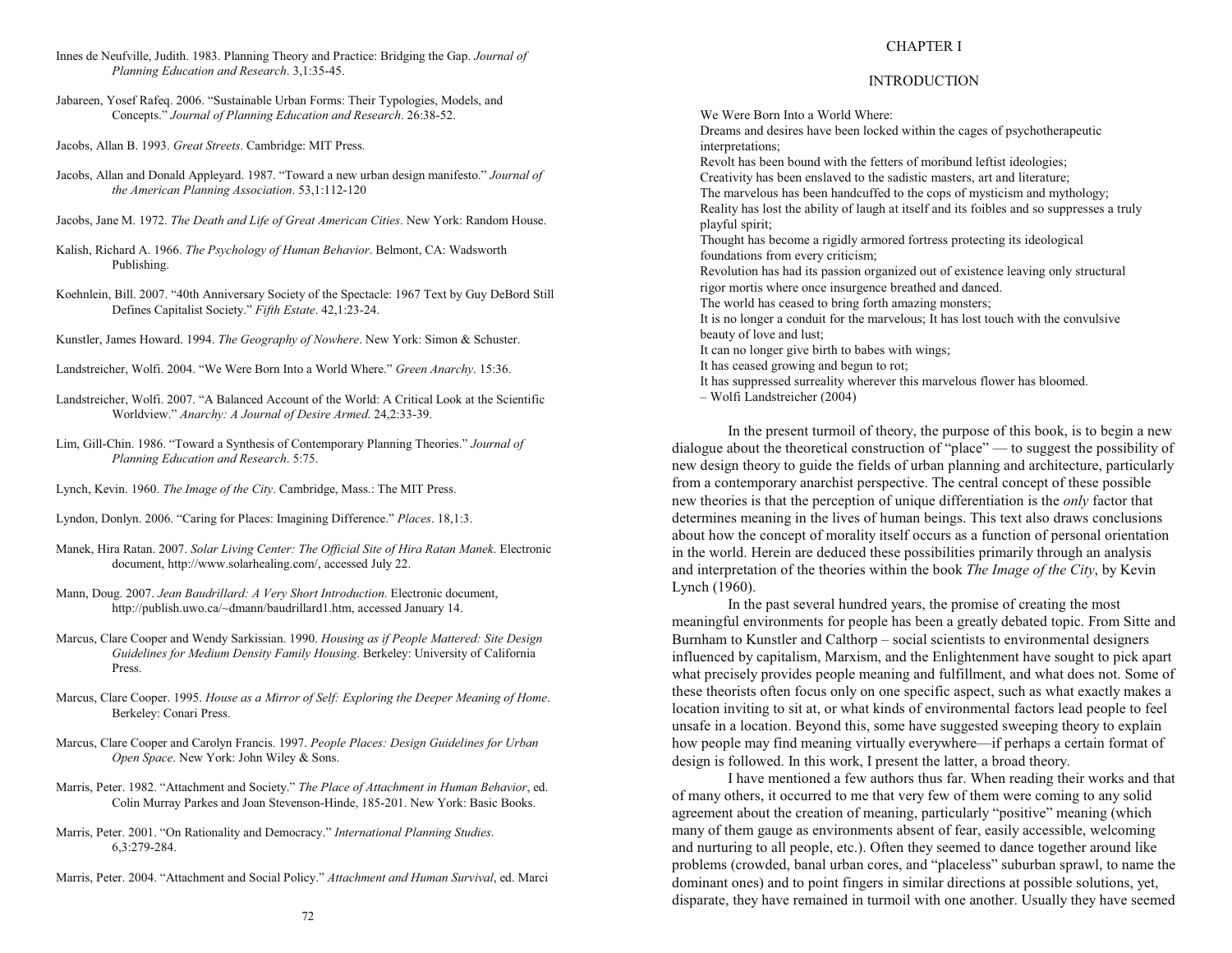- Innes de Neufville, Judith. 1983. Planning Theory and Practice: Bridging the Gap. *Journal of Planning Education and Research*. 3,1:35-45.
- Jabareen, Yosef Rafeq. 2006. "Sustainable Urban Forms: Their Typologies, Models, and Concepts. *Journal of Planning Education and Research*. 26:38-52.
- Jacobs, Allan B. 1993. *Great Streets*. Cambridge: MIT Press.
- Jacobs, Allan and Donald Appleyard. 1987. Toward a new urban design manifesto. *Journal of the American Planning Association*. 53,1:112-120
- Jacobs, Jane M. 1972. *The Death and Life of Great American Cities*. New York: Random House.
- Kalish, Richard A. 1966. *The Psychology of Human Behavior*. Belmont, CA: Wadsworth Publishing.
- Koehnlein, Bill. 2007. "40th Anniversary Society of the Spectacle: 1967 Text by Guy DeBord Still Defines Capitalist Society. *Fifth Estate*. 42,1:23-24.
- Kunstler, James Howard. 1994. *The Geography of Nowhere*. New York: Simon & Schuster.
- Landstreicher, Wolfi. 2004. We Were Born Into a World Where. *Green Anarchy*. 15:36.
- Landstreicher, Wolfi. 2007. "A Balanced Account of the World: A Critical Look at the Scientific Worldview. *Anarchy: A Journal of Desire Armed*. 24,2:33-39.
- Lim, Gill-Chin. 1986. Toward a Synthesis of Contemporary Planning Theories. *Journal of Planning Education and Research*. 5:75.
- Lynch, Kevin. 1960. *The Image of the City*. Cambridge, Mass.: The MIT Press.
- Lyndon, Donlyn. 2006. "Caring for Places: Imagining Difference." Places. 18,1:3.
- Manek, Hira Ratan. 2007. *Solar Living Center: The Official Site of Hira Ratan Manek*. Electronic document, http://www.solarhealing.com/, accessed July 22.
- Mann, Doug. 2007. *Jean Baudrillard: A Very Short Introduction*. Electronic document, http://publish.uwo.ca/~dmann/baudrillard1.htm, accessed January 14.
- Marcus, Clare Cooper and Wendy Sarkissian. 1990. *Housing as if People Mattered: Site Design Guidelines for Medium Density Family Housing*. Berkeley: University of California Press.
- Marcus, Clare Cooper. 1995. *House as a Mirror of Self: Exploring the Deeper Meaning of Home*. Berkeley: Conari Press.
- Marcus, Clare Cooper and Carolyn Francis. 1997. *People Places: Design Guidelines for Urban Open Space*. New York: John Wiley & Sons.
- Marris, Peter. 1982. "Attachment and Society." The Place of Attachment in Human Behavior, ed. Colin Murray Parkes and Joan Stevenson-Hinde, 185-201. New York: Basic Books.
- Marris, Peter. 2001. "On Rationality and Democracy." International Planning Studies. 6,3:279-284.
- Marris, Peter. 2004. "Attachment and Social Policy." Attachment and Human Survival, ed. Marci

#### CHAPTER I

## **INTRODUCTION**

We Were Born Into a World Where: Dreams and desires have been locked within the cages of psychotherapeutic interpretations; Revolt has been bound with the fetters of moribund leftist ideologies; Creativity has been enslaved to the sadistic masters, art and literature; The marvelous has been handcuffed to the cops of mysticism and mythology; Reality has lost the ability of laugh at itself and its foibles and so suppresses a truly playful spirit; Thought has become a rigidly armored fortress protecting its ideological foundations from every criticism; Revolution has had its passion organized out of existence leaving only structural rigor mortis where once insurgence breathed and danced. The world has ceased to bring forth amazing monsters; It is no longer a conduit for the marvelous; It has lost touch with the convulsive beauty of love and lust; It can no longer give birth to babes with wings; It has ceased growing and begun to rot; It has suppressed surreality wherever this marvelous flower has bloomed. Wolfi Landstreicher (2004)

In the present turmoil of theory, the purpose of this book, is to begin a new dialogue about the theoretical construction of "place"  $-$  to suggest the possibility of new design theory to guide the fields of urban planning and architecture, particularly from a contemporary anarchist perspective. The central concept of these possible new theories is that the perception of unique differentiation is the *only* factor that determines meaning in the lives of human beings. This text also draws conclusions about how the concept of morality itself occurs as a function of personal orientation in the world. Herein are deduced these possibilities primarily through an analysis and interpretation of the theories within the book *The Image of the City*, by Kevin Lynch (1960).

In the past several hundred years, the promise of creating the most meaningful environments for people has been a greatly debated topic. From Sitte and Burnham to Kunstler and Calthorp  $-$  social scientists to environmental designers influenced by capitalism, Marxism, and the Enlightenment have sought to pick apart what precisely provides people meaning and fulfillment, and what does not. Some of these theorists often focus only on one specific aspect, such as what exactly makes a location inviting to sit at, or what kinds of environmental factors lead people to feel unsafe in a location. Beyond this, some have suggested sweeping theory to explain how people may find meaning virtually everywhere—if perhaps a certain format of design is followed. In this work, I present the latter, a broad theory.

I have mentioned a few authors thus far. When reading their works and that of many others, it occurred to me that very few of them were coming to any solid agreement about the creation of meaning, particularly "positive" meaning (which many of them gauge as environments absent of fear, easily accessible, welcoming and nurturing to all people, etc.). Often they seemed to dance together around like problems (crowded, banal urban cores, and "placeless" suburban sprawl, to name the dominant ones) and to point fingers in similar directions at possible solutions, yet, disparate, they have remained in turmoil with one another. Usually they have seemed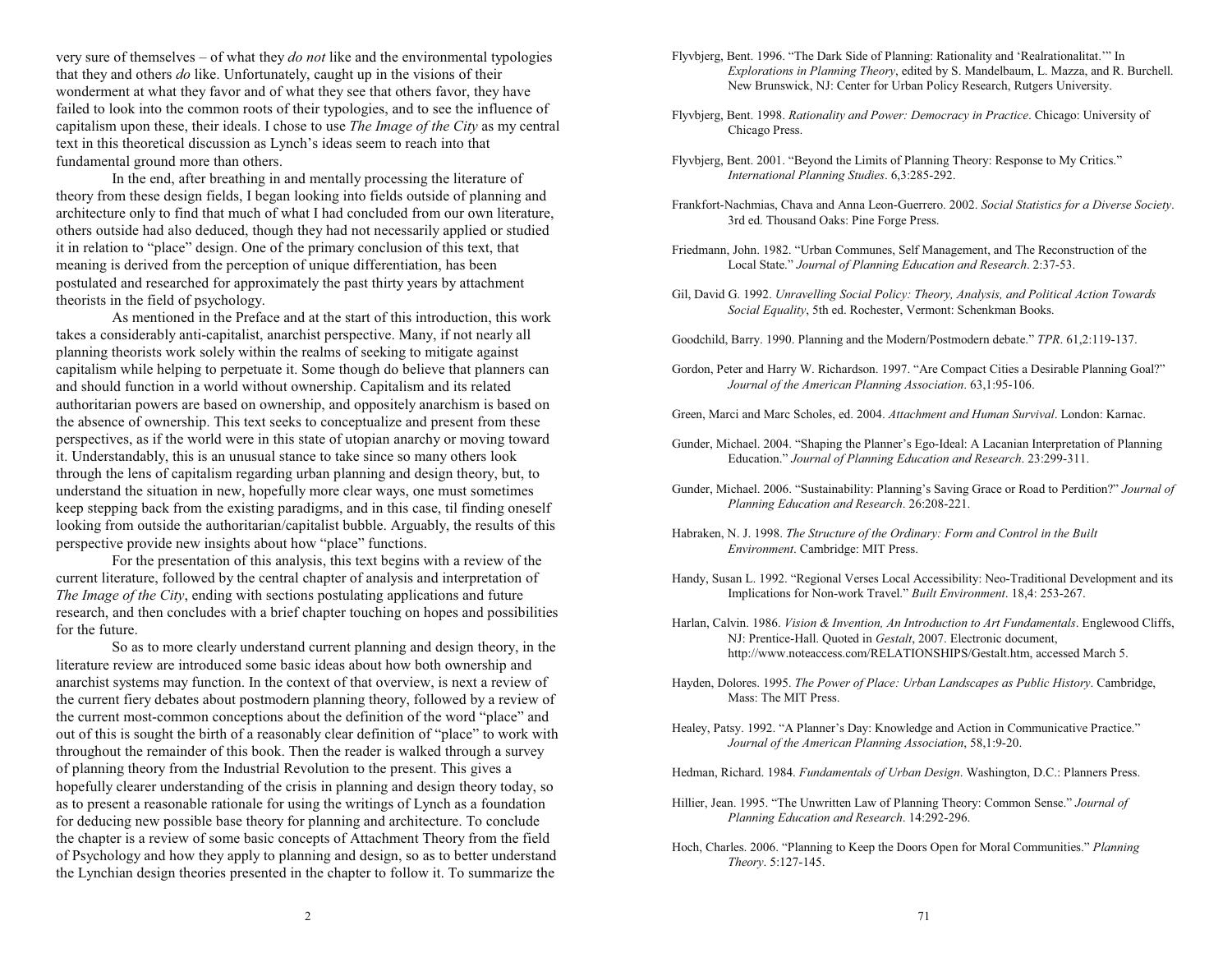very sure of themselves – of what they *do not* like and the environmental typologies that they and others *do* like. Unfortunately, caught up in the visions of their wonderment at what they favor and of what they see that others favor, they have failed to look into the common roots of their typologies, and to see the influence of capitalism upon these, their ideals. I chose to use *The Image of the City* as my central text in this theoretical discussion as Lynch's ideas seem to reach into that fundamental ground more than others.

In the end, after breathing in and mentally processing the literature of theory from these design fields, I began looking into fields outside of planning and architecture only to find that much of what I had concluded from our own literature, others outside had also deduced, though they had not necessarily applied or studied it in relation to "place" design. One of the primary conclusion of this text, that meaning is derived from the perception of unique differentiation, has been postulated and researched for approximately the past thirty years by attachment theorists in the field of psychology.

As mentioned in the Preface and at the start of this introduction, this work takes a considerably anti-capitalist, anarchist perspective. Many, if not nearly all planning theorists work solely within the realms of seeking to mitigate against capitalism while helping to perpetuate it. Some though do believe that planners can and should function in a world without ownership. Capitalism and its related authoritarian powers are based on ownership, and oppositely anarchism is based on the absence of ownership. This text seeks to conceptualize and present from these perspectives, as if the world were in this state of utopian anarchy or moving toward it. Understandably, this is an unusual stance to take since so many others look through the lens of capitalism regarding urban planning and design theory, but, to understand the situation in new, hopefully more clear ways, one must sometimes keep stepping back from the existing paradigms, and in this case, til finding oneself looking from outside the authoritarian/capitalist bubble. Arguably, the results of this perspective provide new insights about how "place" functions.

For the presentation of this analysis, this text begins with a review of the current literature, followed by the central chapter of analysis and interpretation of *The Image of the City*, ending with sections postulating applications and future research, and then concludes with a brief chapter touching on hopes and possibilities for the future.

So as to more clearly understand current planning and design theory, in the literature review are introduced some basic ideas about how both ownership and anarchist systems may function. In the context of that overview, is next a review of the current fiery debates about postmodern planning theory, followed by a review of the current most-common conceptions about the definition of the word "place" and out of this is sought the birth of a reasonably clear definition of "place" to work with throughout the remainder of this book. Then the reader is walked through a survey of planning theory from the Industrial Revolution to the present. This gives a hopefully clearer understanding of the crisis in planning and design theory today, so as to present a reasonable rationale for using the writings of Lynch as a foundation for deducing new possible base theory for planning and architecture. To conclude the chapter is a review of some basic concepts of Attachment Theory from the field of Psychology and how they apply to planning and design, so as to better understand the Lynchian design theories presented in the chapter to follow it. To summarize the

Flyvbjerg, Bent. 1996. "The Dark Side of Planning: Rationality and 'Realrationalitat." In *Explorations in Planning Theory*, edited by S. Mandelbaum, L. Mazza, and R. Burchell. New Brunswick, NJ: Center for Urban Policy Research, Rutgers University.

- Flyvbjerg, Bent. 1998. *Rationality and Power: Democracy in Practice*. Chicago: University of Chicago Press.
- Flyvbjerg, Bent. 2001. "Beyond the Limits of Planning Theory: Response to My Critics." *International Planning Studies*. 6,3:285-292.
- Frankfort-Nachmias, Chava and Anna Leon-Guerrero. 2002. *Social Statistics for a Diverse Society*. 3rd ed. Thousand Oaks: Pine Forge Press.
- Friedmann, John. 1982. "Urban Communes, Self Management, and The Reconstruction of the Local State." Journal of Planning Education and Research. 2:37-53.
- Gil, David G. 1992. *Unravelling Social Policy: Theory, Analysis, and Political Action Towards Social Equality*, 5th ed. Rochester, Vermont: Schenkman Books.
- Goodchild, Barry. 1990. Planning and the Modern/Postmodern debate. *TPR*. 61,2:119-137.
- Gordon, Peter and Harry W. Richardson. 1997. "Are Compact Cities a Desirable Planning Goal?" *Journal of the American Planning Association*. 63,1:95-106.
- Green, Marci and Marc Scholes, ed. 2004. *Attachment and Human Survival*. London: Karnac.
- Gunder, Michael. 2004. "Shaping the Planner's Ego-Ideal: A Lacanian Interpretation of Planning Education. *Journal of Planning Education and Research*. 23:299-311.
- Gunder, Michael. 2006. "Sustainability: Planning's Saving Grace or Road to Perdition?" Journal of *Planning Education and Research*. 26:208-221.
- Habraken, N. J. 1998. *The Structure of the Ordinary: Form and Control in the Built Environment*. Cambridge: MIT Press.
- Handy, Susan L. 1992. "Regional Verses Local Accessibility: Neo-Traditional Development and its Implications for Non-work Travel. *Built Environment*. 18,4: 253-267.
- Harlan, Calvin. 1986. *Vision & Invention, An Introduction to Art Fundamentals*. Englewood Cliffs, NJ: Prentice-Hall. Quoted in *Gestalt*, 2007. Electronic document, http://www.noteaccess.com/RELATIONSHIPS/Gestalt.htm, accessed March 5.
- Hayden, Dolores. 1995. *The Power of Place: Urban Landscapes as Public History*. Cambridge, Mass: The MIT Press.
- Healey, Patsy. 1992. "A Planner's Day: Knowledge and Action in Communicative Practice." *Journal of the American Planning Association*, 58,1:9-20.
- Hedman, Richard. 1984. *Fundamentals of Urban Design*. Washington, D.C.: Planners Press.
- Hillier, Jean. 1995. "The Unwritten Law of Planning Theory: Common Sense." Journal of *Planning Education and Research*. 14:292-296.
- Hoch, Charles. 2006. "Planning to Keep the Doors Open for Moral Communities." *Planning Theory*. 5:127-145.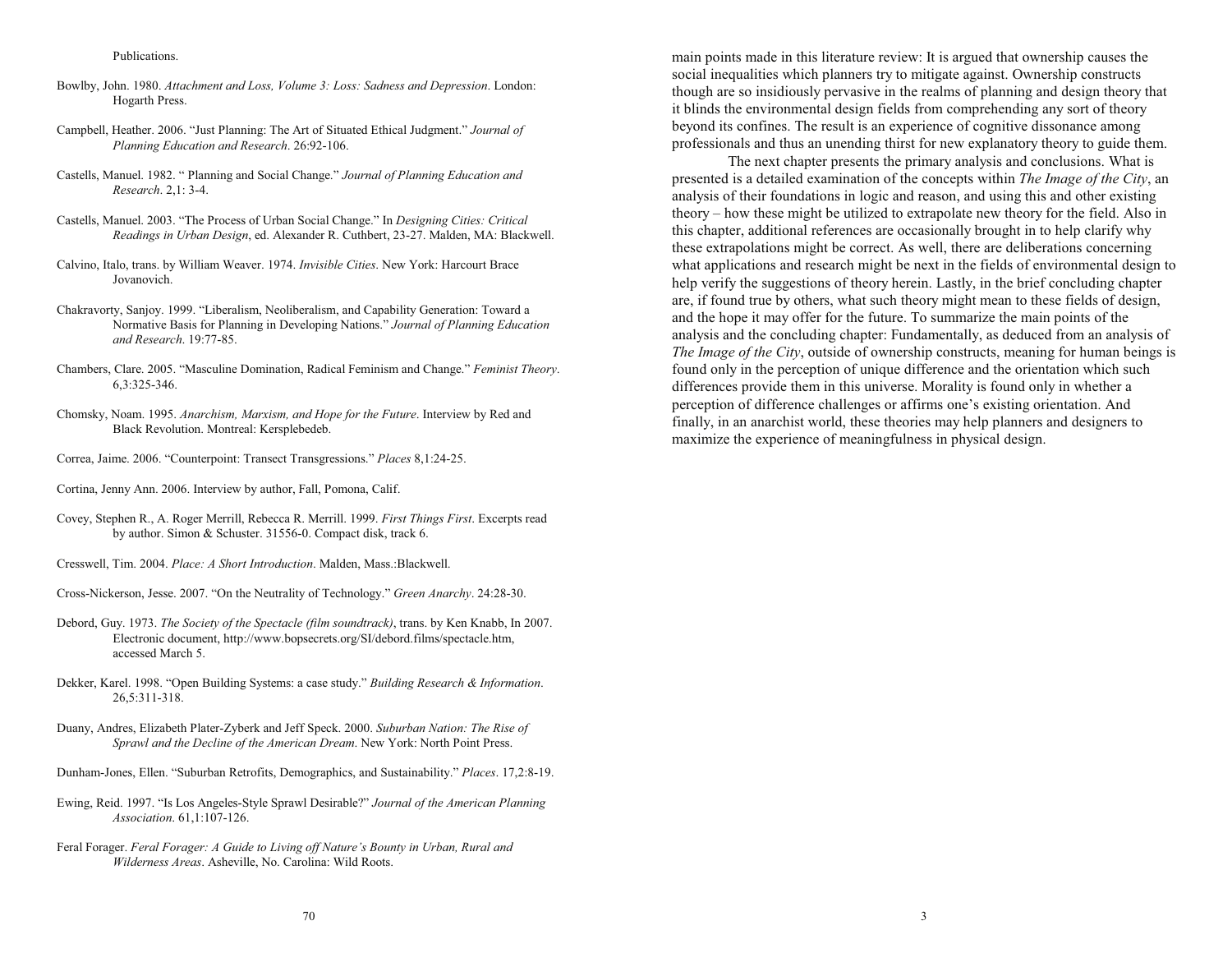#### Publications.

- Bowlby, John. 1980. *Attachment and Loss, Volume 3: Loss: Sadness and Depression*. London: Hogarth Press.
- Campbell, Heather. 2006. "Just Planning: The Art of Situated Ethical Judgment." *Journal of Planning Education and Research*. 26:92-106.
- Castells, Manuel. 1982. Planning and Social Change. *Journal of Planning Education and Research*. 2,1: 3-4.
- Castells, Manuel. 2003. "The Process of Urban Social Change." In *Designing Cities: Critical Readings in Urban Design*, ed. Alexander R. Cuthbert, 23-27. Malden, MA: Blackwell.
- Calvino, Italo, trans. by William Weaver. 1974. *Invisible Cities*. New York: Harcourt Brace Jovanovich.
- Chakravorty, Sanjoy. 1999. "Liberalism, Neoliberalism, and Capability Generation: Toward a Normative Basis for Planning in Developing Nations. *Journal of Planning Education and Research*. 19:77-85.
- Chambers, Clare. 2005. Masculine Domination, Radical Feminism and Change. *Feminist Theory*. 6,3:325-346.
- Chomsky, Noam. 1995. *Anarchism, Marxism, and Hope for the Future*. Interview by Red and Black Revolution. Montreal: Kersplebedeb.
- Correa, Jaime. 2006. Counterpoint: Transect Transgressions. *Places* 8,1:24-25.
- Cortina, Jenny Ann. 2006. Interview by author, Fall, Pomona, Calif.
- Covey, Stephen R., A. Roger Merrill, Rebecca R. Merrill. 1999. *First Things First*. Excerpts read by author. Simon & Schuster. 31556-0. Compact disk, track 6.
- Cresswell, Tim. 2004. *Place: A Short Introduction*. Malden, Mass.:Blackwell.
- Cross-Nickerson, Jesse. 2007. "On the Neutrality of Technology." Green Anarchy. 24:28-30.
- Debord, Guy. 1973. *The Society of the Spectacle (film soundtrack)*, trans. by Ken Knabb, In 2007. Electronic document, http://www.bopsecrets.org/SI/debord.films/spectacle.htm, accessed March 5.
- Dekker, Karel. 1998. "Open Building Systems: a case study." Building Research & Information. 26,5:311-318.
- Duany, Andres, Elizabeth Plater-Zyberk and Jeff Speck. 2000. *Suburban Nation: The Rise of Sprawl and the Decline of the American Dream*. New York: North Point Press.
- Dunham-Jones, Ellen. "Suburban Retrofits, Demographics, and Sustainability." Places. 17,2:8-19.
- Ewing, Reid. 1997. "Is Los Angeles-Style Sprawl Desirable?" *Journal of the American Planning Association*. 61,1:107-126.
- Feral Forager. *Feral Forager: A Guide to Living off Nature's Bounty in Urban, Rural and Wilderness Areas*. Asheville, No. Carolina: Wild Roots.

main points made in this literature review: It is argued that ownership causes the social inequalities which planners try to mitigate against. Ownership constructs though are so insidiously pervasive in the realms of planning and design theory that it blinds the environmental design fields from comprehending any sort of theory beyond its confines. The result is an experience of cognitive dissonance among professionals and thus an unending thirst for new explanatory theory to guide them.

The next chapter presents the primary analysis and conclusions. What is presented is a detailed examination of the concepts within *The Image of the City*, an analysis of their foundations in logic and reason, and using this and other existing theory – how these might be utilized to extrapolate new theory for the field. Also in this chapter, additional references are occasionally brought in to help clarify why these extrapolations might be correct. As well, there are deliberations concerning what applications and research might be next in the fields of environmental design to help verify the suggestions of theory herein. Lastly, in the brief concluding chapter are, if found true by others, what such theory might mean to these fields of design, and the hope it may offer for the future. To summarize the main points of the analysis and the concluding chapter: Fundamentally, as deduced from an analysis of *The Image of the City*, outside of ownership constructs, meaning for human beings is found only in the perception of unique difference and the orientation which such differences provide them in this universe. Morality is found only in whether a perception of difference challenges or affirms one's existing orientation. And finally, in an anarchist world, these theories may help planners and designers to maximize the experience of meaningfulness in physical design.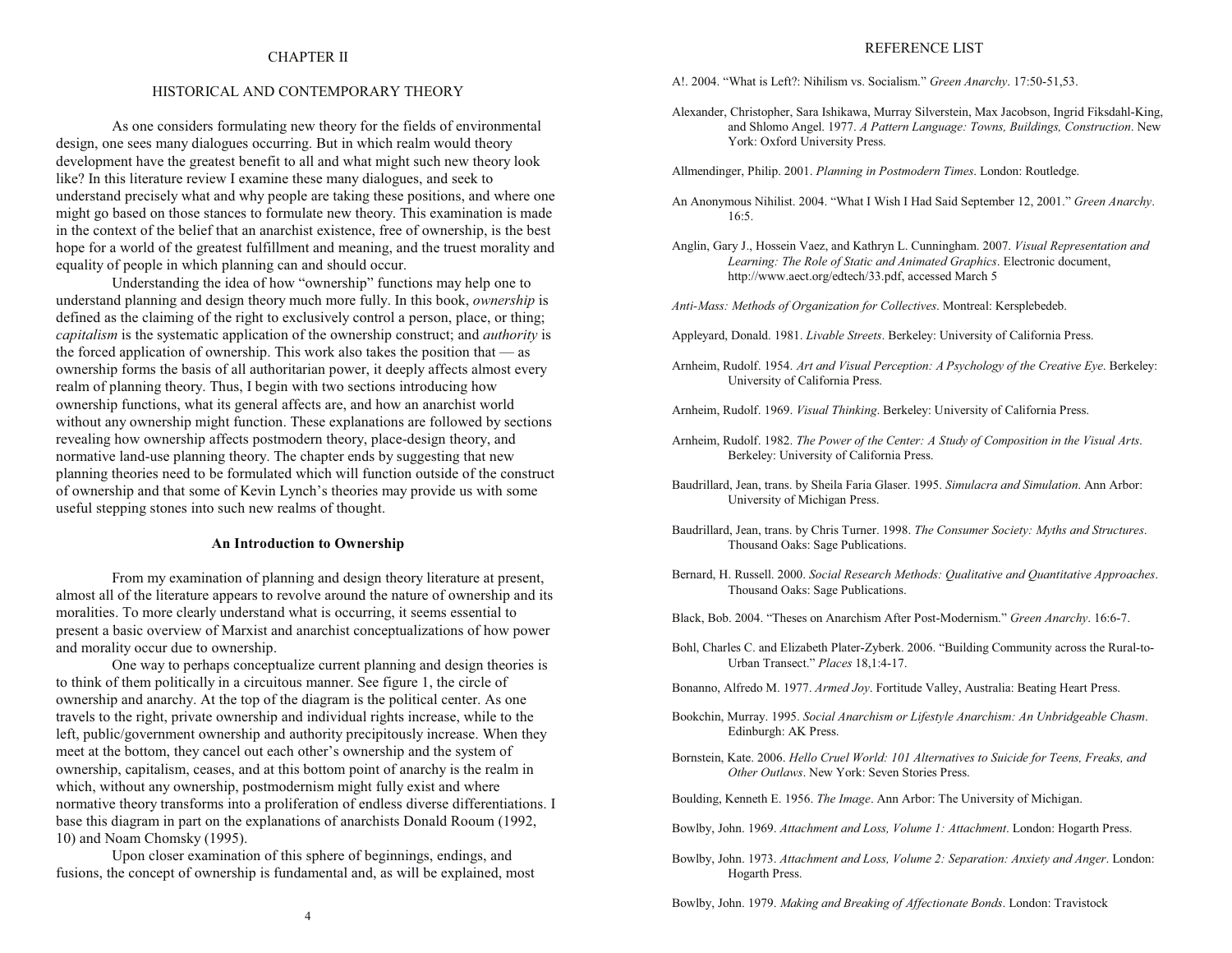## CHAPTER II

## HISTORICAL AND CONTEMPORARY THEORY

As one considers formulating new theory for the fields of environmental design, one sees many dialogues occurring. But in which realm would theory development have the greatest benefit to all and what might such new theory look like? In this literature review I examine these many dialogues, and seek to understand precisely what and why people are taking these positions, and where one might go based on those stances to formulate new theory. This examination is made in the context of the belief that an anarchist existence, free of ownership, is the best hope for a world of the greatest fulfillment and meaning, and the truest morality and equality of people in which planning can and should occur.

Understanding the idea of how "ownership" functions may help one to understand planning and design theory much more fully. In this book, *ownership* is defined as the claiming of the right to exclusively control a person, place, or thing; *capitalism* is the systematic application of the ownership construct; and *authority* is the forced application of ownership. This work also takes the position that  $-$  as ownership forms the basis of all authoritarian power, it deeply affects almost every realm of planning theory. Thus, I begin with two sections introducing how ownership functions, what its general affects are, and how an anarchist world without any ownership might function. These explanations are followed by sections revealing how ownership affects postmodern theory, place-design theory, and normative land-use planning theory. The chapter ends by suggesting that new planning theories need to be formulated which will function outside of the construct of ownership and that some of Kevin Lynch's theories may provide us with some useful stepping stones into such new realms of thought.

#### **An Introduction to Ownership**

From my examination of planning and design theory literature at present, almost all of the literature appears to revolve around the nature of ownership and its moralities. To more clearly understand what is occurring, it seems essential to present a basic overview of Marxist and anarchist conceptualizations of how power and morality occur due to ownership.

One way to perhaps conceptualize current planning and design theories is to think of them politically in a circuitous manner. See figure 1, the circle of ownership and anarchy. At the top of the diagram is the political center. As one travels to the right, private ownership and individual rights increase, while to the left, public/government ownership and authority precipitously increase. When they meet at the bottom, they cancel out each other's ownership and the system of ownership, capitalism, ceases, and at this bottom point of anarchy is the realm in which, without any ownership, postmodernism might fully exist and where normative theory transforms into a proliferation of endless diverse differentiations. I base this diagram in part on the explanations of anarchists Donald Rooum (1992, 10) and Noam Chomsky (1995).

Upon closer examination of this sphere of beginnings, endings, and fusions, the concept of ownership is fundamental and, as will be explained, most

### REFERENCE LIST

A!. 2004. "What is Left?: Nihilism vs. Socialism." Green Anarchy. 17:50-51,53.

- Alexander, Christopher, Sara Ishikawa, Murray Silverstein, Max Jacobson, Ingrid Fiksdahl-King, and Shlomo Angel. 1977. *A Pattern Language: Towns, Buildings, Construction*. New York: Oxford University Press.
- Allmendinger, Philip. 2001. *Planning in Postmodern Times*. London: Routledge.
- An Anonymous Nihilist. 2004. What I Wish I Had Said September 12, 2001. *Green Anarchy*. 16:5.
- Anglin, Gary J., Hossein Vaez, and Kathryn L. Cunningham. 2007. *Visual Representation and Learning: The Role of Static and Animated Graphics*. Electronic document, http://www.aect.org/edtech/33.pdf, accessed March 5

*Anti-Mass: Methods of Organization for Collectives*. Montreal: Kersplebedeb.

- Appleyard, Donald. 1981. *Livable Streets*. Berkeley: University of California Press.
- Arnheim, Rudolf. 1954. *Art and Visual Perception: A Psychology of the Creative Eye*. Berkeley: University of California Press.
- Arnheim, Rudolf. 1969. *Visual Thinking*. Berkeley: University of California Press.
- Arnheim, Rudolf. 1982. *The Power of the Center: A Study of Composition in the Visual Arts*. Berkeley: University of California Press.
- Baudrillard, Jean, trans. by Sheila Faria Glaser. 1995. *Simulacra and Simulation*. Ann Arbor: University of Michigan Press.
- Baudrillard, Jean, trans. by Chris Turner. 1998. *The Consumer Society: Myths and Structures*. Thousand Oaks: Sage Publications.
- Bernard, H. Russell. 2000. *Social Research Methods: Qualitative and Quantitative Approaches*. Thousand Oaks: Sage Publications.
- Black, Bob. 2004. Theses on Anarchism After Post-Modernism. *Green Anarchy*. 16:6-7.
- Bohl, Charles C. and Elizabeth Plater-Zyberk. 2006. "Building Community across the Rural-to-Urban Transect. *Places* 18,1:4-17.
- Bonanno, Alfredo M. 1977. *Armed Joy*. Fortitude Valley, Australia: Beating Heart Press.
- Bookchin, Murray. 1995. *Social Anarchism or Lifestyle Anarchism: An Unbridgeable Chas m*. Edinburgh: AK Press.
- Bornstein, Kate. 2006. *Hello Cruel World: 101 Alternatives to Suicide for Teens, Freaks, and Other Outlaws*. New York: Seven Stories Press.

Boulding, Kenneth E. 1956. *The Image*. Ann Arbor: The University of Michigan.

Bowlby, John. 1969. *Attachment and Loss, Volume 1: Attachment*. London: Hogarth Press.

Bowlby, John. 1973. Attachment and Loss, Volume 2: Separation: Anxiety and Anger. London: Hogarth Press.

Bowlby, John. 1979. *Making and Breaking of Affectionate Bonds*. London: Travistock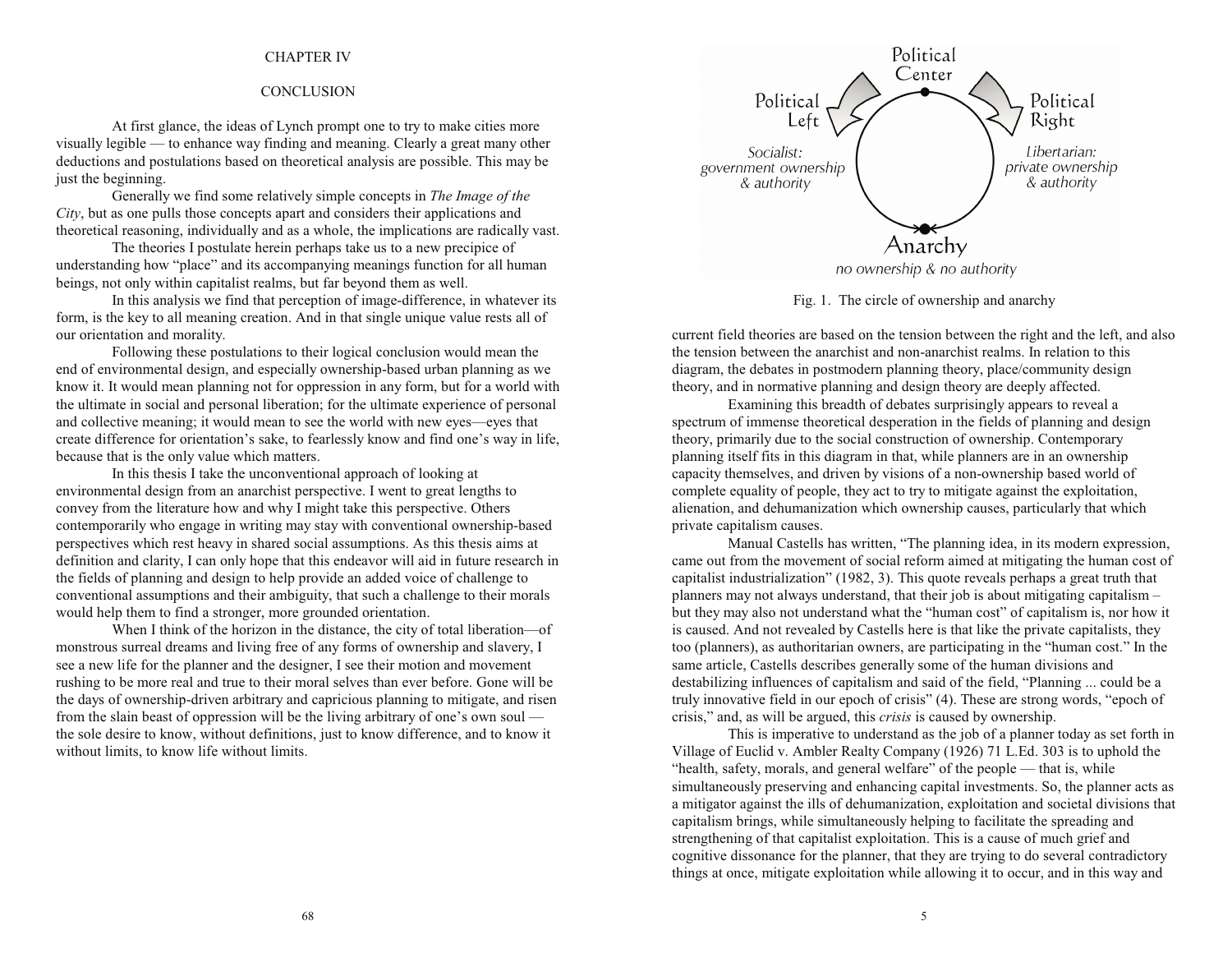# CHAPTER IV

## **CONCLUSION**

At first glance, the ideas of Lynch prompt one to try to make cities more visually legible — to enhance way finding and meaning. Clearly a great many other deductions and postulations based on theoretical analysis are possible. This may be just the beginning.

Generally we find some relatively simple concepts in *The Image of the City*, but as one pulls those concepts apart and considers their applications and theoretical reasoning, individually and as a whole, the implications are radically vast.

The theories I postulate herein perhaps take us to a new precipice of understanding how "place" and its accompanying meanings function for all human beings, not only within capitalist realms, but far beyond them as well.

In this analysis we find that perception of image-difference, in whatever its form, is the key to all meaning creation. And in that single unique value rests all of our orientation and morality.

Following these postulations to their logical conclusion would mean the end of environmental design, and especially ownership-based urban planning as we know it. It would mean planning not for oppression in any form, but for a world with the ultimate in social and personal liberation; for the ultimate experience of personal and collective meaning; it would mean to see the world with new eyes—eyes that create difference for orientation's sake, to fearlessly know and find one's way in life, because that is the only value which matters.

In this thesis I take the unconventional approach of looking at environmental design from an anarchist perspective. I went to great lengths to convey from the literature how and why I might take this perspective. Others contemporarily who engage in writing may stay with conventional ownership-based perspectives which rest heavy in shared social assumptions. As this thesis aims at definition and clarity, I can only hope that this endeavor will aid in future research in the fields of planning and design to help provide an added voice of challenge to conventional assumptions and their ambiguity, that such a challenge to their morals would help them to find a stronger, more grounded orientation.

When I think of the horizon in the distance, the city of total liberation-of monstrous surreal dreams and living free of any forms of ownership and slavery, I see a new life for the planner and the designer, I see their motion and movement rushing to be more real and true to their moral selves than ever before. Gone will be the days of ownership-driven arbitrary and capricious planning to mitigate, and risen from the slain beast of oppression will be the living arbitrary of one's own soul  $$ the sole desire to know, without definitions, just to know difference, and to know it without limits, to know life without limits.



Fig. 1. The circle of ownership and anarchy

current field theories are based on the tension between the right and the left, and also the tension between the anarchist and non-anarchist realms. In relation to this diagram, the debates in postmodern planning theory, place/community design theory, and in normative planning and design theory are deeply affected.

Examining this breadth of debates surprisingly appears to reveal a spectrum of immense theoretical desperation in the fields of planning and design theory, primarily due to the social construction of ownership. Contemporary planning itself fits in this diagram in that, while planners are in an ownership capacity themselves, and driven by visions of a non-ownership based world of complete equality of people, they act to try to mitigate against the exploitation, alienation, and dehumanization which ownership causes, particularly that which private capitalism causes.

Manual Castells has written, "The planning idea, in its modern expression, came out from the movement of social reform aimed at mitigating the human cost of capitalist industrialization" (1982, 3). This quote reveals perhaps a great truth that planners may not always understand, that their job is about mitigating capitalism but they may also not understand what the "human cost" of capitalism is, nor how it is caused. And not revealed by Castells here is that like the private capitalists, they too (planners), as authoritarian owners, are participating in the "human cost." In the same article, Castells describes generally some of the human divisions and destabilizing influences of capitalism and said of the field, "Planning ... could be a truly innovative field in our epoch of crisis" (4). These are strong words, "epoch of crisis," and, as will be argued, this *crisis* is caused by ownership.

This is imperative to understand as the job of a planner today as set forth in Village of Euclid v. Ambler Realty Company (1926) 71 L.Ed. 303 is to uphold the "health, safety, morals, and general welfare" of the people  $-$  that is, while simultaneously preserving and enhancing capital investments. So, the planner acts as a mitigator against the ills of dehumanization, exploitation and societal divisions that capitalism brings, while simultaneously helping to facilitate the spreading and strengthening of that capitalist exploitation. This is a cause of much grief and cognitive dissonance for the planner, that they are trying to do several contradictory things at once, mitigate exploitation while allowing it to occur, and in this way and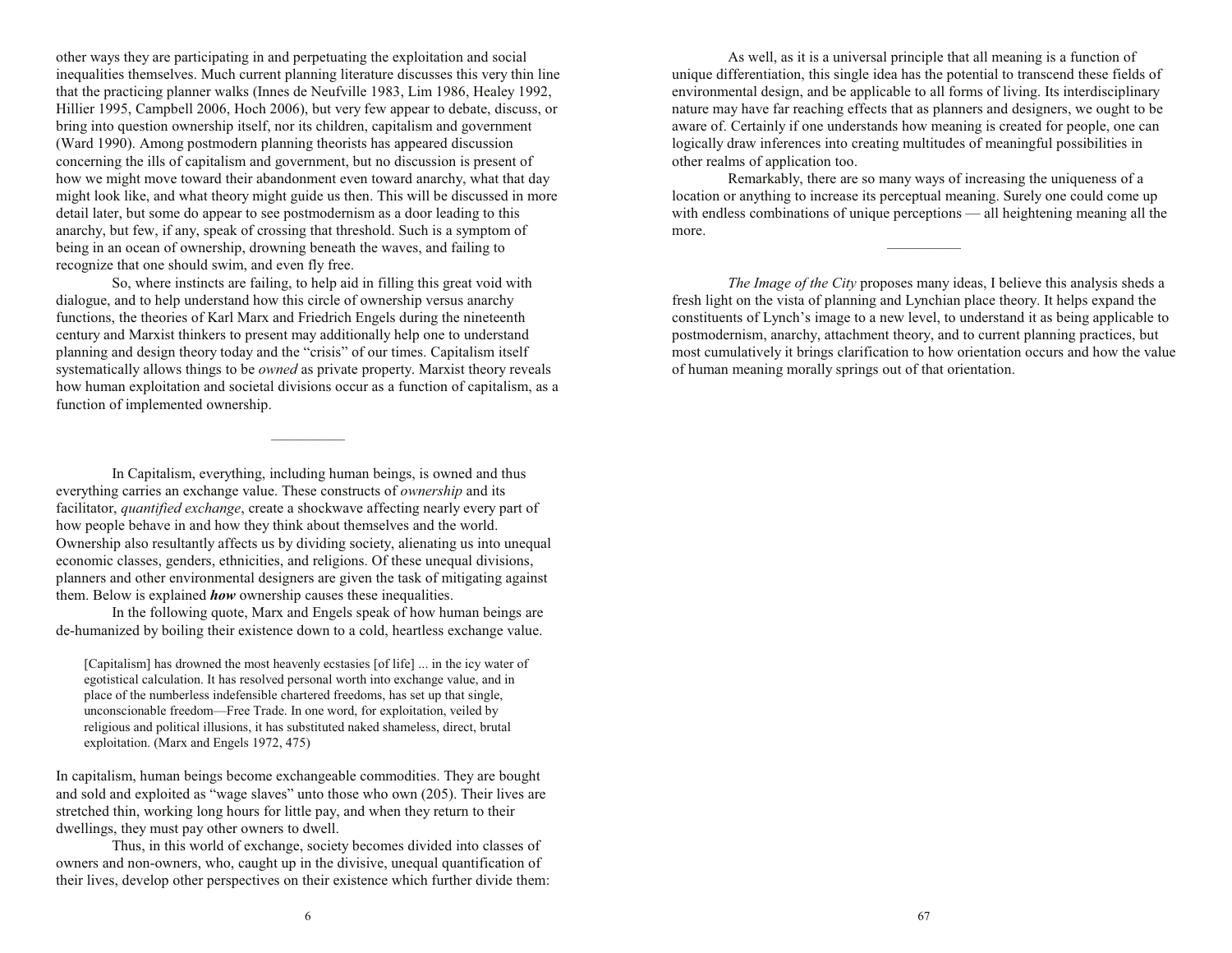other ways they are participating in and perpetuating the exploitation and social inequalities themselves. Much current planning literature discusses this very thin line that the practicing planner walks (Innes de Neufville 1983, Lim 1986, Healey 1992, Hillier 1995, Campbell 2006, Hoch 2006), but very few appear to debate, discuss, or bring into question ownership itself, nor its children, capitalism and government (Ward 1990). Among postmodern planning theorists has appeared discussion concerning the ills of capitalism and government, but no discussion is present of how we might move toward their abandonment even toward anarchy, what that day might look like, and what theory might guide us then. This will be discussed in more detail later, but some do appear to see postmodernism as a door leading to this anarchy, but few, if any, speak of crossing that threshold. Such is a symptom of being in an ocean of ownership, drowning beneath the waves, and failing to recognize that one should swim, and even fly free.

So, where instincts are failing, to help aid in filling this great void with dialogue, and to help understand how this circle of ownership versus anarchy functions, the theories of Karl Marx and Friedrich Engels during the nineteenth century and Marxist thinkers to present may additionally help one to understand planning and design theory today and the "crisis" of our times. Capitalism itself systematically allows things to be *owned* as private property. Marxist theory reveals how human exploitation and societal divisions occur as a function of capitalism, as a function of implemented ownership.

In Capitalism, everything, including human beings, is owned and thus everything carries an exchange value. These constructs of *ownership* and its facilitator, *quantified exchange*, create a shockwave affecting nearly every part of how people behave in and how they think about themselves and the world. Ownership also resultantly affects us by dividing society, alienating us into unequal economic classes, genders, ethnicities, and religions. Of these unequal divisions, planners and other environmental designers are given the task of mitigating against them. Below is explained *how* ownership causes these inequalities.

In the following quote, Marx and Engels speak of how human beings are de-humanized by boiling their existence down to a cold, heartless exchange value.

[Capitalism] has drowned the most heavenly ecstasies [of life] ... in the icy water of egotistical calculation. It has resolved personal worth into exchange value, and in place of the numberless indefensible chartered freedoms, has set up that single, unconscionable freedom—Free Trade. In one word, for exploitation, veiled by religious and political illusions, it has substituted naked shameless, direct, brutal exploitation. (Marx and Engels 1972, 475)

In capitalism, human beings become exchangeable commodities. They are bought and sold and exploited as "wage slaves" unto those who own (205). Their lives are stretched thin, working long hours for little pay, and when they return to their dwellings, they must pay other owners to dwell.

Thus, in this world of exchange, society becomes divided into classes of owners and non-owners, who, caught up in the divisive, unequal quantification of their lives, develop other perspectives on their existence which further divide them:

As well, as it is a universal principle that all meaning is a function of unique differentiation, this single idea has the potential to transcend these fields of environmental design, and be applicable to all forms of living. Its interdisciplinary nature may have far reaching effects that as planners and designers, we ought to be aware of. Certainly if one understands how meaning is created for people, one can logically draw inferences into creating multitudes of meaningful possibilities in other realms of application too.

Remarkably, there are so many ways of increasing the uniqueness of a location or anything to increase its perceptual meaning. Surely one could come up with endless combinations of unique perceptions  $\frac{d}{dt}$  all heightening meaning all the more. 

*The Image of the City* proposes many ideas, I believe this analysis sheds a fresh light on the vista of planning and Lynchian place theory. It helps expand the constituents of Lynch's image to a new level, to understand it as being applicable to postmodernism, anarchy, attachment theory, and to current planning practices, but most cumulatively it brings clarification to how orientation occurs and how the value of human meaning morally springs out of that orientation.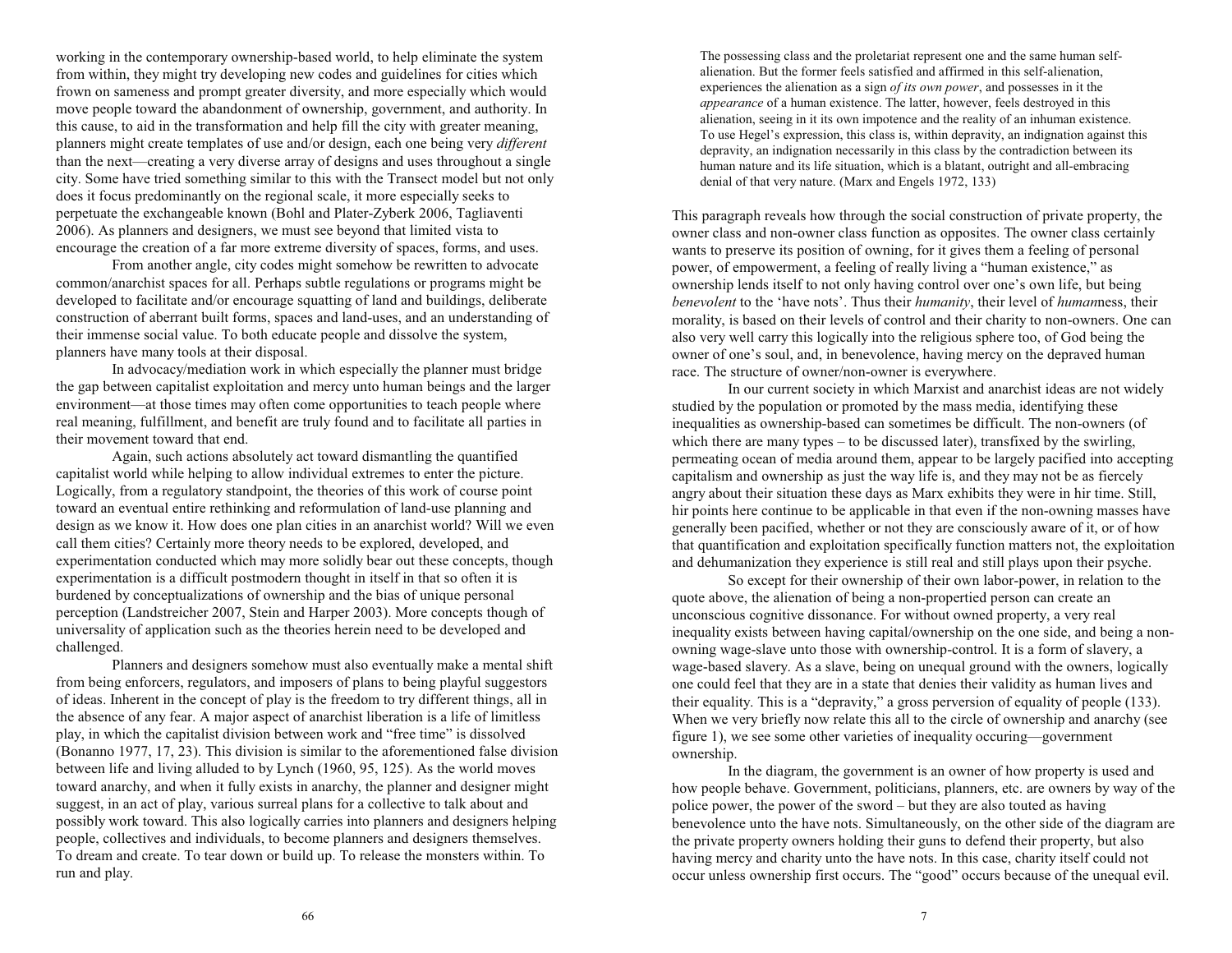working in the contemporary ownership-based world, to help eliminate the system from within, they might try developing new codes and guidelines for cities which frown on sameness and prompt greater diversity, and more especially which would move people toward the abandonment of ownership, government, and authority. In this cause, to aid in the transformation and help fill the city with greater meaning, planners might create templates of use and/or design, each one being very *different* than the next—creating a very diverse array of designs and uses throughout a single city. Some have tried something similar to this with the Transect model but not only does it focus predominantly on the regional scale, it more especially seeks to perpetuate the exchangeable known (Bohl and Plater-Zyberk 2006, Tagliaventi 2006). As planners and designers, we must see beyond that limited vista to encourage the creation of a far more extreme diversity of spaces, forms, and uses.

From another angle, city codes might somehow be rewritten to advocate common/anarchist spaces for all. Perhaps subtle regulations or programs might be developed to facilitate and/or encourage squatting of land and buildings, deliberate construction of aberrant built forms, spaces and land-uses, and an understanding of their immense social value. To both educate people and dissolve the system, planners have many tools at their disposal.

In advocacy/mediation work in which especially the planner must bridge the gap between capitalist exploitation and mercy unto human beings and the larger environment—at those times may often come opportunities to teach people where real meaning, fulfillment, and benefit are truly found and to facilitate all parties in their movement toward that end.

Again, such actions absolutely act toward dismantling the quantified capitalist world while helping to allow individual extremes to enter the picture. Logically, from a regulatory standpoint, the theories of this work of course point toward an eventual entire rethinking and reformulation of land-use planning and design as we know it. How does one plan cities in an anarchist world? Will we even call them cities? Certainly more theory needs to be explored, developed, and experimentation conducted which may more solidly bear out these concepts, though experimentation is a difficult postmodern thought in itself in that so often it is burdened by conceptualizations of ownership and the bias of unique personal perception (Landstreicher 2007, Stein and Harper 2003). More concepts though of universality of application such as the theories herein need to be developed and challenged.

Planners and designers somehow must also eventually make a mental shift from being enforcers, regulators, and imposers of plans to being playful suggestors of ideas. Inherent in the concept of play is the freedom to try different things, all in the absence of any fear. A major aspect of anarchist liberation is a life of limitless play, in which the capitalist division between work and "free time" is dissolved (Bonanno 1977, 17, 23). This division is similar to the aforementioned false division between life and living alluded to by Lynch (1960, 95, 125). As the world moves toward anarchy, and when it fully exists in anarchy, the planner and designer might suggest, in an act of play, various surreal plans for a collective to talk about and possibly work toward. This also logically carries into planners and designers helping people, collectives and individuals, to become planners and designers themselves. To dream and create. To tear down or build up. To release the monsters within. To run and play.

The possessing class and the proletariat represent one and the same human selfalienation. But the former feels satisfied and affirmed in this self-alienation, experiences the alienation as a sign *of its own power*, and possesses in it the *appearance* of a human existence. The latter, however, feels destroyed in this alienation, seeing in it its own impotence and the reality of an inhuman existence. To use Hegel's expression, this class is, within depravity, an indignation against this depravity, an indignation necessarily in this class by the contradiction between its human nature and its life situation, which is a blatant, outright and all-embracing denial of that very nature. (Marx and Engels 1972, 133)

This paragraph reveals how through the social construction of private property, the owner class and non-owner class function as opposites. The owner class certainly wants to preserve its position of owning, for it gives them a feeling of personal power, of empowerment, a feeling of really living a "human existence," as ownership lends itself to not only having control over one's own life, but being *benevolent* to the 'have nots'. Thus their *humanity*, their level of *humanness*, their morality, is based on their levels of control and their charity to non-owners. One can also very well carry this logically into the religious sphere too, of God being the owner of one's soul, and, in benevolence, having mercy on the depraved human race. The structure of owner/non-owner is everywhere.

In our current society in which Marxist and anarchist ideas are not widely studied by the population or promoted by the mass media, identifying these inequalities as ownership-based can sometimes be difficult. The non-owners (of which there are many types  $-$  to be discussed later), transfixed by the swirling, permeating ocean of media around them, appear to be largely pacified into accepting capitalism and ownership as just the way life is, and they may not be as fiercely angry about their situation these days as Marx exhibits they were in hir time. Still, hir points here continue to be applicable in that even if the non-owning masses have generally been pacified, whether or not they are consciously aware of it, or of how that quantification and exploitation specifically function matters not, the exploitation and dehumanization they experience is still real and still plays upon their psyche.

So except for their ownership of their own labor-power, in relation to the quote above, the alienation of being a non-propertied person can create an unconscious cognitive dissonance. For without owned property, a very real inequality exists between having capital/ownership on the one side, and being a nonowning wage-slave unto those with ownership-control. It is a form of slavery, a wage-based slavery. As a slave, being on unequal ground with the owners, logically one could feel that they are in a state that denies their validity as human lives and their equality. This is a "depravity," a gross perversion of equality of people  $(133)$ . When we very briefly now relate this all to the circle of ownership and anarchy (see figure 1), we see some other varieties of inequality occuring—government ownership.

In the diagram, the government is an owner of how property is used and how people behave. Government, politicians, planners, etc. are owners by way of the police power, the power of the sword  $-\text{but they are also touched as having}$ benevolence unto the have nots. Simultaneously, on the other side of the diagram are the private property owners holding their guns to defend their property, but also having mercy and charity unto the have nots. In this case, charity itself could not occur unless ownership first occurs. The "good" occurs because of the unequal evil.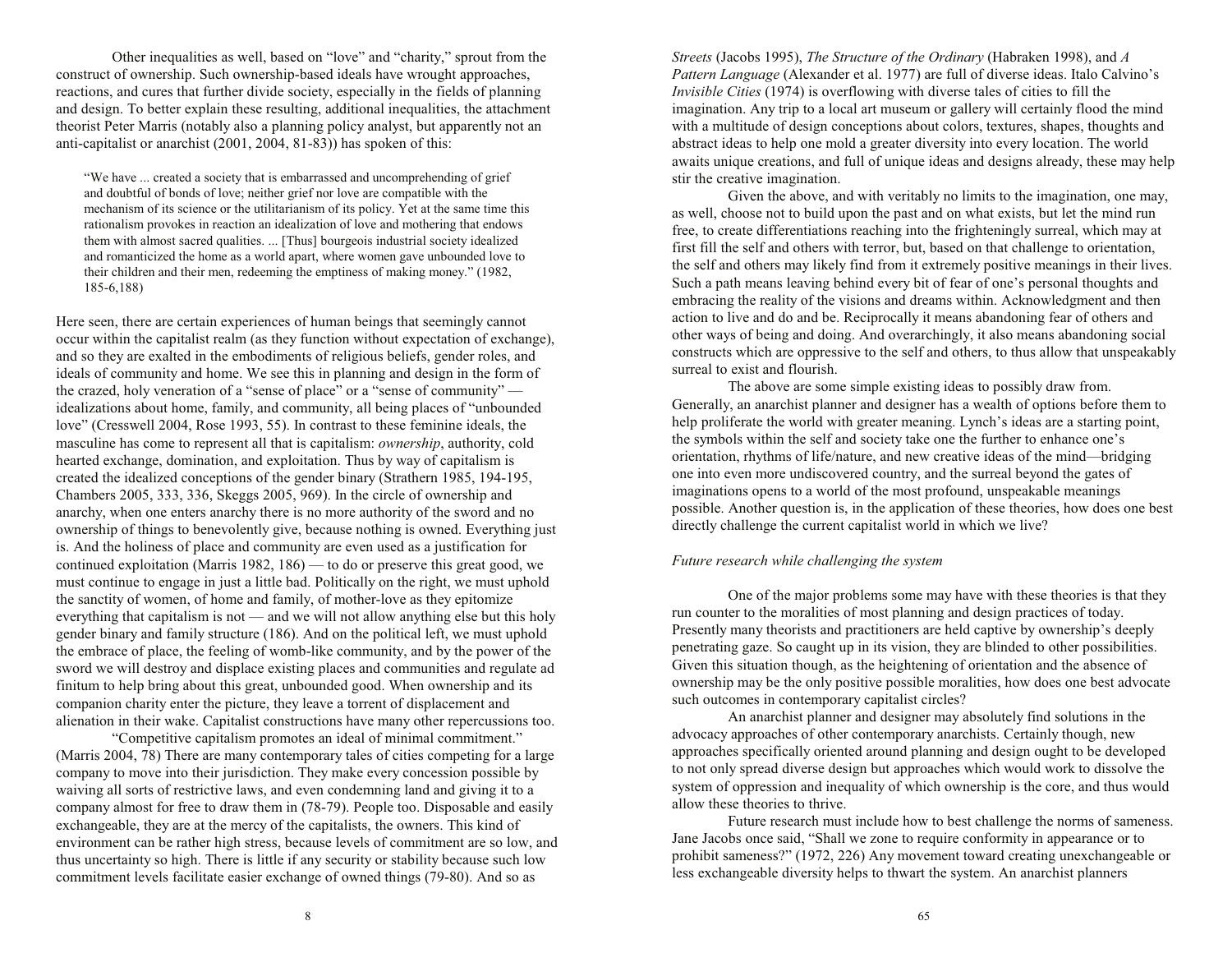Other inequalities as well, based on "love" and "charity," sprout from the construct of ownership. Such ownership-based ideals have wrought approaches, reactions, and cures that further divide society, especially in the fields of planning and design. To better explain these resulting, additional inequalities, the attachment theorist Peter Marris (notably also a planning policy analyst, but apparently not an anti-capitalist or anarchist (2001, 2004, 81-83)) has spoken of this:

We have ... created a society that is embarrassed and uncomprehending of grief and doubtful of bonds of love; neither grief nor love are compatible with the mechanism of its science or the utilitarianism of its policy. Yet at the same time this rationalism provokes in reaction an idealization of love and mothering that endows them with almost sacred qualities. ... [Thus] bourgeois industrial society idealized and romanticized the home as a world apart, where women gave unbounded love to their children and their men, redeeming the emptiness of making money." (1982, 185-6,188)

Here seen, there are certain experiences of human beings that seemingly cannot occur within the capitalist realm (as they function without expectation of exchange), and so they are exalted in the embodiments of religious beliefs, gender roles, and ideals of community and home. We see this in planning and design in the form of the crazed, holy veneration of a "sense of place" or a "sense of community" idealizations about home, family, and community, all being places of "unbounded" love" (Cresswell 2004, Rose 1993, 55). In contrast to these feminine ideals, the masculine has come to represent all that is capitalism: *ownership*, authority, cold hearted exchange, domination, and exploitation. Thus by way of capitalism is created the idealized conceptions of the gender binary (Strathern 1985, 194-195, Chambers 2005, 333, 336, Skeggs 2005, 969). In the circle of ownership and anarchy, when one enters anarchy there is no more authority of the sword and no ownership of things to benevolently give, because nothing is owned. Everything just is. And the holiness of place and community are even used as a justification for continued exploitation (Marris 1982, 186) — to do or preserve this great good, we must continue to engage in just a little bad. Politically on the right, we must uphold the sanctity of women, of home and family, of mother-love as they epitomize everything that capitalism is not  $\equiv$  and we will not allow anything else but this holy gender binary and family structure (186). And on the political left, we must uphold the embrace of place, the feeling of womb-like community, and by the power of the sword we will destroy and displace existing places and communities and regulate ad finitum to help bring about this great, unbounded good. When ownership and its companion charity enter the picture, they leave a torrent of displacement and alienation in their wake. Capitalist constructions have many other repercussions too.

Competitive capitalism promotes an ideal of minimal commitment. (Marris 2004, 78) There are many contemporary tales of cities competing for a large company to move into their jurisdiction. They make every concession possible by waiving all sorts of restrictive laws, and even condemning land and giving it to a company almost for free to draw them in (78-79). People too. Disposable and easily exchangeable, they are at the mercy of the capitalists, the owners. This kind of environment can be rather high stress, because levels of commitment are so low, and thus uncertainty so high. There is little if any security or stability because such low commitment levels facilitate easier exchange of owned things (79-80). And so as

*Streets* (Jacobs 1995), *The Structure of the Ordinary* (Habraken 1998), and *A Pattern Language* (Alexander et al. 1977) are full of diverse ideas. Italo Calvino's *Invisible Cities* (1974) is overflowing with diverse tales of cities to fill the imagination. Any trip to a local art museum or gallery will certainly flood the mind with a multitude of design conceptions about colors, textures, shapes, thoughts and abstract ideas to help one mold a greater diversity into every location. The world awaits unique creations, and full of unique ideas and designs already, these may help stir the creative imagination.

Given the above, and with veritably no limits to the imagination, one may, as well, choose not to build upon the past and on what exists, but let the mind run free, to create differentiations reaching into the frighteningly surreal, which may at first fill the self and others with terror, but, based on that challenge to orientation, the self and others may likely find from it extremely positive meanings in their lives. Such a path means leaving behind every bit of fear of one's personal thoughts and embracing the reality of the visions and dreams within. Acknowledgment and then action to live and do and be. Reciprocally it means abandoning fear of others and other ways of being and doing. And overarchingly, it also means abandoning social constructs which are oppressive to the self and others, to thus allow that unspeakably surreal to exist and flourish.

The above are some simple existing ideas to possibly draw from. Generally, an anarchist planner and designer has a wealth of options before them to help proliferate the world with greater meaning. Lynch's ideas are a starting point, the symbols within the self and society take one the further to enhance one's orientation, rhythms of life/nature, and new creative ideas of the mind—bridging one into even more undiscovered country, and the surreal beyond the gates of imaginations opens to a world of the most profound, unspeakable meanings possible. Another question is, in the application of these theories, how does one best directly challenge the current capitalist world in which we live?

# *Future research while challenging the system*

One of the major problems some may have with these theories is that they run counter to the moralities of most planning and design practices of today. Presently many theorists and practitioners are held captive by ownership's deeply penetrating gaze. So caught up in its vision, they are blinded to other possibilities. Given this situation though, as the heightening of orientation and the absence of ownership may be the only positive possible moralities, how does one best advocate such outcomes in contemporary capitalist circles?

An anarchist planner and designer may absolutely find solutions in the advocacy approaches of other contemporary anarchists. Certainly though, new approaches specifically oriented around planning and design ought to be developed to not only spread diverse design but approaches which would work to dissolve the system of oppression and inequality of which ownership is the core, and thus would allow these theories to thrive.

Future research must include how to best challenge the norms of sameness. Jane Jacobs once said, "Shall we zone to require conformity in appearance or to prohibit sameness? (1972, 226) Any movement toward creating unexchangeable or less exchangeable diversity helps to thwart the system. An anarchist planners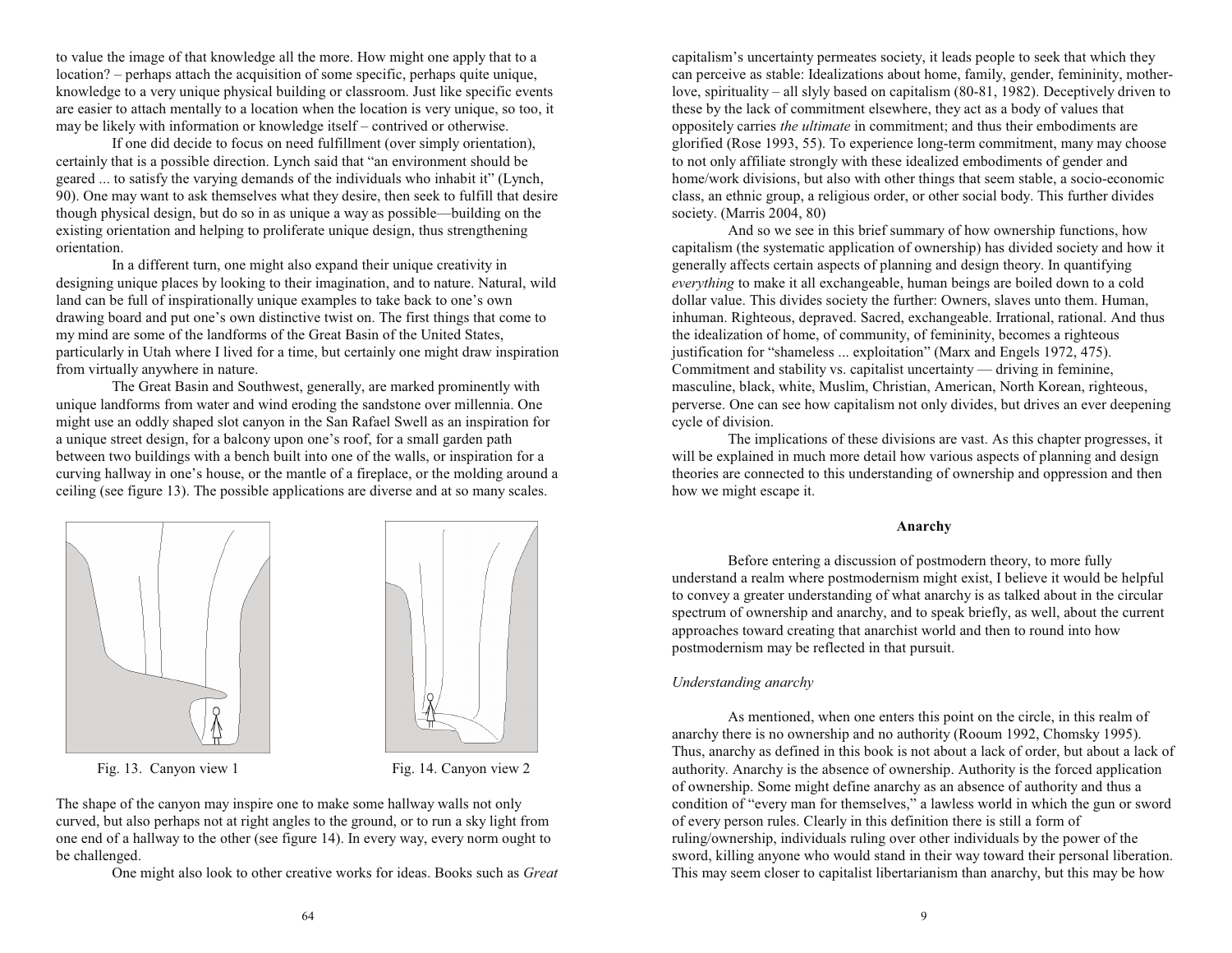to value the image of that knowledge all the more. How might one apply that to a location? – perhaps attach the acquisition of some specific, perhaps quite unique, knowledge to a very unique physical building or classroom. Just like specific events are easier to attach mentally to a location when the location is very unique, so too, it may be likely with information or knowledge itself – contrived or otherwise.

If one did decide to focus on need fulfillment (over simply orientation), certainly that is a possible direction. Lynch said that "an environment should be geared ... to satisfy the varying demands of the individuals who inhabit it" (Lynch, 90). One may want to ask themselves what they desire, then seek to fulfill that desire though physical design, but do so in as unique a way as possible—building on the existing orientation and helping to proliferate unique design, thus strengthening orientation.

In a different turn, one might also expand their unique creativity in designing unique places by looking to their imagination, and to nature. Natural, wild land can be full of inspirationally unique examples to take back to one's own drawing board and put one's own distinctive twist on. The first things that come to my mind are some of the landforms of the Great Basin of the United States, particularly in Utah where I lived for a time, but certainly one might draw inspiration from virtually anywhere in nature.

The Great Basin and Southwest, generally, are marked prominently with unique landforms from water and wind eroding the sandstone over millennia. One might use an oddly shaped slot canyon in the San Rafael Swell as an inspiration for a unique street design, for a balcony upon one's roof, for a small garden path between two buildings with a bench built into one of the walls, or inspiration for a curving hallway in one's house, or the mantle of a fireplace, or the molding around a ceiling (see figure 13). The possible applications are diverse and at so many scales.





Fig. 13. Canyon view 1 Fig. 14. Canyon view 2

The shape of the canyon may inspire one to make some hallway walls not only curved, but also perhaps not at right angles to the ground, or to run a sky light from one end of a hallway to the other (see figure 14). In every way, every norm ought to be challenged.

One might also look to other creative works for ideas. Books such as *Great*

capitalism's uncertainty permeates society, it leads people to seek that which they can perceive as stable: Idealizations about home, family, gender, femininity, motherlove, spirituality  $-$  all slyly based on capitalism (80-81, 1982). Deceptively driven to these by the lack of commitment elsewhere, they act as a body of values that oppositely carries *the ultimate* in commitment; and thus their embodiments are glorified (Rose 1993, 55). To experience long-term commitment, many may choose to not only affiliate strongly with these idealized embodiments of gender and home/work divisions, but also with other things that seem stable, a socio-economic class, an ethnic group, a religious order, or other social body. This further divides society. (Marris 2004, 80)

And so we see in this brief summary of how ownership functions, how capitalism (the systematic application of ownership) has divided society and how it generally affects certain aspects of planning and design theory. In quantifying *everything* to make it all exchangeable, human beings are boiled down to a cold dollar value. This divides society the further: Owners, slaves unto them. Human, inhuman. Righteous, depraved. Sacred, exchangeable. Irrational, rational. And thus the idealization of home, of community, of femininity, becomes a righteous justification for "shameless ... exploitation" (Marx and Engels 1972, 475). Commitment and stability vs. capitalist uncertainty  $-$  driving in feminine, masculine, black, white, Muslim, Christian, American, North Korean, righteous, perverse. One can see how capitalism not only divides, but drives an ever deepening cycle of division.

The implications of these divisions are vast. As this chapter progresses, it will be explained in much more detail how various aspects of planning and design theories are connected to this understanding of ownership and oppression and then how we might escape it.

## **Anarchy**

Before entering a discussion of postmodern theory, to more fully understand a realm where postmodernism might exist, I believe it would be helpful to convey a greater understanding of what anarchy is as talked about in the circular spectrum of ownership and anarchy, and to speak briefly, as well, about the current approaches toward creating that anarchist world and then to round into how postmodernism may be reflected in that pursuit.

# *Understanding anarchy*

As mentioned, when one enters this point on the circle, in this realm of anarchy there is no ownership and no authority (Rooum 1992, Chomsky 1995). Thus, anarchy as defined in this book is not about a lack of order, but about a lack of authority. Anarchy is the absence of ownership. Authority is the forced application of ownership. Some might define anarchy as an absence of authority and thus a condition of "every man for themselves," a lawless world in which the gun or sword of every person rules. Clearly in this definition there is still a form of ruling/ownership, individuals ruling over other individuals by the power of the sword, killing anyone who would stand in their way toward their personal liberation. This may seem closer to capitalist libertarianism than anarchy, but this may be how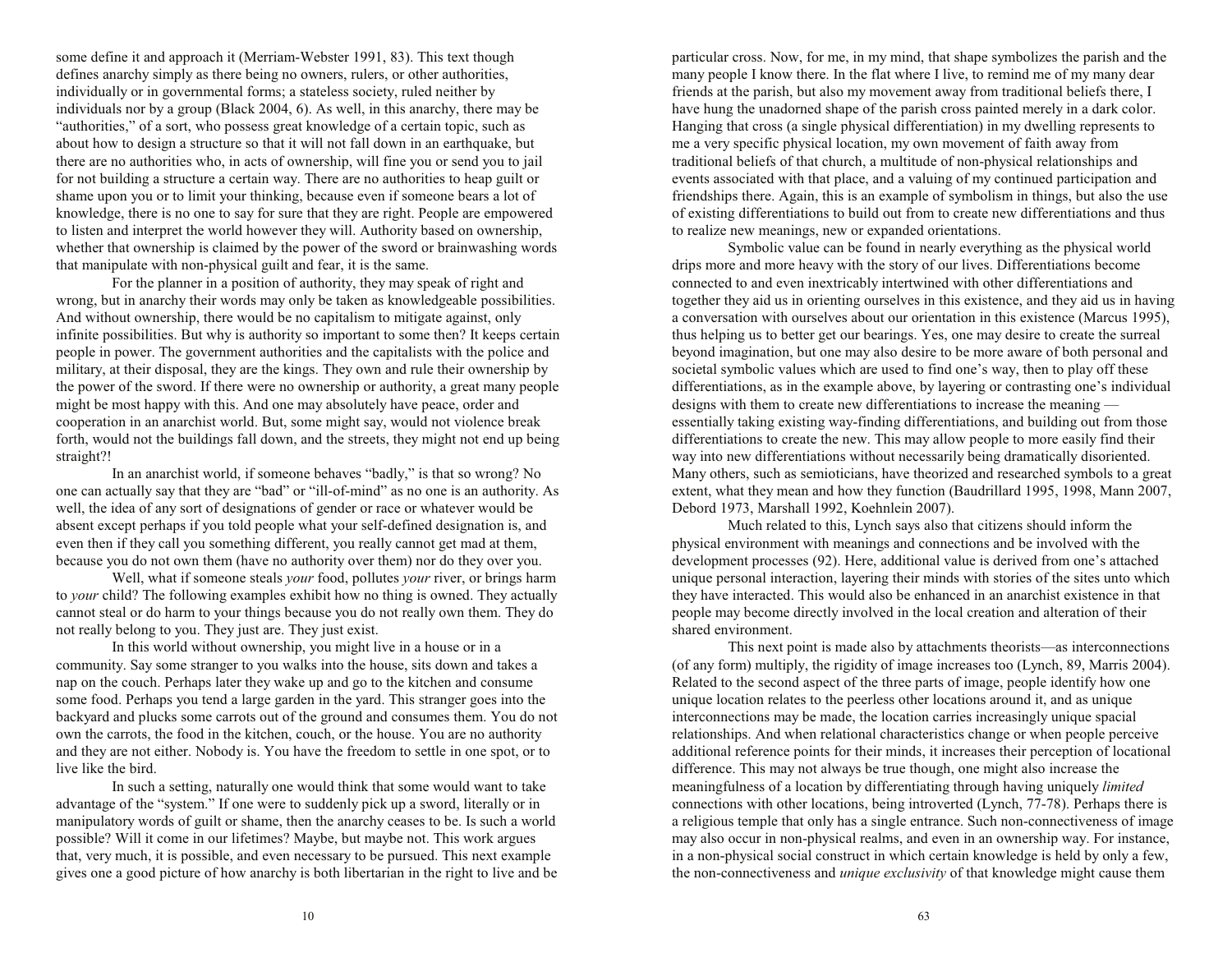some define it and approach it (Merriam-Webster 1991, 83). This text though defines anarchy simply as there being no owners, rulers, or other authorities, individually or in governmental forms; a stateless society, ruled neither by individuals nor by a group (Black 2004, 6). As well, in this anarchy, there may be "authorities," of a sort, who possess great knowledge of a certain topic, such as about how to design a structure so that it will not fall down in an earthquake, but there are no authorities who, in acts of ownership, will fine you or send you to jail for not building a structure a certain way. There are no authorities to heap guilt or shame upon you or to limit your thinking, because even if someone bears a lot of knowledge, there is no one to say for sure that they are right. People are empowered to listen and interpret the world however they will. Authority based on ownership, whether that ownership is claimed by the power of the sword or brainwashing words that manipulate with non-physical guilt and fear, it is the same.

For the planner in a position of authority, they may speak of right and wrong, but in anarchy their words may only be taken as knowledgeable possibilities. And without ownership, there would be no capitalism to mitigate against, only infinite possibilities. But why is authority so important to some then? It keeps certain people in power. The government authorities and the capitalists with the police and military, at their disposal, they are the kings. They own and rule their ownership by the power of the sword. If there were no ownership or authority, a great many people might be most happy with this. And one may absolutely have peace, order and cooperation in an anarchist world. But, some might say, would not violence break forth, would not the buildings fall down, and the streets, they might not end up being straight?!

In an anarchist world, if someone behaves "badly," is that so wrong? No one can actually say that they are "bad" or "ill-of-mind" as no one is an authority. As well, the idea of any sort of designations of gender or race or whatever would be absent except perhaps if you told people what your self-defined designation is, and even then if they call you something different, you really cannot get mad at them, because you do not own them (have no authority over them) nor do they over you.

Well, what if someone steals *your* food, pollutes *your* river, or brings harm to *your* child? The following examples exhibit how no thing is owned. They actually cannot steal or do harm to your things because you do not really own them. They do not really belong to you. They just are. They just exist.

In this world without ownership, you might live in a house or in a community. Say some stranger to you walks into the house, sits down and takes a nap on the couch. Perhaps later they wake up and go to the kitchen and consume some food. Perhaps you tend a large garden in the yard. This stranger goes into the backyard and plucks some carrots out of the ground and consumes them. You do not own the carrots, the food in the kitchen, couch, or the house. You are no authority and they are not either. Nobody is. You have the freedom to settle in one spot, or to live like the bird.

In such a setting, naturally one would think that some would want to take advantage of the "system." If one were to suddenly pick up a sword, literally or in manipulatory words of guilt or shame, then the anarchy ceases to be. Is such a world possible? Will it come in our lifetimes? Maybe, but maybe not. This work argues that, very much, it is possible, and even necessary to be pursued. This next example gives one a good picture of how anarchy is both libertarian in the right to live and be

particular cross. Now, for me, in my mind, that shape symbolizes the parish and the many people I know there. In the flat where I live, to remind me of my many dear friends at the parish, but also my movement away from traditional beliefs there, I have hung the unadorned shape of the parish cross painted merely in a dark color. Hanging that cross (a single physical differentiation) in my dwelling represents to me a very specific physical location, my own movement of faith away from traditional beliefs of that church, a multitude of non-physical relationships and events associated with that place, and a valuing of my continued participation and friendships there. Again, this is an example of symbolism in things, but also the use of existing differentiations to build out from to create new differentiations and thus to realize new meanings, new or expanded orientations.

Symbolic value can be found in nearly everything as the physical world drips more and more heavy with the story of our lives. Differentiations become connected to and even inextricably intertwined with other differentiations and together they aid us in orienting ourselves in this existence, and they aid us in having a conversation with ourselves about our orientation in this existence (Marcus 1995), thus helping us to better get our bearings. Yes, one may desire to create the surreal beyond imagination, but one may also desire to be more aware of both personal and societal symbolic values which are used to find one's way, then to play off these differentiations, as in the example above, by layering or contrasting one's individual designs with them to create new differentiations to increase the meaning essentially taking existing way-finding differentiations, and building out from those differentiations to create the new. This may allow people to more easily find their way into new differentiations without necessarily being dramatically disoriented. Many others, such as semioticians, have theorized and researched symbols to a great extent, what they mean and how they function (Baudrillard 1995, 1998, Mann 2007, Debord 1973, Marshall 1992, Koehnlein 2007).

Much related to this, Lynch says also that citizens should inform the physical environment with meanings and connections and be involved with the development processes (92). Here, additional value is derived from one's attached unique personal interaction, layering their minds with stories of the sites unto which they have interacted. This would also be enhanced in an anarchist existence in that people may become directly involved in the local creation and alteration of their shared environment.

This next point is made also by attachments theorists—as interconnections (of any form) multiply, the rigidity of image increases too (Lynch, 89, Marris 2004). Related to the second aspect of the three parts of image, people identify how one unique location relates to the peerless other locations around it, and as unique interconnections may be made, the location carries increasingly unique spacial relationships. And when relational characteristics change or when people perceive additional reference points for their minds, it increases their perception of locational difference. This may not always be true though, one might also increase the meaningfulness of a location by differentiating through having uniquely *limited* connections with other locations, being introverted (Lynch, 77-78). Perhaps there is a religious temple that only has a single entrance. Such non-connectiveness of image may also occur in non-physical realms, and even in an ownership way. For instance, in a non-physical social construct in which certain knowledge is held by only a few, the non-connectiveness and *unique exclusivity* of that knowledge might cause them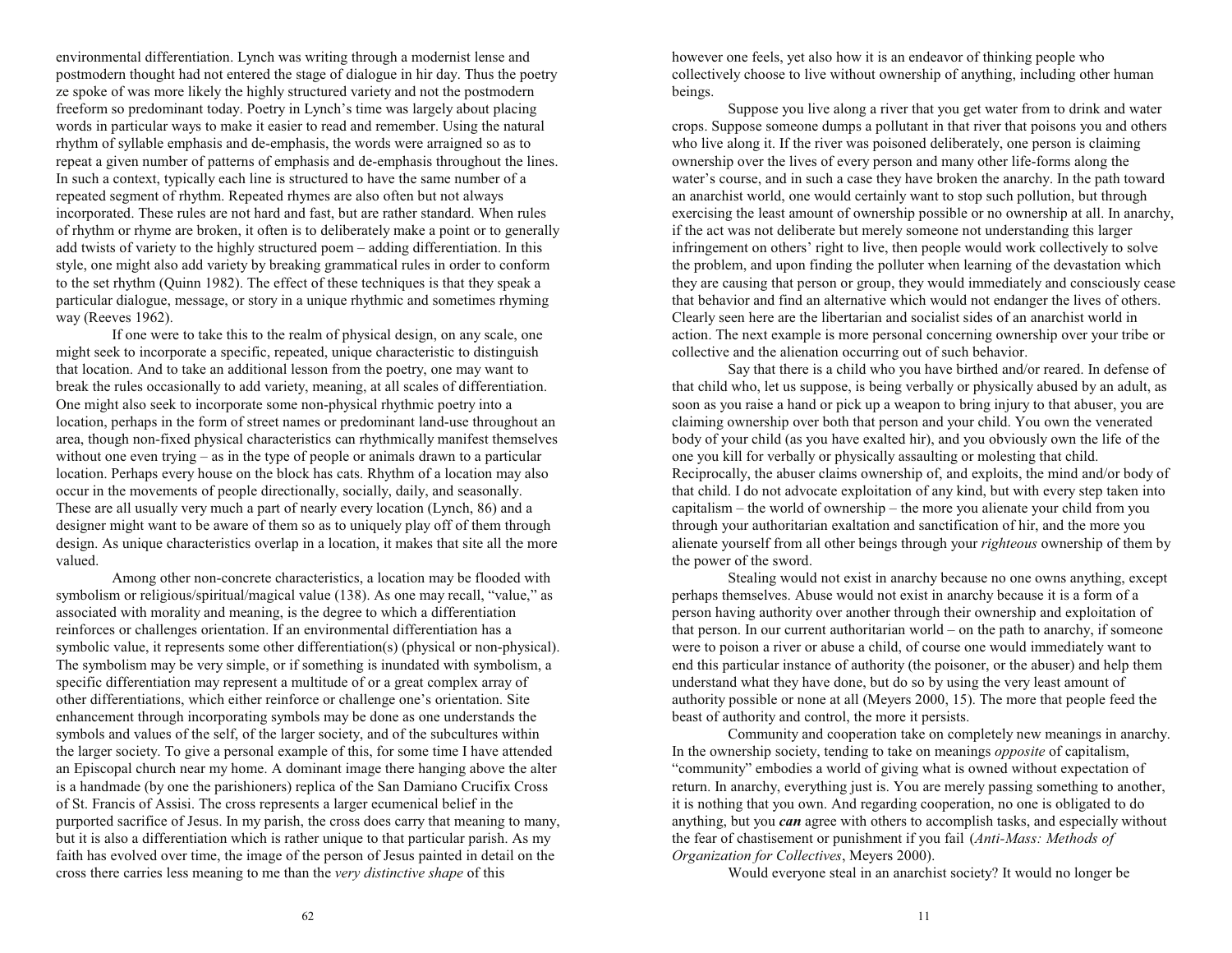environmental differentiation. Lynch was writing through a modernist lense and postmodern thought had not entered the stage of dialogue in hir day. Thus the poetry ze spoke of was more likely the highly structured variety and not the postmodern freeform so predominant today. Poetry in Lynch's time was largely about placing words in particular ways to make it easier to read and remember. Using the natural rhythm of syllable emphasis and de-emphasis, the words were arraigned so as to repeat a given number of patterns of emphasis and de-emphasis throughout the lines. In such a context, typically each line is structured to have the same number of a repeated segment of rhythm. Repeated rhymes are also often but not always incorporated. These rules are not hard and fast, but are rather standard. When rules of rhythm or rhyme are broken, it often is to deliberately make a point or to generally add twists of variety to the highly structured poem – adding differentiation. In this style, one might also add variety by breaking grammatical rules in order to conform to the set rhythm (Quinn 1982). The effect of these techniques is that they speak a particular dialogue, message, or story in a unique rhythmic and sometimes rhyming way (Reeves 1962).

If one were to take this to the realm of physical design, on any scale, one might seek to incorporate a specific, repeated, unique characteristic to distinguish that location. And to take an additional lesson from the poetry, one may want to break the rules occasionally to add variety, meaning, at all scales of differentiation. One might also seek to incorporate some non-physical rhythmic poetry into a location, perhaps in the form of street names or predominant land-use throughout an area, though non-fixed physical characteristics can rhythmically manifest themselves without one even trying  $-\text{as}$  in the type of people or animals drawn to a particular location. Perhaps every house on the block has cats. Rhythm of a location may also occur in the movements of people directionally, socially, daily, and seasonally. These are all usually very much a part of nearly every location (Lynch, 86) and a designer might want to be aware of them so as to uniquely play off of them through design. As unique characteristics overlap in a location, it makes that site all the more valued.

Among other non-concrete characteristics, a location may be flooded with symbolism or religious/spiritual/magical value  $(138)$ . As one may recall, "value," as associated with morality and meaning, is the degree to which a differentiation reinforces or challenges orientation. If an environmental differentiation has a symbolic value, it represents some other differentiation(s) (physical or non-physical). The symbolism may be very simple, or if something is inundated with symbolism, a specific differentiation may represent a multitude of or a great complex array of other differentiations, which either reinforce or challenge one's orientation. Site enhancement through incorporating symbols may be done as one understands the symbols and values of the self, of the larger society, and of the subcultures within the larger society. To give a personal example of this, for some time I have attended an Episcopal church near my home. A dominant image there hanging above the alter is a handmade (by one the parishioners) replica of the San Damiano Crucifix Cross of St. Francis of Assisi. The cross represents a larger ecumenical belief in the purported sacrifice of Jesus. In my parish, the cross does carry that meaning to many, but it is also a differentiation which is rather unique to that particular parish. As my faith has evolved over time, the image of the person of Jesus painted in detail on the cross there carries less meaning to me than the *very distinctive shape* of this

however one feels, yet also how it is an endeavor of thinking people who collectively choose to live without ownership of anything, including other human beings.

Suppose you live along a river that you get water from to drink and water crops. Suppose someone dumps a pollutant in that river that poisons you and others who live along it. If the river was poisoned deliberately, one person is claiming ownership over the lives of every person and many other life-forms along the water's course, and in such a case they have broken the anarchy. In the path toward an anarchist world, one would certainly want to stop such pollution, but through exercising the least amount of ownership possible or no ownership at all. In anarchy, if the act was not deliberate but merely someone not understanding this larger infringement on others' right to live, then people would work collectively to solve the problem, and upon finding the polluter when learning of the devastation which they are causing that person or group, they would immediately and consciously cease that behavior and find an alternative which would not endanger the lives of others. Clearly seen here are the libertarian and socialist sides of an anarchist world in action. The next example is more personal concerning ownership over your tribe or collective and the alienation occurring out of such behavior.

Say that there is a child who you have birthed and/or reared. In defense of that child who, let us suppose, is being verbally or physically abused by an adult, as soon as you raise a hand or pick up a weapon to bring injury to that abuser, you are claiming ownership over both that person and your child. You own the venerated body of your child (as you have exalted hir), and you obviously own the life of the one you kill for verbally or physically assaulting or molesting that child. Reciprocally, the abuser claims ownership of, and exploits, the mind and/or body of that child. I do not advocate exploitation of any kind, but with every step taken into capitalism  $-$  the world of ownership  $-$  the more you alienate your child from you through your authoritarian exaltation and sanctification of hir, and the more you alienate yourself from all other beings through your *righteous* ownership of them by the power of the sword.

Stealing would not exist in anarchy because no one owns anything, except perhaps themselves. Abuse would not exist in anarchy because it is a form of a person having authority over another through their ownership and exploitation of that person. In our current authoritarian world  $-$  on the path to anarchy, if someone were to poison a river or abuse a child, of course one would immediately want to end this particular instance of authority (the poisoner, or the abuser) and help them understand what they have done, but do so by using the very least amount of authority possible or none at all (Meyers 2000, 15). The more that people feed the beast of authority and control, the more it persists.

Community and cooperation take on completely new meanings in anarchy. In the ownership society, tending to take on meanings *opposite* of capitalism, "community" embodies a world of giving what is owned without expectation of return. In anarchy, everything just is. You are merely passing something to another, it is nothing that you own. And regarding cooperation, no one is obligated to do anything, but you *can* agree with others to accomplish tasks, and especially without the fear of chastisement or punishment if you fail (*Anti-Mass: Methods of Organization for Collectives*, Meyers 2000).

Would everyone steal in an anarchist society? It would no longer be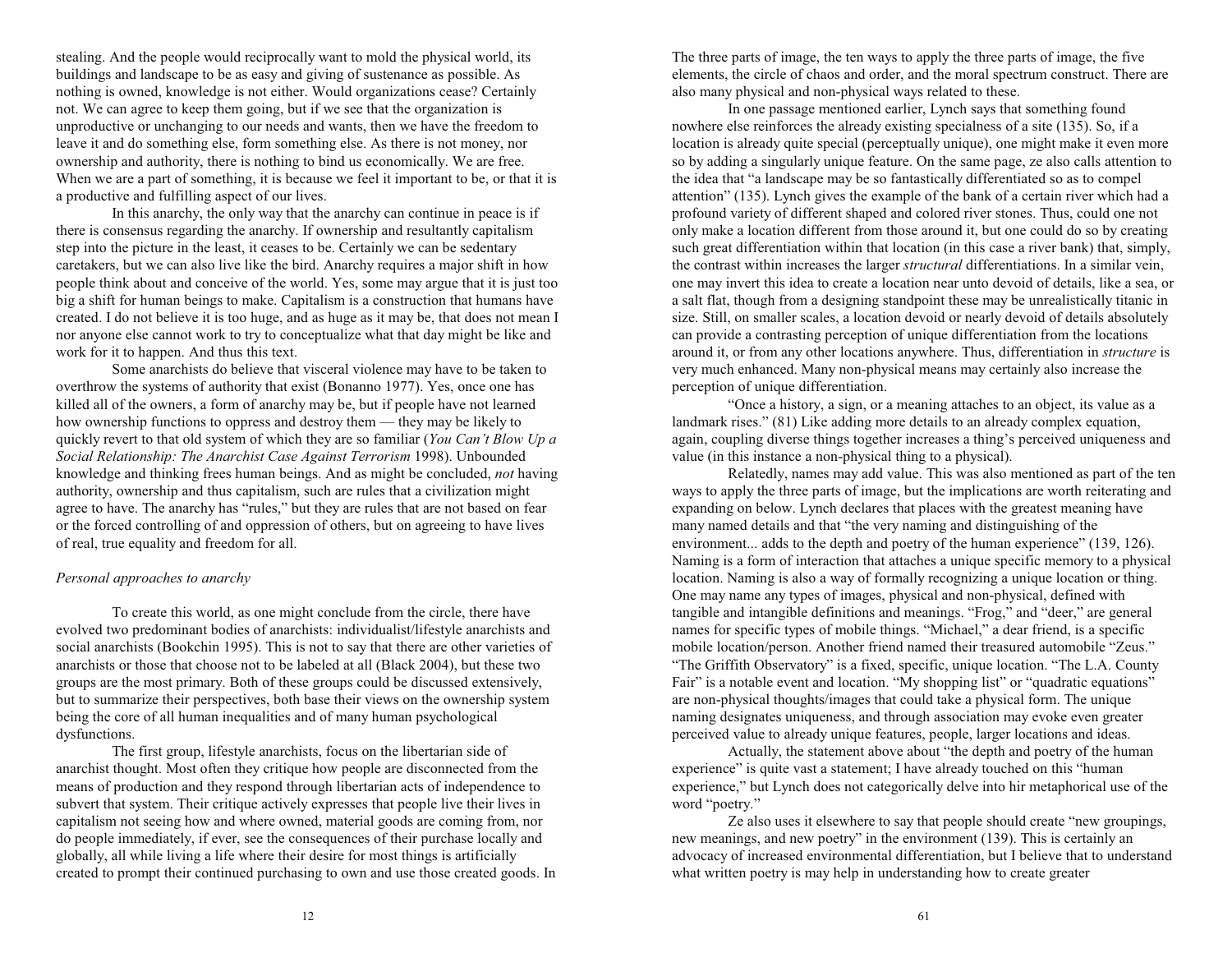stealing. And the people would reciprocally want to mold the physical world, its buildings and landscape to be as easy and giving of sustenance as possible. As nothing is owned, knowledge is not either. Would organizations cease? Certainly not. We can agree to keep them going, but if we see that the organization is unproductive or unchanging to our needs and wants, then we have the freedom to leave it and do something else, form something else. As there is not money, nor ownership and authority, there is nothing to bind us economically. We are free. When we are a part of something, it is because we feel it important to be, or that it is a productive and fulfilling aspect of our lives.

In this anarchy, the only way that the anarchy can continue in peace is if there is consensus regarding the anarchy. If ownership and resultantly capitalism step into the picture in the least, it ceases to be. Certainly we can be sedentary caretakers, but we can also live like the bird. Anarchy requires a major shift in how people think about and conceive of the world. Yes, some may argue that it is just too big a shift for human beings to make. Capitalism is a construction that humans have created. I do not believe it is too huge, and as huge as it may be, that does not mean I nor anyone else cannot work to try to conceptualize what that day might be like and work for it to happen. And thus this text.

Some anarchists do believe that visceral violence may have to be taken to overthrow the systems of authority that exist (Bonanno 1977). Yes, once one has killed all of the owners, a form of anarchy may be, but if people have not learned how ownership functions to oppress and destroy them  $-$  they may be likely to quickly revert to that old system of which they are so familiar (*You Cant Blow Up a Social Relationship: The Anarchist Case Against Terrorism* 1998). Unbounded knowledge and thinking frees human beings. And as might be concluded, *not* having authority, ownership and thus capitalism, such are rules that a civilization might agree to have. The anarchy has "rules," but they are rules that are not based on fear or the forced controlling of and oppression of others, but on agreeing to have lives of real, true equality and freedom for all.

## *Personal approaches to anarchy*

To create this world, as one might conclude from the circle, there have evolved two predominant bodies of anarchists: individualist/lifestyle anarchists and social anarchists (Bookchin 1995). This is not to say that there are other varieties of anarchists or those that choose not to be labeled at all (Black 2004), but these two groups are the most primary. Both of these groups could be discussed extensively, but to summarize their perspectives, both base their views on the ownership system being the core of all human inequalities and of many human psychological dysfunctions.

The first group, lifestyle anarchists, focus on the libertarian side of anarchist thought. Most often they critique how people are disconnected from the means of production and they respond through libertarian acts of independence to subvert that system. Their critique actively expresses that people live their lives in capitalism not seeing how and where owned, material goods are coming from, nor do people immediately, if ever, see the consequences of their purchase locally and globally, all while living a life where their desire for most things is artificially created to prompt their continued purchasing to own and use those created goods. In

The three parts of image, the ten ways to apply the three parts of image, the five elements, the circle of chaos and order, and the moral spectrum construct. There are also many physical and non-physical ways related to these.

In one passage mentioned earlier, Lynch says that something found nowhere else reinforces the already existing specialness of a site (135). So, if a location is already quite special (perceptually unique), one might make it even more so by adding a singularly unique feature. On the same page, ze also calls attention to the idea that "a landscape may be so fantastically differentiated so as to compel attention"  $(135)$ . Lynch gives the example of the bank of a certain river which had a profound variety of different shaped and colored river stones. Thus, could one not only make a location different from those around it, but one could do so by creating such great differentiation within that location (in this case a river bank) that, simply, the contrast within increases the larger *structural* differentiations. In a similar vein, one may invert this idea to create a location near unto devoid of details, like a sea, or a salt flat, though from a designing standpoint these may be unrealistically titanic in size. Still, on smaller scales, a location devoid or nearly devoid of details absolutely can provide a contrasting perception of unique differentiation from the locations around it, or from any other locations anywhere. Thus, differentiation in *structure* is very much enhanced. Many non-physical means may certainly also increase the perception of unique differentiation.

Once a history, a sign, or a meaning attaches to an object, its value as a landmark rises." (81) Like adding more details to an already complex equation, again, coupling diverse things together increases a thing's perceived uniqueness and value (in this instance a non-physical thing to a physical).

Relatedly, names may add value. This was also mentioned as part of the ten ways to apply the three parts of image, but the implications are worth reiterating and expanding on below. Lynch declares that places with the greatest meaning have many named details and that "the very naming and distinguishing of the environment... adds to the depth and poetry of the human experience" (139, 126). Naming is a form of interaction that attaches a unique specific memory to a physical location. Naming is also a way of formally recognizing a unique location or thing. One may name any types of images, physical and non-physical, defined with tangible and intangible definitions and meanings. "Frog," and "deer," are general names for specific types of mobile things. "Michael," a dear friend, is a specific mobile location/person. Another friend named their treasured automobile "Zeus." "The Griffith Observatory" is a fixed, specific, unique location. "The L.A. County Fair" is a notable event and location. "My shopping list" or "quadratic equations" are non-physical thoughts/images that could take a physical form. The unique naming designates uniqueness, and through association may evoke even greater perceived value to already unique features, people, larger locations and ideas.

Actually, the statement above about "the depth and poetry of the human experience" is quite vast a statement; I have already touched on this "human" experience," but Lynch does not categorically delve into hir metaphorical use of the word "poetry."

Ze also uses it elsewhere to say that people should create "new groupings, new meanings, and new poetry" in the environment (139). This is certainly an advocacy of increased environmental differentiation, but I believe that to understand what written poetry is may help in understanding how to create greater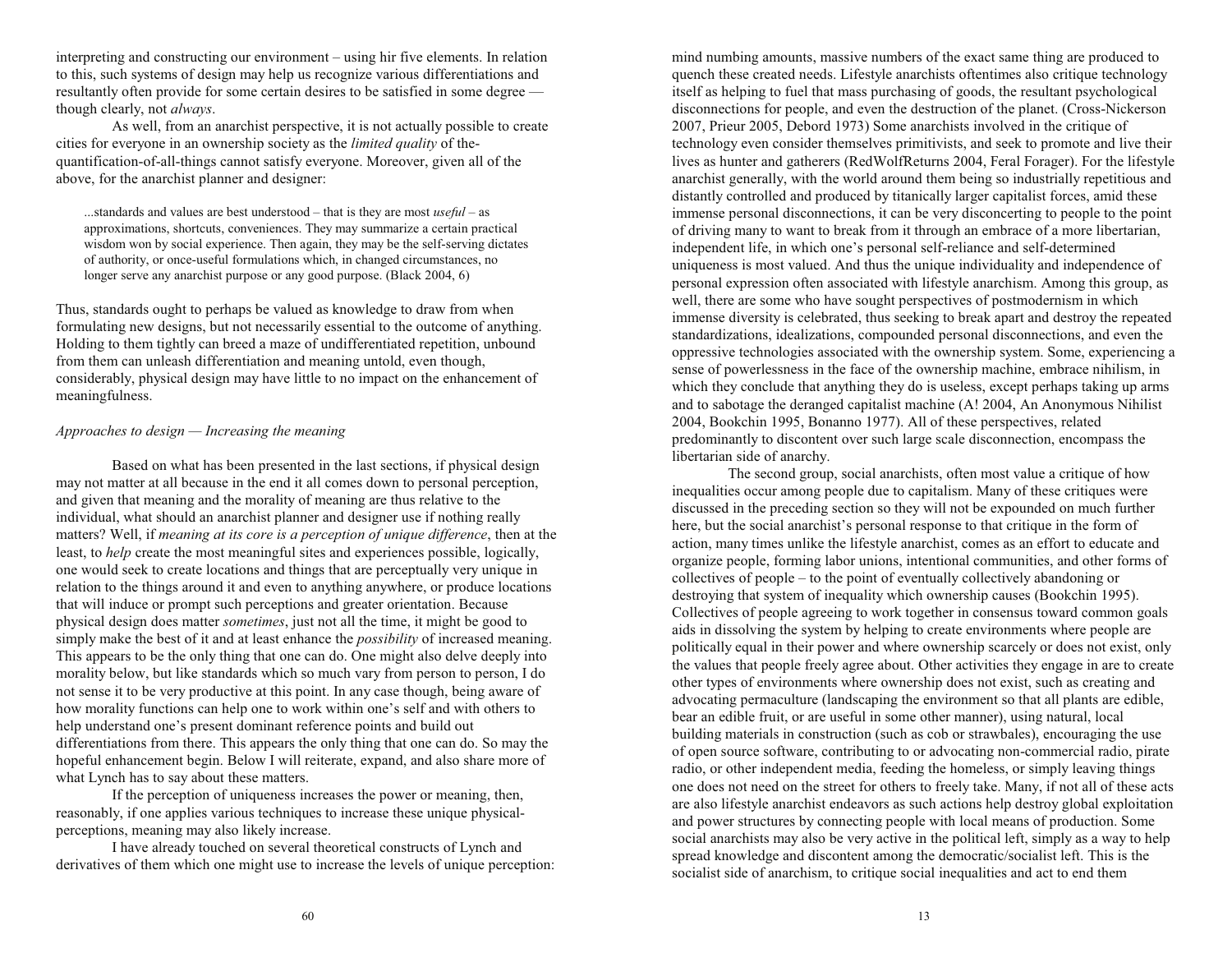interpreting and constructing our environment – using hir five elements. In relation to this, such systems of design may help us recognize various differentiations and resultantly often provide for some certain desires to be satisfied in some degree though clearly, not *always*.

As well, from an anarchist perspective, it is not actually possible to create cities for everyone in an ownership society as the *limited quality* of thequantification-of-all-things cannot satisfy everyone. Moreover, given all of the above, for the anarchist planner and designer:

...standards and values are best understood  $-$  that is they are most *useful*  $-$  as approximations, shortcuts, conveniences. They may summarize a certain practical wisdom won by social experience. Then again, they may be the self-serving dictates of authority, or once-useful formulations which, in changed circumstances, no longer serve any anarchist purpose or any good purpose. (Black 2004, 6)

Thus, standards ought to perhaps be valued as knowledge to draw from when formulating new designs, but not necessarily essential to the outcome of anything. Holding to them tightly can breed a maze of undifferentiated repetition, unbound from them can unleash differentiation and meaning untold, even though, considerably, physical design may have little to no impact on the enhancement of meaningfulness.

## *Approaches to design Increasing the meaning*

Based on what has been presented in the last sections, if physical design may not matter at all because in the end it all comes down to personal perception, and given that meaning and the morality of meaning are thus relative to the individual, what should an anarchist planner and designer use if nothing really matters? Well, if *meaning at its core is a perception of unique difference*, then at the least, to *help* create the most meaningful sites and experiences possible, logically, one would seek to create locations and things that are perceptually very unique in relation to the things around it and even to anything anywhere, or produce locations that will induce or prompt such perceptions and greater orientation. Because physical design does matter *sometimes*, just not all the time, it might be good to simply make the best of it and at least enhance the *possibility* of increased meaning. This appears to be the only thing that one can do. One might also delve deeply into morality below, but like standards which so much vary from person to person, I do not sense it to be very productive at this point. In any case though, being aware of how morality functions can help one to work within one's self and with others to help understand one's present dominant reference points and build out differentiations from there. This appears the only thing that one can do. So may the hopeful enhancement begin. Below I will reiterate, expand, and also share more of what Lynch has to say about these matters.

If the perception of uniqueness increases the power or meaning, then, reasonably, if one applies various techniques to increase these unique physicalperceptions, meaning may also likely increase.

I have already touched on several theoretical constructs of Lynch and derivatives of them which one might use to increase the levels of unique perception:

mind numbing amounts, massive numbers of the exact same thing are produced to quench these created needs. Lifestyle anarchists oftentimes also critique technology itself as helping to fuel that mass purchasing of goods, the resultant psychological disconnections for people, and even the destruction of the planet. (Cross-Nickerson 2007, Prieur 2005, Debord 1973) Some anarchists involved in the critique of technology even consider themselves primitivists, and seek to promote and live their lives as hunter and gatherers (RedWolfReturns 2004, Feral Forager). For the lifestyle anarchist generally, with the world around them being so industrially repetitious and distantly controlled and produced by titanically larger capitalist forces, amid these immense personal disconnections, it can be very disconcerting to people to the point of driving many to want to break from it through an embrace of a more libertarian, independent life, in which one's personal self-reliance and self-determined uniqueness is most valued. And thus the unique individuality and independence of personal expression often associated with lifestyle anarchism. Among this group, as well, there are some who have sought perspectives of postmodernism in which immense diversity is celebrated, thus seeking to break apart and destroy the repeated standardizations, idealizations, compounded personal disconnections, and even the oppressive technologies associated with the ownership system. Some, experiencing a sense of powerlessness in the face of the ownership machine, embrace nihilism, in which they conclude that anything they do is useless, except perhaps taking up arms and to sabotage the deranged capitalist machine (A! 2004, An Anonymous Nihilist 2004, Bookchin 1995, Bonanno 1977). All of these perspectives, related predominantly to discontent over such large scale disconnection, encompass the libertarian side of anarchy.

The second group, social anarchists, often most value a critique of how inequalities occur among people due to capitalism. Many of these critiques were discussed in the preceding section so they will not be expounded on much further here, but the social anarchist's personal response to that critique in the form of action, many times unlike the lifestyle anarchist, comes as an effort to educate and organize people, forming labor unions, intentional communities, and other forms of  $\alpha$  collectives of people  $-\alpha$  to the point of eventually collectively abandoning or destroying that system of inequality which ownership causes (Bookchin 1995). Collectives of people agreeing to work together in consensus toward common goals aids in dissolving the system by helping to create environments where people are politically equal in their power and where ownership scarcely or does not exist, only the values that people freely agree about. Other activities they engage in are to create other types of environments where ownership does not exist, such as creating and advocating permaculture (landscaping the environment so that all plants are edible, bear an edible fruit, or are useful in some other manner), using natural, local building materials in construction (such as cob or strawbales), encouraging the use of open source software, contributing to or advocating non-commercial radio, pirate radio, or other independent media, feeding the homeless, or simply leaving things one does not need on the street for others to freely take. Many, if not all of these acts are also lifestyle anarchist endeavors as such actions help destroy global exploitation and power structures by connecting people with local means of production. Some social anarchists may also be very active in the political left, simply as a way to help spread knowledge and discontent among the democratic/socialist left. This is the socialist side of anarchism, to critique social inequalities and act to end them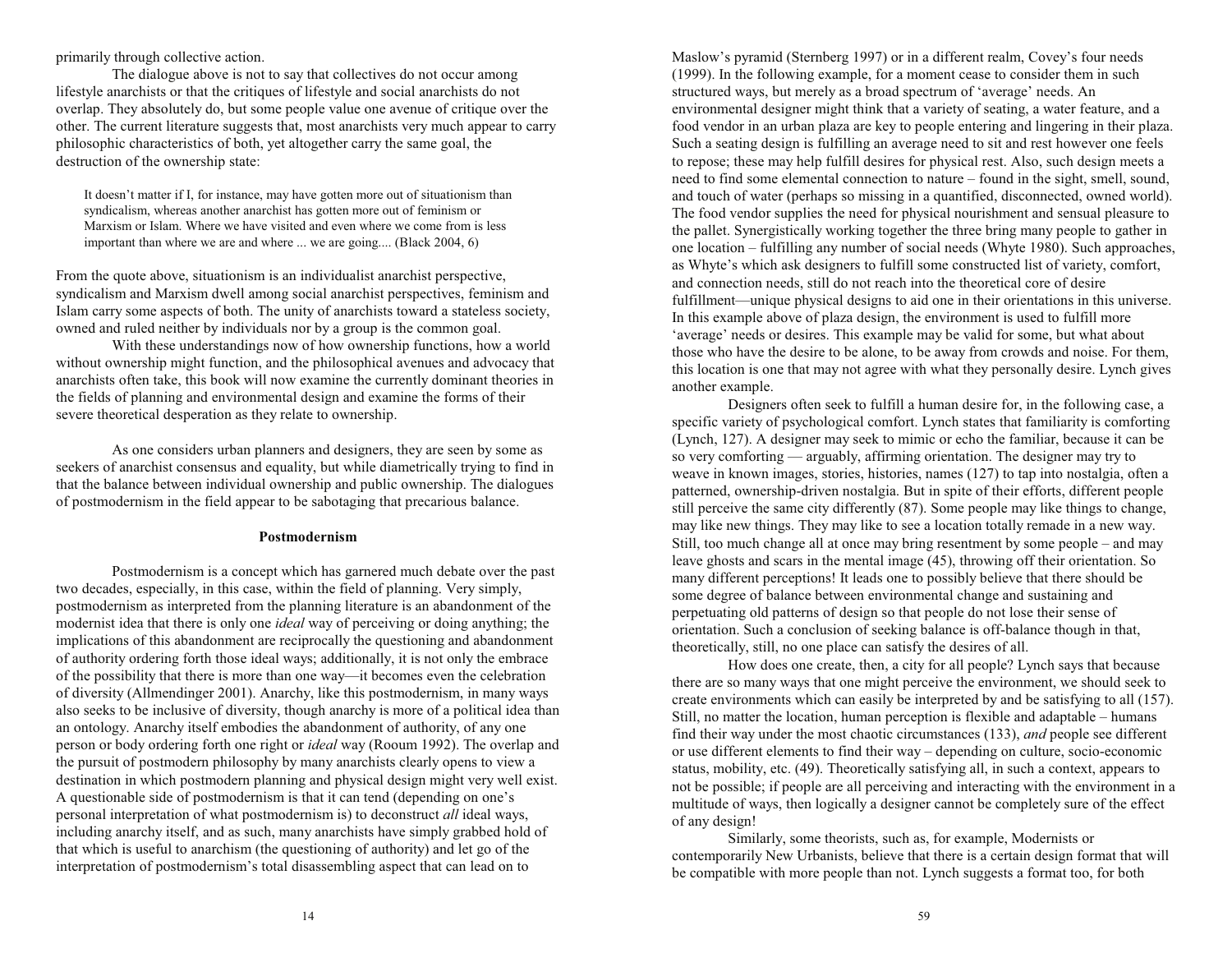primarily through collective action.

The dialogue above is not to say that collectives do not occur among lifestyle anarchists or that the critiques of lifestyle and social anarchists do not overlap. They absolutely do, but some people value one avenue of critique over the other. The current literature suggests that, most anarchists very much appear to carry philosophic characteristics of both, yet altogether carry the same goal, the destruction of the ownership state:

It doesn't matter if I, for instance, may have gotten more out of situationism than syndicalism, whereas another anarchist has gotten more out of feminism or Marxism or Islam. Where we have visited and even where we come from is less important than where we are and where ... we are going.... (Black 2004, 6)

From the quote above, situationism is an individualist anarchist perspective, syndicalism and Marxism dwell among social anarchist perspectives, feminism and Islam carry some aspects of both. The unity of anarchists toward a stateless society, owned and ruled neither by individuals nor by a group is the common goal.

With these understandings now of how ownership functions, how a world without ownership might function, and the philosophical avenues and advocacy that anarchists often take, this book will now examine the currently dominant theories in the fields of planning and environmental design and examine the forms of their severe theoretical desperation as they relate to ownership.

As one considers urban planners and designers, they are seen by some as seekers of anarchist consensus and equality, but while diametrically trying to find in that the balance between individual ownership and public ownership. The dialogues of postmodernism in the field appear to be sabotaging that precarious balance.

## **Postmodernism**

Postmodernism is a concept which has garnered much debate over the past two decades, especially, in this case, within the field of planning. Very simply, postmodernism as interpreted from the planning literature is an abandonment of the modernist idea that there is only one *ideal* way of perceiving or doing anything; the implications of this abandonment are reciprocally the questioning and abandonment of authority ordering forth those ideal ways; additionally, it is not only the embrace of the possibility that there is more than one way—it becomes even the celebration of diversity (Allmendinger 2001). Anarchy, like this postmodernism, in many ways also seeks to be inclusive of diversity, though anarchy is more of a political idea than an ontology. Anarchy itself embodies the abandonment of authority, of any one person or body ordering forth one right or *ideal* way (Rooum 1992). The overlap and the pursuit of postmodern philosophy by many anarchists clearly opens to view a destination in which postmodern planning and physical design might very well exist. A questionable side of postmodernism is that it can tend (depending on one's personal interpretation of what postmodernism is) to deconstruct *all* ideal ways, including anarchy itself, and as such, many anarchists have simply grabbed hold of that which is useful to anarchism (the questioning of authority) and let go of the interpretation of postmodernism's total disassembling aspect that can lead on to

Maslow's pyramid (Sternberg 1997) or in a different realm, Covey's four needs (1999). In the following example, for a moment cease to consider them in such structured ways, but merely as a broad spectrum of 'average' needs. An environmental designer might think that a variety of seating, a water feature, and a food vendor in an urban plaza are key to people entering and lingering in their plaza. Such a seating design is fulfilling an average need to sit and rest however one feels to repose; these may help fulfill desires for physical rest. Also, such design meets a need to find some elemental connection to nature – found in the sight, smell, sound, and touch of water (perhaps so missing in a quantified, disconnected, owned world). The food vendor supplies the need for physical nourishment and sensual pleasure to the pallet. Synergistically working together the three bring many people to gather in one location – fulfilling any number of social needs (Whyte 1980). Such approaches, as Whyte's which ask designers to fulfill some constructed list of variety, comfort, and connection needs, still do not reach into the theoretical core of desire fulfillment—unique physical designs to aid one in their orientations in this universe. In this example above of plaza design, the environment is used to fulfill more 'average' needs or desires. This example may be valid for some, but what about those who have the desire to be alone, to be away from crowds and noise. For them, this location is one that may not agree with what they personally desire. Lynch gives another example.

Designers often seek to fulfill a human desire for, in the following case, a specific variety of psychological comfort. Lynch states that familiarity is comforting (Lynch, 127). A designer may seek to mimic or echo the familiar, because it can be so very comforting — arguably, affirming orientation. The designer may try to weave in known images, stories, histories, names (127) to tap into nostalgia, often a patterned, ownership-driven nostalgia. But in spite of their efforts, different people still perceive the same city differently (87). Some people may like things to change, may like new things. They may like to see a location totally remade in a new way. Still, too much change all at once may bring resentment by some people  $-$  and may leave ghosts and scars in the mental image (45), throwing off their orientation. So many different perceptions! It leads one to possibly believe that there should be some degree of balance between environmental change and sustaining and perpetuating old patterns of design so that people do not lose their sense of orientation. Such a conclusion of seeking balance is off-balance though in that, theoretically, still, no one place can satisfy the desires of all.

How does one create, then, a city for all people? Lynch says that because there are so many ways that one might perceive the environment, we should seek to create environments which can easily be interpreted by and be satisfying to all (157). Still, no matter the location, human perception is flexible and adaptable humans find their way under the most chaotic circumstances (133), *and* people see different or use different elements to find their way depending on culture, socio-economic status, mobility, etc. (49). Theoretically satisfying all, in such a context, appears to not be possible; if people are all perceiving and interacting with the environment in a multitude of ways, then logically a designer cannot be completely sure of the effect of any design!

Similarly, some theorists, such as, for example, Modernists or contemporarily New Urbanists, believe that there is a certain design format that will be compatible with more people than not. Lynch suggests a format too, for both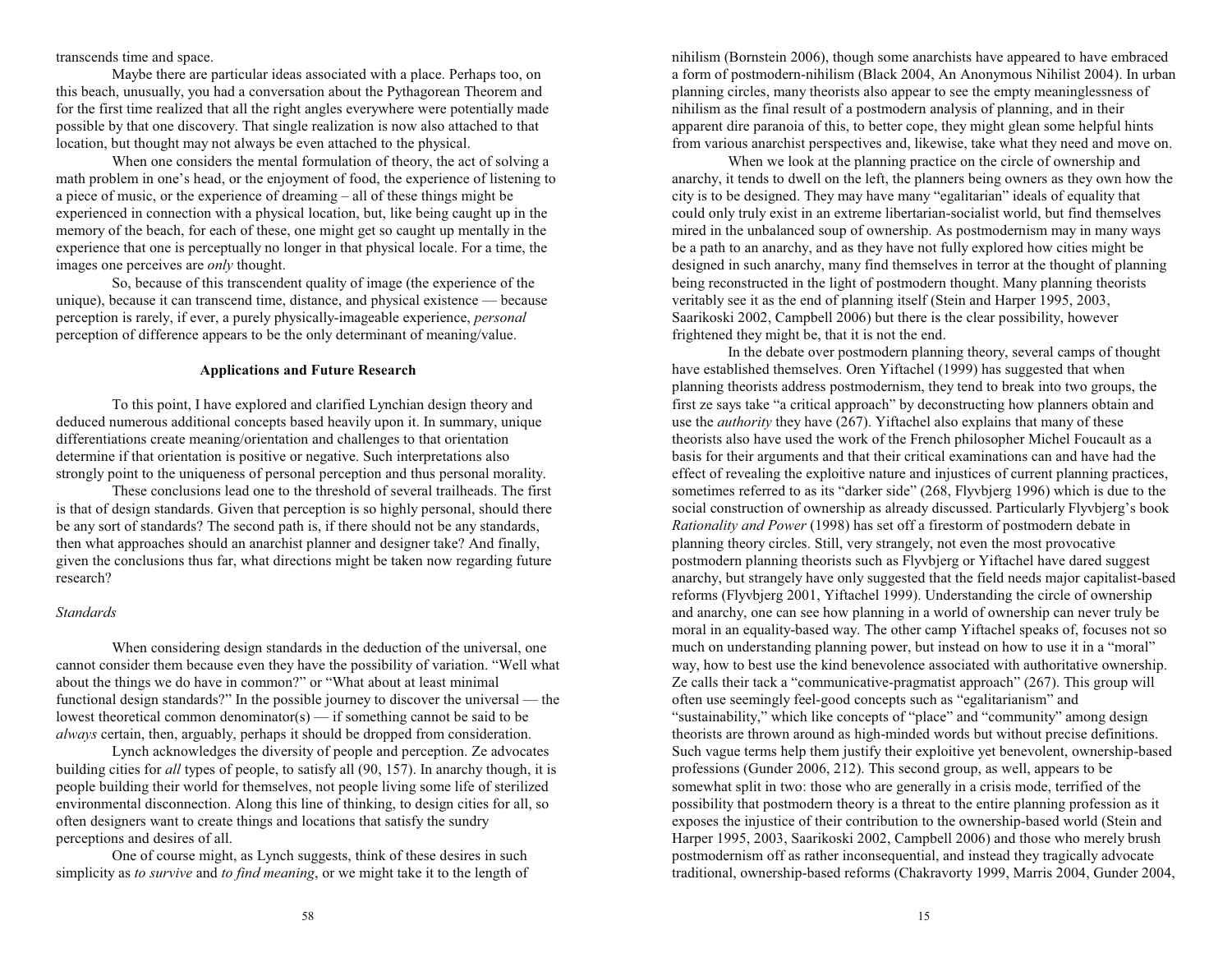transcends time and space.

Maybe there are particular ideas associated with a place. Perhaps too, on this beach, unusually, you had a conversation about the Pythagorean Theorem and for the first time realized that all the right angles everywhere were potentially made possible by that one discovery. That single realization is now also attached to that location, but thought may not always be even attached to the physical.

When one considers the mental formulation of theory, the act of solving a math problem in one's head, or the enjoyment of food, the experience of listening to a piece of music, or the experience of dreaming  $-$  all of these things might be experienced in connection with a physical location, but, like being caught up in the memory of the beach, for each of these, one might get so caught up mentally in the experience that one is perceptually no longer in that physical locale. For a time, the images one perceives are *only* thought.

So, because of this transcendent quality of image (the experience of the unique), because it can transcend time, distance, and physical existence because perception is rarely, if ever, a purely physically-imageable experience, *personal* perception of difference appears to be the only determinant of meaning/value.

## **Applications and Future Research**

To this point, I have explored and clarified Lynchian design theory and deduced numerous additional concepts based heavily upon it. In summary, unique differentiations create meaning/orientation and challenges to that orientation determine if that orientation is positive or negative. Such interpretations also strongly point to the uniqueness of personal perception and thus personal morality.

These conclusions lead one to the threshold of several trailheads. The first is that of design standards. Given that perception is so highly personal, should there be any sort of standards? The second path is, if there should not be any standards, then what approaches should an anarchist planner and designer take? And finally, given the conclusions thus far, what directions might be taken now regarding future research?

#### *Standards*

When considering design standards in the deduction of the universal, one cannot consider them because even they have the possibility of variation. "Well what about the things we do have in common?" or "What about at least minimal functional design standards?" In the possible journey to discover the universal  $-$  the lowest theoretical common denominator(s)  $\frac{1}{s}$  if something cannot be said to be *always* certain, then, arguably, perhaps it should be dropped from consideration.

Lynch acknowledges the diversity of people and perception. Ze advocates building cities for *all* types of people, to satisfy all (90, 157). In anarchy though, it is people building their world for themselves, not people living some life of sterilized environmental disconnection. Along this line of thinking, to design cities for all, so often designers want to create things and locations that satisfy the sundry perceptions and desires of all.

One of course might, as Lynch suggests, think of these desires in such simplicity as *to survive* and *to find meaning*, or we might take it to the length of

nihilism (Bornstein 2006), though some anarchists have appeared to have embraced a form of postmodern-nihilism (Black 2004, An Anonymous Nihilist 2004). In urban planning circles, many theorists also appear to see the empty meaninglessness of nihilism as the final result of a postmodern analysis of planning, and in their apparent dire paranoia of this, to better cope, they might glean some helpful hints from various anarchist perspectives and, likewise, take what they need and move on.

When we look at the planning practice on the circle of ownership and anarchy, it tends to dwell on the left, the planners being owners as they own how the city is to be designed. They may have many "egalitarian" ideals of equality that could only truly exist in an extreme libertarian-socialist world, but find themselves mired in the unbalanced soup of ownership. As postmodernism may in many ways be a path to an anarchy, and as they have not fully explored how cities might be designed in such anarchy, many find themselves in terror at the thought of planning being reconstructed in the light of postmodern thought. Many planning theorists veritably see it as the end of planning itself (Stein and Harper 1995, 2003, Saarikoski 2002, Campbell 2006) but there is the clear possibility, however frightened they might be, that it is not the end.

In the debate over postmodern planning theory, several camps of thought have established themselves. Oren Yiftachel (1999) has suggested that when planning theorists address postmodernism, they tend to break into two groups, the first ze says take "a critical approach" by deconstructing how planners obtain and use the *authority* they have (267). Yiftachel also explains that many of these theorists also have used the work of the French philosopher Michel Foucault as a basis for their arguments and that their critical examinations can and have had the effect of revealing the exploitive nature and injustices of current planning practices, sometimes referred to as its "darker side" (268, Flyvbjerg 1996) which is due to the social construction of ownership as already discussed. Particularly Flyvbjerg's book *Rationality and Power* (1998) has set off a firestorm of postmodern debate in planning theory circles. Still, very strangely, not even the most provocative postmodern planning theorists such as Flyvbjerg or Yiftachel have dared suggest anarchy, but strangely have only suggested that the field needs major capitalist-based reforms (Flyvbjerg 2001, Yiftachel 1999). Understanding the circle of ownership and anarchy, one can see how planning in a world of ownership can never truly be moral in an equality-based way. The other camp Yiftachel speaks of, focuses not so much on understanding planning power, but instead on how to use it in a "moral" way, how to best use the kind benevolence associated with authoritative ownership. Ze calls their tack a "communicative-pragmatist approach"  $(267)$ . This group will often use seemingly feel-good concepts such as "egalitarianism" and "sustainability," which like concepts of "place" and "community" among design theorists are thrown around as high-minded words but without precise definitions. Such vague terms help them justify their exploitive yet benevolent, ownership-based professions (Gunder 2006, 212). This second group, as well, appears to be somewhat split in two: those who are generally in a crisis mode, terrified of the possibility that postmodern theory is a threat to the entire planning profession as it exposes the injustice of their contribution to the ownership-based world (Stein and Harper 1995, 2003, Saarikoski 2002, Campbell 2006) and those who merely brush postmodernism off as rather inconsequential, and instead they tragically advocate traditional, ownership-based reforms (Chakravorty 1999, Marris 2004, Gunder 2004,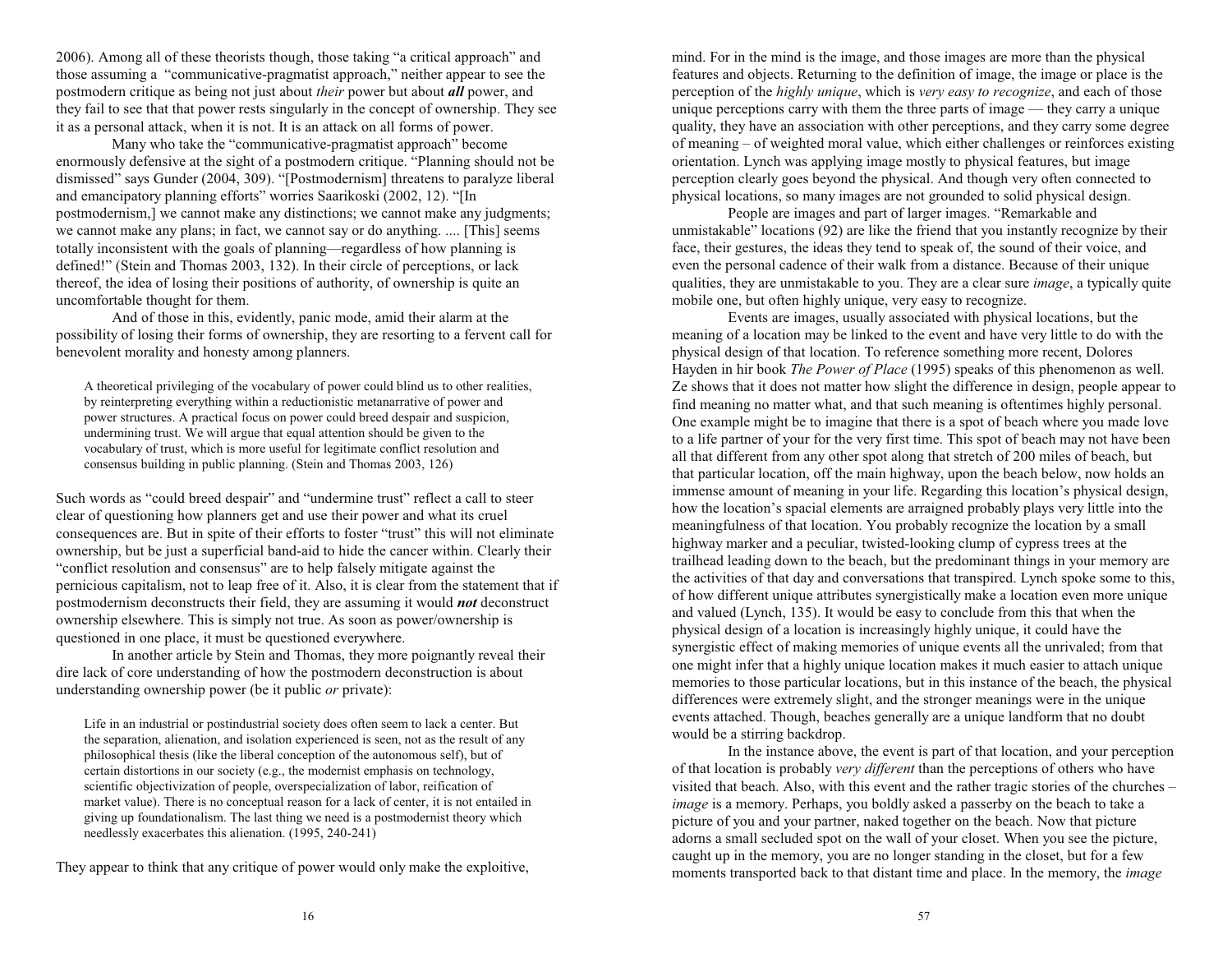2006). Among all of these theorists though, those taking "a critical approach" and those assuming a "communicative-pragmatist approach," neither appear to see the postmodern critique as being not just about *their* power but about *all* power, and they fail to see that that power rests singularly in the concept of ownership. They see it as a personal attack, when it is not. It is an attack on all forms of power.

Many who take the "communicative-pragmatist approach" become enormously defensive at the sight of a postmodern critique. "Planning should not be dismissed" says Gunder (2004, 309). "[Postmodernism] threatens to paralyze liberal and emancipatory planning efforts" worries Saarikoski (2002, 12). "[In postmodernism,] we cannot make any distinctions; we cannot make any judgments; we cannot make any plans; in fact, we cannot say or do anything. .... [This] seems totally inconsistent with the goals of planning—regardless of how planning is defined!" (Stein and Thomas 2003, 132). In their circle of perceptions, or lack thereof, the idea of losing their positions of authority, of ownership is quite an uncomfortable thought for them.

And of those in this, evidently, panic mode, amid their alarm at the possibility of losing their forms of ownership, they are resorting to a fervent call for benevolent morality and honesty among planners.

A theoretical privileging of the vocabulary of power could blind us to other realities, by reinterpreting everything within a reductionistic metanarrative of power and power structures. A practical focus on power could breed despair and suspicion, undermining trust. We will argue that equal attention should be given to the vocabulary of trust, which is more useful for legitimate conflict resolution and consensus building in public planning. (Stein and Thomas 2003, 126)

Such words as "could breed despair" and "undermine trust" reflect a call to steer clear of questioning how planners get and use their power and what its cruel consequences are. But in spite of their efforts to foster "trust" this will not eliminate ownership, but be just a superficial band-aid to hide the cancer within. Clearly their "conflict resolution and consensus" are to help falsely mitigate against the pernicious capitalism, not to leap free of it. Also, it is clear from the statement that if postmodernism deconstructs their field, they are assuming it would *not* deconstruct ownership elsewhere. This is simply not true. As soon as power/ownership is questioned in one place, it must be questioned everywhere.

In another article by Stein and Thomas, they more poignantly reveal their dire lack of core understanding of how the postmodern deconstruction is about understanding ownership power (be it public *or* private):

Life in an industrial or postindustrial society does often seem to lack a center. But the separation, alienation, and isolation experienced is seen, not as the result of any philosophical thesis (like the liberal conception of the autonomous self), but of certain distortions in our society (e.g., the modernist emphasis on technology, scientific objectivization of people, overspecialization of labor, reification of market value). There is no conceptual reason for a lack of center, it is not entailed in giving up foundationalism. The last thing we need is a postmodernist theory which needlessly exacerbates this alienation. (1995, 240-241)

They appear to think that any critique of power would only make the exploitive,

mind. For in the mind is the image, and those images are more than the physical features and objects. Returning to the definition of image, the image or place is the perception of the *highly unique*, which is *very easy to recognize*, and each of those unique perceptions carry with them the three parts of image  $-$  they carry a unique quality, they have an association with other perceptions, and they carry some degree of meaning – of weighted moral value, which either challenges or reinforces existing orientation. Lynch was applying image mostly to physical features, but image perception clearly goes beyond the physical. And though very often connected to physical locations, so many images are not grounded to solid physical design.

People are images and part of larger images. "Remarkable and unmistakable" locations  $(92)$  are like the friend that you instantly recognize by their face, their gestures, the ideas they tend to speak of, the sound of their voice, and even the personal cadence of their walk from a distance. Because of their unique qualities, they are unmistakable to you. They are a clear sure *image*, a typically quite mobile one, but often highly unique, very easy to recognize.

Events are images, usually associated with physical locations, but the meaning of a location may be linked to the event and have very little to do with the physical design of that location. To reference something more recent, Dolores Hayden in hir book *The Power of Place* (1995) speaks of this phenomenon as well. Ze shows that it does not matter how slight the difference in design, people appear to find meaning no matter what, and that such meaning is oftentimes highly personal. One example might be to imagine that there is a spot of beach where you made love to a life partner of your for the very first time. This spot of beach may not have been all that different from any other spot along that stretch of 200 miles of beach, but that particular location, off the main highway, upon the beach below, now holds an immense amount of meaning in your life. Regarding this location's physical design, how the location's spacial elements are arraigned probably plays very little into the meaningfulness of that location. You probably recognize the location by a small highway marker and a peculiar, twisted-looking clump of cypress trees at the trailhead leading down to the beach, but the predominant things in your memory are the activities of that day and conversations that transpired. Lynch spoke some to this, of how different unique attributes synergistically make a location even more unique and valued (Lynch, 135). It would be easy to conclude from this that when the physical design of a location is increasingly highly unique, it could have the synergistic effect of making memories of unique events all the unrivaled; from that one might infer that a highly unique location makes it much easier to attach unique memories to those particular locations, but in this instance of the beach, the physical differences were extremely slight, and the stronger meanings were in the unique events attached. Though, beaches generally are a unique landform that no doubt would be a stirring backdrop.

In the instance above, the event is part of that location, and your perception of that location is probably *very different* than the perceptions of others who have visited that beach. Also, with this event and the rather tragic stories of the churches *image* is a memory. Perhaps, you boldly asked a passerby on the beach to take a picture of you and your partner, naked together on the beach. Now that picture adorns a small secluded spot on the wall of your closet. When you see the picture, caught up in the memory, you are no longer standing in the closet, but for a few moments transported back to that distant time and place. In the memory, the *image*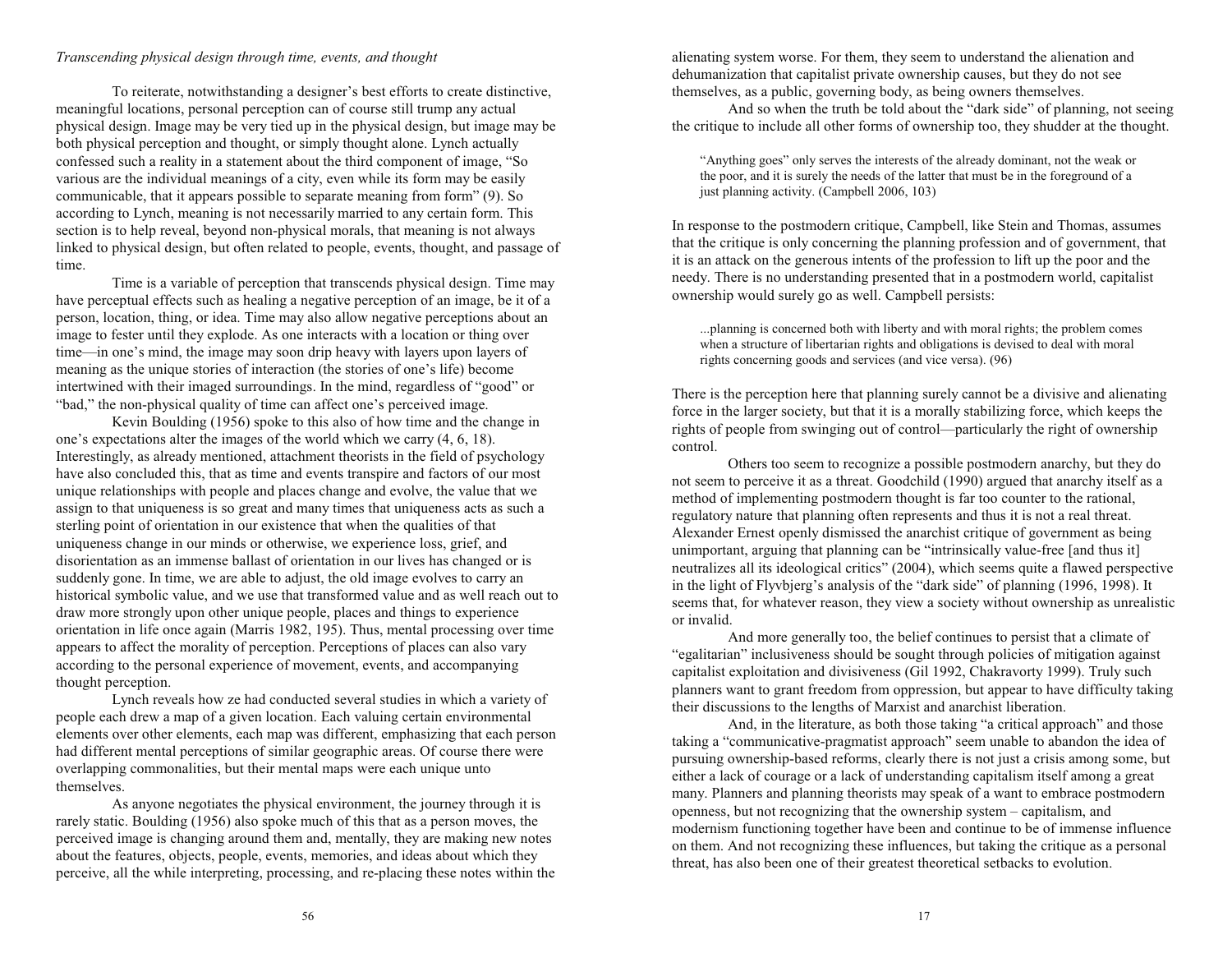# *Transcending physical design through time, events, and thought*

To reiterate, notwithstanding a designer's best efforts to create distinctive, meaningful locations, personal perception can of course still trump any actual physical design. Image may be very tied up in the physical design, but image may be both physical perception and thought, or simply thought alone. Lynch actually confessed such a reality in a statement about the third component of image, "So various are the individual meanings of a city, even while its form may be easily communicable, that it appears possible to separate meaning from form" (9). So according to Lynch, meaning is not necessarily married to any certain form. This section is to help reveal, beyond non-physical morals, that meaning is not always linked to physical design, but often related to people, events, thought, and passage of time.

Time is a variable of perception that transcends physical design. Time may have perceptual effects such as healing a negative perception of an image, be it of a person, location, thing, or idea. Time may also allow negative perceptions about an image to fester until they explode. As one interacts with a location or thing over time—in one's mind, the image may soon drip heavy with layers upon layers of meaning as the unique stories of interaction (the stories of one's life) become intertwined with their imaged surroundings. In the mind, regardless of "good" or "bad," the non-physical quality of time can affect one's perceived image.

Kevin Boulding (1956) spoke to this also of how time and the change in one's expectations alter the images of the world which we carry  $(4, 6, 18)$ . Interestingly, as already mentioned, attachment theorists in the field of psychology have also concluded this, that as time and events transpire and factors of our most unique relationships with people and places change and evolve, the value that we assign to that uniqueness is so great and many times that uniqueness acts as such a sterling point of orientation in our existence that when the qualities of that uniqueness change in our minds or otherwise, we experience loss, grief, and disorientation as an immense ballast of orientation in our lives has changed or is suddenly gone. In time, we are able to adjust, the old image evolves to carry an historical symbolic value, and we use that transformed value and as well reach out to draw more strongly upon other unique people, places and things to experience orientation in life once again (Marris 1982, 195). Thus, mental processing over time appears to affect the morality of perception. Perceptions of places can also vary according to the personal experience of movement, events, and accompanying thought perception.

Lynch reveals how ze had conducted several studies in which a variety of people each drew a map of a given location. Each valuing certain environmental elements over other elements, each map was different, emphasizing that each person had different mental perceptions of similar geographic areas. Of course there were overlapping commonalities, but their mental maps were each unique unto themselves.

As anyone negotiates the physical environment, the journey through it is rarely static. Boulding (1956) also spoke much of this that as a person moves, the perceived image is changing around them and, mentally, they are making new notes about the features, objects, people, events, memories, and ideas about which they perceive, all the while interpreting, processing, and re-placing these notes within the alienating system worse. For them, they seem to understand the alienation and dehumanization that capitalist private ownership causes, but they do not see themselves, as a public, governing body, as being owners themselves.

And so when the truth be told about the "dark side" of planning, not seeing the critique to include all other forms of ownership too, they shudder at the thought.

"Anything goes" only serves the interests of the already dominant, not the weak or the poor, and it is surely the needs of the latter that must be in the foreground of a just planning activity. (Campbell 2006, 103)

In response to the postmodern critique, Campbell, like Stein and Thomas, assumes that the critique is only concerning the planning profession and of government, that it is an attack on the generous intents of the profession to lift up the poor and the needy. There is no understanding presented that in a postmodern world, capitalist ownership would surely go as well. Campbell persists:

...planning is concerned both with liberty and with moral rights; the problem comes when a structure of libertarian rights and obligations is devised to deal with moral rights concerning goods and services (and vice versa). (96)

There is the perception here that planning surely cannot be a divisive and alienating force in the larger society, but that it is a morally stabilizing force, which keeps the rights of people from swinging out of control—particularly the right of ownership control.

 Others too seem to recognize a possible postmodern anarchy, but they do not seem to perceive it as a threat. Goodchild (1990) argued that anarchy itself as a method of implementing postmodern thought is far too counter to the rational, regulatory nature that planning often represents and thus it is not a real threat. Alexander Ernest openly dismissed the anarchist critique of government as being unimportant, arguing that planning can be "intrinsically value-free [and thus it] neutralizes all its ideological critics" (2004), which seems quite a flawed perspective in the light of Flyvbjerg's analysis of the "dark side" of planning (1996, 1998). It seems that, for whatever reason, they view a society without ownership as unrealistic or invalid.

And more generally too, the belief continues to persist that a climate of "egalitarian" inclusiveness should be sought through policies of mitigation against capitalist exploitation and divisiveness (Gil 1992, Chakravorty 1999). Truly such planners want to grant freedom from oppression, but appear to have difficulty taking their discussions to the lengths of Marxist and anarchist liberation.

And, in the literature, as both those taking "a critical approach" and those taking a "communicative-pragmatist approach" seem unable to abandon the idea of pursuing ownership-based reforms, clearly there is not just a crisis among some, but either a lack of courage or a lack of understanding capitalism itself among a great many. Planners and planning theorists may speak of a want to embrace postmodern openness, but not recognizing that the ownership system  $-$  capitalism, and modernism functioning together have been and continue to be of immense influence on them. And not recognizing these influences, but taking the critique as a personal threat, has also been one of their greatest theoretical setbacks to evolution.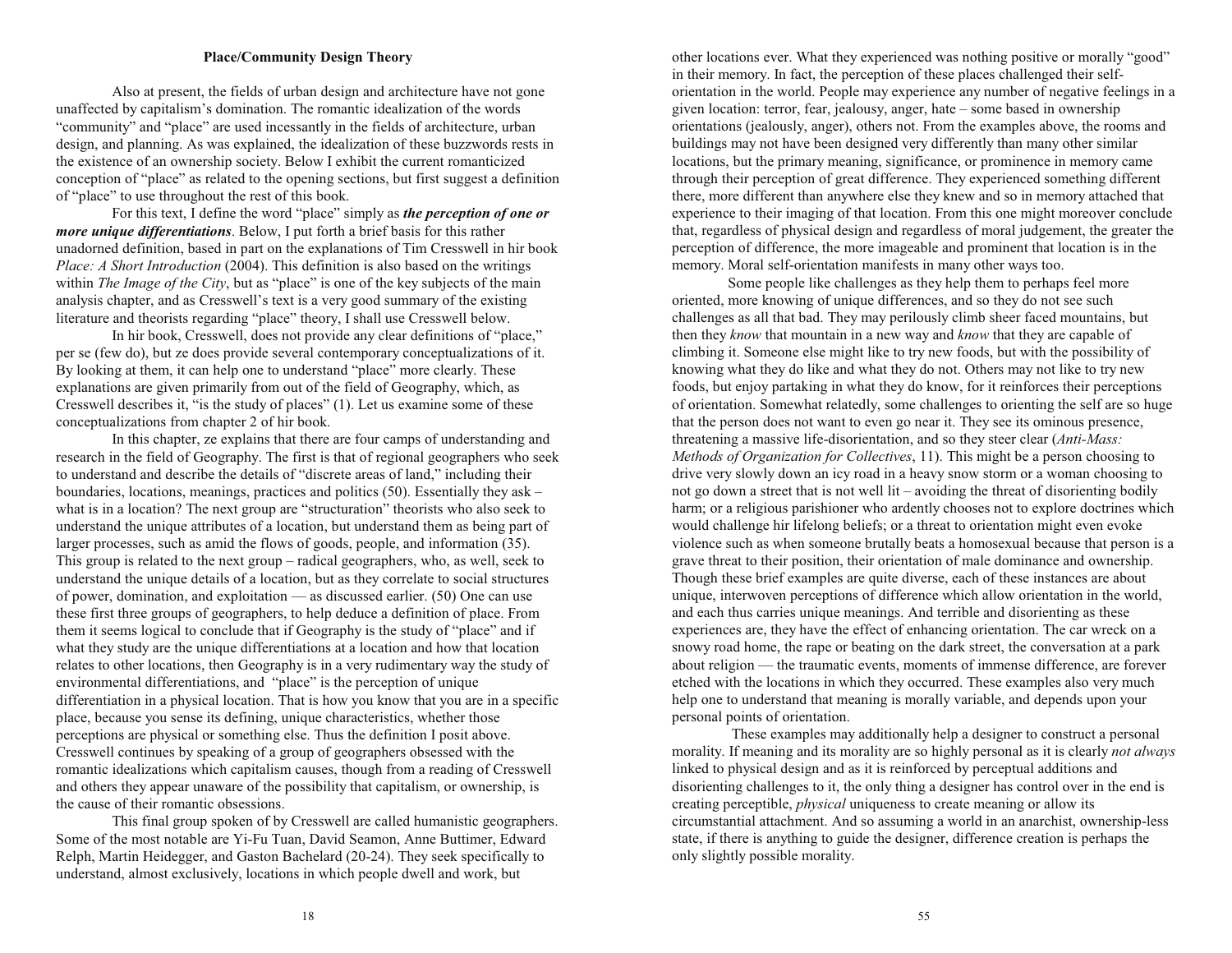# **Place/Community Design Theory**

Also at present, the fields of urban design and architecture have not gone unaffected by capitalism's domination. The romantic idealization of the words "community" and "place" are used incessantly in the fields of architecture, urban design, and planning. As was explained, the idealization of these buzzwords rests in the existence of an ownership society. Below I exhibit the current romanticized conception of "place" as related to the opening sections, but first suggest a definition of "place" to use throughout the rest of this book.

For this text, I define the word "place" simply as *the perception of one or more unique differentiations*. Below, I put forth a brief basis for this rather unadorned definition, based in part on the explanations of Tim Cresswell in hir book *Place: A Short Introduction* (2004). This definition is also based on the writings within *The Image of the City*, but as "place" is one of the key subjects of the main analysis chapter, and as Cresswell's text is a very good summary of the existing literature and theorists regarding "place" theory, I shall use Cresswell below.

In hir book, Cresswell, does not provide any clear definitions of "place," per se (few do), but ze does provide several contemporary conceptualizations of it. By looking at them, it can help one to understand "place" more clearly. These explanations are given primarily from out of the field of Geography, which, as Cresswell describes it, "is the study of places"  $(1)$ . Let us examine some of these conceptualizations from chapter 2 of hir book.

In this chapter, ze explains that there are four camps of understanding and research in the field of Geography. The first is that of regional geographers who seek to understand and describe the details of "discrete areas of land," including their boundaries, locations, meanings, practices and politics (50). Essentially they ask what is in a location? The next group are "structuration" theorists who also seek to understand the unique attributes of a location, but understand them as being part of larger processes, such as amid the flows of goods, people, and information (35). This group is related to the next group  $-$  radical geographers, who, as well, seek to understand the unique details of a location, but as they correlate to social structures of power, domination, and exploitation  $-$  as discussed earlier. (50) One can use these first three groups of geographers, to help deduce a definition of place. From them it seems logical to conclude that if Geography is the study of "place" and if what they study are the unique differentiations at a location and how that location relates to other locations, then Geography is in a very rudimentary way the study of environmental differentiations, and "place" is the perception of unique differentiation in a physical location. That is how you know that you are in a specific place, because you sense its defining, unique characteristics, whether those perceptions are physical or something else. Thus the definition I posit above. Cresswell continues by speaking of a group of geographers obsessed with the romantic idealizations which capitalism causes, though from a reading of Cresswell and others they appear unaware of the possibility that capitalism, or ownership, is the cause of their romantic obsessions.

This final group spoken of by Cresswell are called humanistic geographers. Some of the most notable are Yi-Fu Tuan, David Seamon, Anne Buttimer, Edward Relph, Martin Heidegger, and Gaston Bachelard (20-24). They seek specifically to understand, almost exclusively, locations in which people dwell and work, but

other locations ever. What they experienced was nothing positive or morally "good" in their memory. In fact, the perception of these places challenged their selforientation in the world. People may experience any number of negative feelings in a given location: terror, fear, jealousy, anger, hate - some based in ownership orientations (jealously, anger), others not. From the examples above, the rooms and buildings may not have been designed very differently than many other similar locations, but the primary meaning, significance, or prominence in memory came through their perception of great difference. They experienced something different there, more different than anywhere else they knew and so in memory attached that experience to their imaging of that location. From this one might moreover conclude that, regardless of physical design and regardless of moral judgement, the greater the perception of difference, the more imageable and prominent that location is in the memory. Moral self-orientation manifests in many other ways too.

Some people like challenges as they help them to perhaps feel more oriented, more knowing of unique differences, and so they do not see such challenges as all that bad. They may perilously climb sheer faced mountains, but then they *know* that mountain in a new way and *know* that they are capable of climbing it. Someone else might like to try new foods, but with the possibility of knowing what they do like and what they do not. Others may not like to try new foods, but enjoy partaking in what they do know, for it reinforces their perceptions of orientation. Somewhat relatedly, some challenges to orienting the self are so huge that the person does not want to even go near it. They see its ominous presence, threatening a massive life-disorientation, and so they steer clear (*Anti-Mass: Methods of Organization for Collectives*, 11). This might be a person choosing to drive very slowly down an icy road in a heavy snow storm or a woman choosing to not go down a street that is not well  $lit$  – avoiding the threat of disorienting bodily harm; or a religious parishioner who ardently chooses not to explore doctrines which would challenge hir lifelong beliefs; or a threat to orientation might even evoke violence such as when someone brutally beats a homosexual because that person is a grave threat to their position, their orientation of male dominance and ownership. Though these brief examples are quite diverse, each of these instances are about unique, interwoven perceptions of difference which allow orientation in the world, and each thus carries unique meanings. And terrible and disorienting as these experiences are, they have the effect of enhancing orientation. The car wreck on a snowy road home, the rape or beating on the dark street, the conversation at a park about religion — the traumatic events, moments of immense difference, are forever etched with the locations in which they occurred. These examples also very much help one to understand that meaning is morally variable, and depends upon your personal points of orientation.

 These examples may additionally help a designer to construct a personal morality. If meaning and its morality are so highly personal as it is clearly *not always* linked to physical design and as it is reinforced by perceptual additions and disorienting challenges to it, the only thing a designer has control over in the end is creating perceptible, *physical* uniqueness to create meaning or allow its circumstantial attachment. And so assuming a world in an anarchist, ownership-less state, if there is anything to guide the designer, difference creation is perhaps the only slightly possible morality.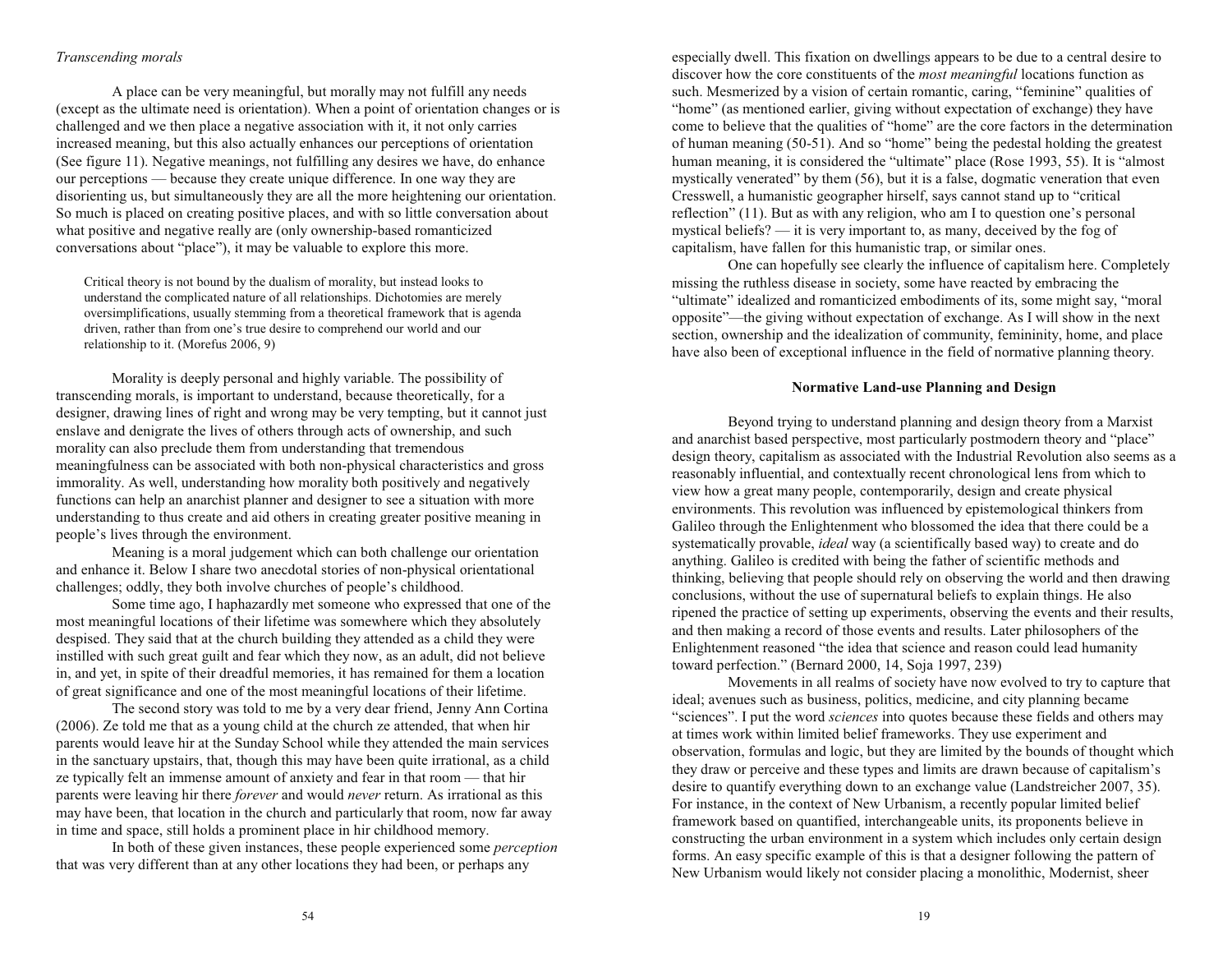# *Transcending morals*

A place can be very meaningful, but morally may not fulfill any needs (except as the ultimate need is orientation). When a point of orientation changes or is challenged and we then place a negative association with it, it not only carries increased meaning, but this also actually enhances our perceptions of orientation (See figure 11). Negative meanings, not fulfilling any desires we have, do enhance our perceptions — because they create unique difference. In one way they are disorienting us, but simultaneously they are all the more heightening our orientation. So much is placed on creating positive places, and with so little conversation about what positive and negative really are (only ownership-based romanticized conversations about "place"), it may be valuable to explore this more.

Critical theory is not bound by the dualism of morality, but instead looks to understand the complicated nature of all relationships. Dichotomies are merely oversimplifications, usually stemming from a theoretical framework that is agenda driven, rather than from one's true desire to comprehend our world and our relationship to it. (Morefus 2006, 9)

Morality is deeply personal and highly variable. The possibility of transcending morals, is important to understand, because theoretically, for a designer, drawing lines of right and wrong may be very tempting, but it cannot just enslave and denigrate the lives of others through acts of ownership, and such morality can also preclude them from understanding that tremendous meaningfulness can be associated with both non-physical characteristics and gross immorality. As well, understanding how morality both positively and negatively functions can help an anarchist planner and designer to see a situation with more understanding to thus create and aid others in creating greater positive meaning in people's lives through the environment.

Meaning is a moral judgement which can both challenge our orientation and enhance it. Below I share two anecdotal stories of non-physical orientational challenges; oddly, they both involve churches of people's childhood.

Some time ago, I haphazardly met someone who expressed that one of the most meaningful locations of their lifetime was somewhere which they absolutely despised. They said that at the church building they attended as a child they were instilled with such great guilt and fear which they now, as an adult, did not believe in, and yet, in spite of their dreadful memories, it has remained for them a location of great significance and one of the most meaningful locations of their lifetime.

The second story was told to me by a very dear friend, Jenny Ann Cortina (2006). Ze told me that as a young child at the church ze attended, that when hir parents would leave hir at the Sunday School while they attended the main services in the sanctuary upstairs, that, though this may have been quite irrational, as a child ze typically felt an immense amount of anxiety and fear in that room  $-$  that hir parents were leaving hir there *forever* and would *never* return. As irrational as this may have been, that location in the church and particularly that room, now far away in time and space, still holds a prominent place in hir childhood memory.

In both of these given instances, these people experienced some *perception* that was very different than at any other locations they had been, or perhaps any

especially dwell. This fixation on dwellings appears to be due to a central desire to discover how the core constituents of the *most meaningful* locations function as such. Mesmerized by a vision of certain romantic, caring, "feminine" qualities of "home" (as mentioned earlier, giving without expectation of exchange) they have come to believe that the qualities of "home" are the core factors in the determination of human meaning  $(50-51)$ . And so "home" being the pedestal holding the greatest human meaning, it is considered the "ultimate" place (Rose 1993, 55). It is "almost mystically venerated" by them  $(56)$ , but it is a false, dogmatic veneration that even Cresswell, a humanistic geographer hirself, says cannot stand up to "critical" reflection"  $(11)$ . But as with any religion, who am I to question one's personal mystical beliefs?  $\frac{1}{1}$  it is very important to, as many, deceived by the fog of capitalism, have fallen for this humanistic trap, or similar ones.

One can hopefully see clearly the influence of capitalism here. Completely missing the ruthless disease in society, some have reacted by embracing the "ultimate" idealized and romanticized embodiments of its, some might say, "moral  $opposite$ <sup> $\rightarrow$ </sup> the giving without expectation of exchange. As I will show in the next section, ownership and the idealization of community, femininity, home, and place have also been of exceptional influence in the field of normative planning theory.

## **Normative Land-use Planning and Design**

Beyond trying to understand planning and design theory from a Marxist and anarchist based perspective, most particularly postmodern theory and "place" design theory, capitalism as associated with the Industrial Revolution also seems as a reasonably influential, and contextually recent chronological lens from which to view how a great many people, contemporarily, design and create physical environments. This revolution was influenced by epistemological thinkers from Galileo through the Enlightenment who blossomed the idea that there could be a systematically provable, *ideal* way (a scientifically based way) to create and do anything. Galileo is credited with being the father of scientific methods and thinking, believing that people should rely on observing the world and then drawing conclusions, without the use of supernatural beliefs to explain things. He also ripened the practice of setting up experiments, observing the events and their results, and then making a record of those events and results. Later philosophers of the Enlightenment reasoned "the idea that science and reason could lead humanity toward perfection." (Bernard 2000, 14, Soja 1997, 239)

Movements in all realms of society have now evolved to try to capture that ideal; avenues such as business, politics, medicine, and city planning became "sciences". I put the word *sciences* into quotes because these fields and others may at times work within limited belief frameworks. They use experiment and observation, formulas and logic, but they are limited by the bounds of thought which they draw or perceive and these types and limits are drawn because of capitalism's desire to quantify everything down to an exchange value (Landstreicher 2007, 35). For instance, in the context of New Urbanism, a recently popular limited belief framework based on quantified, interchangeable units, its proponents believe in constructing the urban environment in a system which includes only certain design forms. An easy specific example of this is that a designer following the pattern of New Urbanism would likely not consider placing a monolithic, Modernist, sheer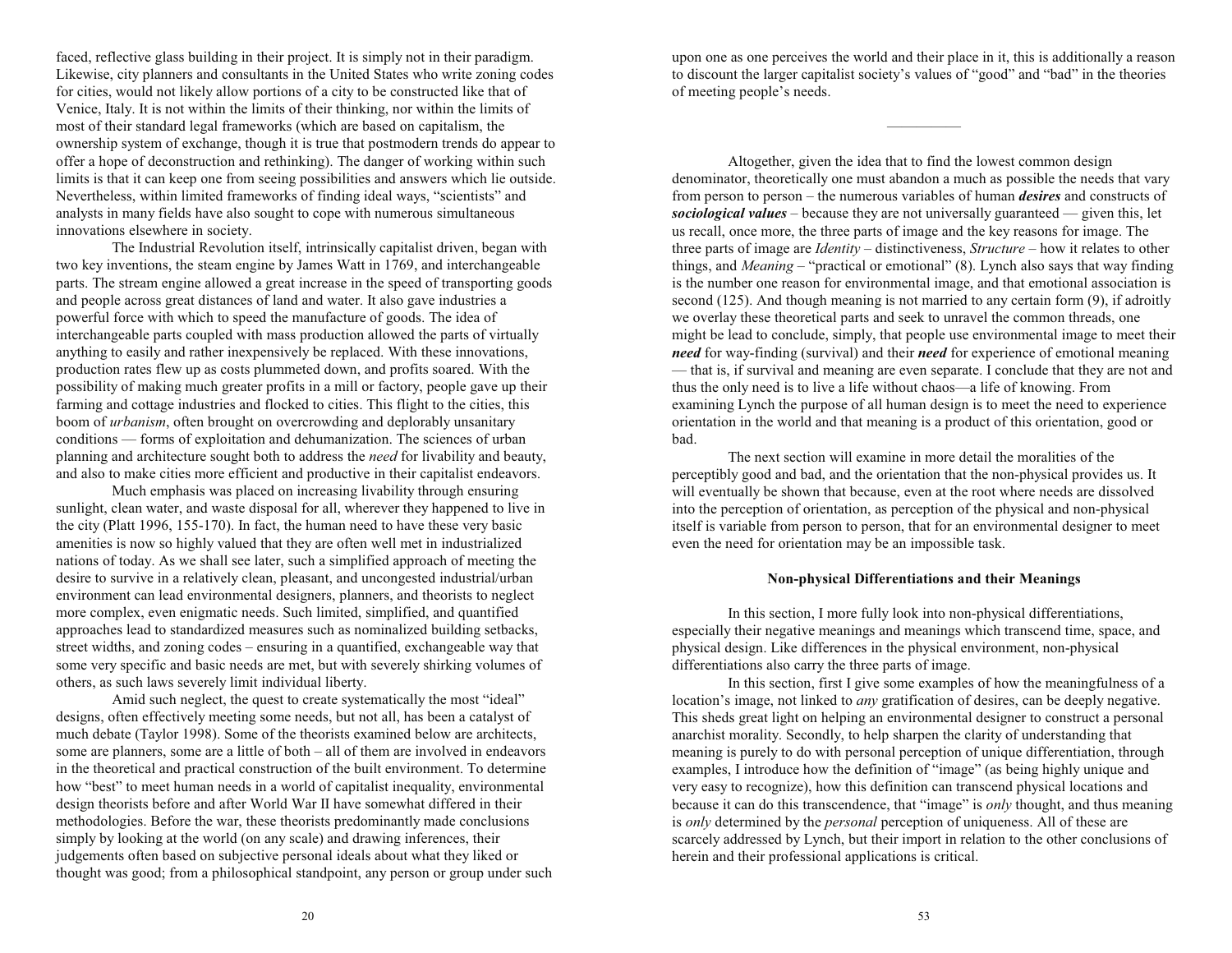faced, reflective glass building in their project. It is simply not in their paradigm. Likewise, city planners and consultants in the United States who write zoning codes for cities, would not likely allow portions of a city to be constructed like that of Venice, Italy. It is not within the limits of their thinking, nor within the limits of most of their standard legal frameworks (which are based on capitalism, the ownership system of exchange, though it is true that postmodern trends do appear to offer a hope of deconstruction and rethinking). The danger of working within such limits is that it can keep one from seeing possibilities and answers which lie outside. Nevertheless, within limited frameworks of finding ideal ways, "scientists" and analysts in many fields have also sought to cope with numerous simultaneous innovations elsewhere in society.

The Industrial Revolution itself, intrinsically capitalist driven, began with two key inventions, the steam engine by James Watt in 1769, and interchangeable parts. The stream engine allowed a great increase in the speed of transporting goods and people across great distances of land and water. It also gave industries a powerful force with which to speed the manufacture of goods. The idea of interchangeable parts coupled with mass production allowed the parts of virtually anything to easily and rather inexpensively be replaced. With these innovations, production rates flew up as costs plummeted down, and profits soared. With the possibility of making much greater profits in a mill or factory, people gave up their farming and cottage industries and flocked to cities. This flight to the cities, this boom of *urbanism*, often brought on overcrowding and deplorably unsanitary conditions — forms of exploitation and dehumanization. The sciences of urban planning and architecture sought both to address the *need* for livability and beauty, and also to make cities more efficient and productive in their capitalist endeavors.

Much emphasis was placed on increasing livability through ensuring sunlight, clean water, and waste disposal for all, wherever they happened to live in the city (Platt 1996, 155-170). In fact, the human need to have these very basic amenities is now so highly valued that they are often well met in industrialized nations of today. As we shall see later, such a simplified approach of meeting the desire to survive in a relatively clean, pleasant, and uncongested industrial/urban environment can lead environmental designers, planners, and theorists to neglect more complex, even enigmatic needs. Such limited, simplified, and quantified approaches lead to standardized measures such as nominalized building setbacks, street widths, and zoning codes – ensuring in a quantified, exchangeable way that some very specific and basic needs are met, but with severely shirking volumes of others, as such laws severely limit individual liberty.

Amid such neglect, the quest to create systematically the most "ideal" designs, often effectively meeting some needs, but not all, has been a catalyst of much debate (Taylor 1998). Some of the theorists examined below are architects, some are planners, some are a little of both  $-$  all of them are involved in endeavors in the theoretical and practical construction of the built environment. To determine how "best" to meet human needs in a world of capitalist inequality, environmental design theorists before and after World War II have somewhat differed in their methodologies. Before the war, these theorists predominantly made conclusions simply by looking at the world (on any scale) and drawing inferences, their judgements often based on subjective personal ideals about what they liked or thought was good; from a philosophical standpoint, any person or group under such

upon one as one perceives the world and their place in it, this is additionally a reason to discount the larger capitalist society's values of "good" and "bad" in the theories of meeting people's needs.

Altogether, given the idea that to find the lowest common design denominator, theoretically one must abandon a much as possible the needs that vary from person to person – the numerous variables of human *desires* and constructs of *sociological values*  $-$  because they are not universally guaranteed  $-$  given this, let us recall, once more, the three parts of image and the key reasons for image. The three parts of image are *Identity* – distinctiveness, *Structure* – how it relates to other things, and *Meaning* – "practical or emotional" (8). Lynch also says that way finding is the number one reason for environmental image, and that emotional association is second (125). And though meaning is not married to any certain form (9), if adroitly we overlay these theoretical parts and seek to unravel the common threads, one might be lead to conclude, simply, that people use environmental image to meet their *need* for way-finding (survival) and their *need* for experience of emotional meaning  $-$  that is, if survival and meaning are even separate. I conclude that they are not and thus the only need is to live a life without chaos—a life of knowing. From examining Lynch the purpose of all human design is to meet the need to experience orientation in the world and that meaning is a product of this orientation, good or bad.

The next section will examine in more detail the moralities of the perceptibly good and bad, and the orientation that the non-physical provides us. It will eventually be shown that because, even at the root where needs are dissolved into the perception of orientation, as perception of the physical and non-physical itself is variable from person to person, that for an environmental designer to meet even the need for orientation may be an impossible task.

# **Non-physical Differentiations and their Meanings**

In this section, I more fully look into non-physical differentiations, especially their negative meanings and meanings which transcend time, space, and physical design. Like differences in the physical environment, non-physical differentiations also carry the three parts of image.

In this section, first I give some examples of how the meaningfulness of a location's image, not linked to *any* gratification of desires, can be deeply negative. This sheds great light on helping an environmental designer to construct a personal anarchist morality. Secondly, to help sharpen the clarity of understanding that meaning is purely to do with personal perception of unique differentiation, through examples, I introduce how the definition of "image" (as being highly unique and very easy to recognize), how this definition can transcend physical locations and because it can do this transcendence, that "image" is *only* thought, and thus meaning is *only* determined by the *personal* perception of uniqueness. All of these are scarcely addressed by Lynch, but their import in relation to the other conclusions of herein and their professional applications is critical.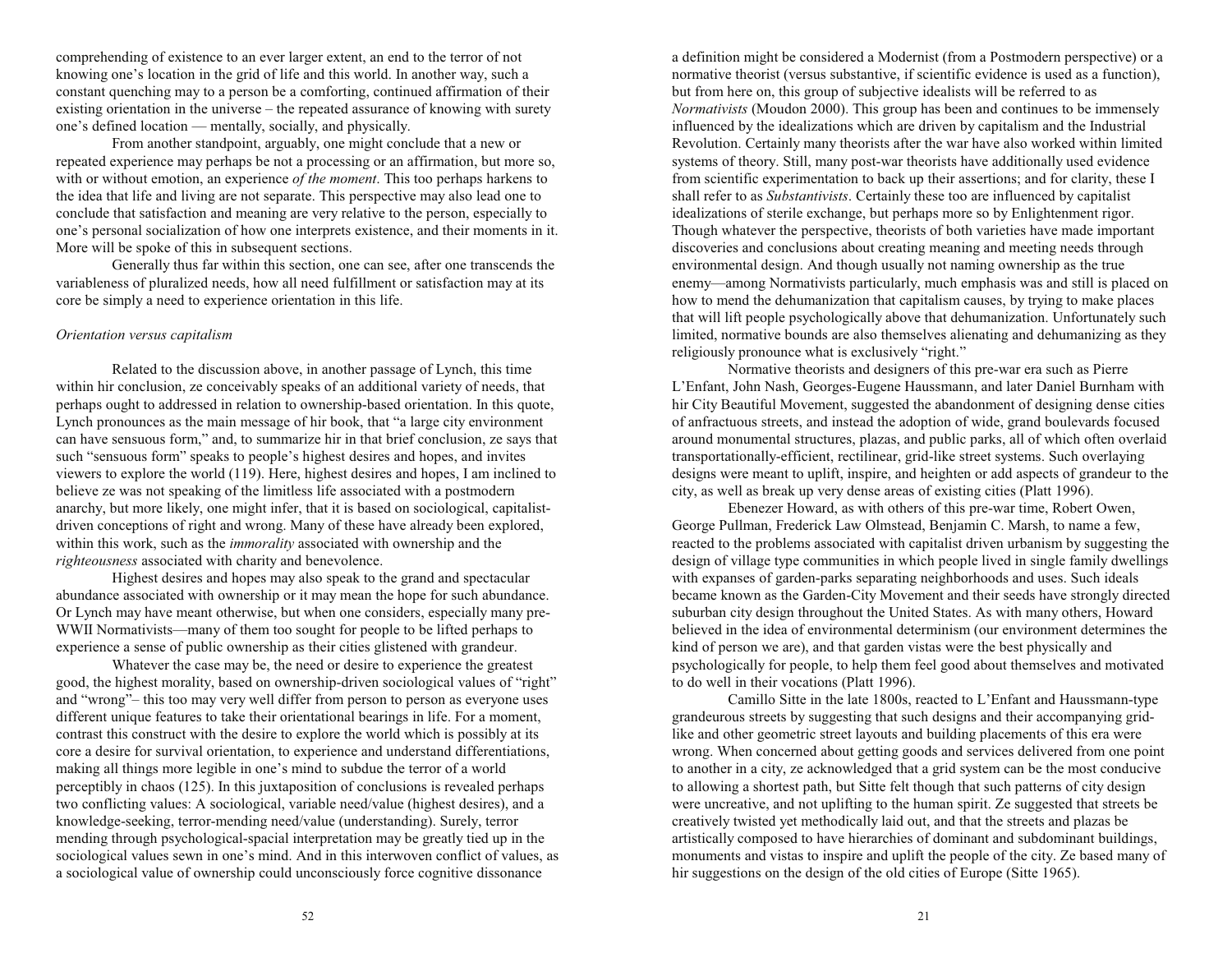comprehending of existence to an ever larger extent, an end to the terror of not knowing one's location in the grid of life and this world. In another way, such a constant quenching may to a person be a comforting, continued affirmation of their existing orientation in the universe  $-$  the repeated assurance of knowing with surety one's defined location — mentally, socially, and physically.

From another standpoint, arguably, one might conclude that a new or repeated experience may perhaps be not a processing or an affirmation, but more so, with or without emotion, an experience *of the moment*. This too perhaps harkens to the idea that life and living are not separate. This perspective may also lead one to conclude that satisfaction and meaning are very relative to the person, especially to one's personal socialization of how one interprets existence, and their moments in it. More will be spoke of this in subsequent sections.

Generally thus far within this section, one can see, after one transcends the variableness of pluralized needs, how all need fulfillment or satisfaction may at its core be simply a need to experience orientation in this life.

## *Orientation versus capitalism*

Related to the discussion above, in another passage of Lynch, this time within hir conclusion, ze conceivably speaks of an additional variety of needs, that perhaps ought to addressed in relation to ownership-based orientation. In this quote, Lynch pronounces as the main message of hir book, that "a large city environment" can have sensuous form," and, to summarize hir in that brief conclusion, ze says that such "sensuous form" speaks to people's highest desires and hopes, and invites viewers to explore the world (119). Here, highest desires and hopes, I am inclined to believe ze was not speaking of the limitless life associated with a postmodern anarchy, but more likely, one might infer, that it is based on sociological, capitalistdriven conceptions of right and wrong. Many of these have already been explored, within this work, such as the *immorality* associated with ownership and the *righteousness* associated with charity and benevolence.

Highest desires and hopes may also speak to the grand and spectacular abundance associated with ownership or it may mean the hope for such abundance. Or Lynch may have meant otherwise, but when one considers, especially many pre-WWII Normativists—many of them too sought for people to be lifted perhaps to experience a sense of public ownership as their cities glistened with grandeur.

Whatever the case may be, the need or desire to experience the greatest good, the highest morality, based on ownership-driven sociological values of "right" and "wrong" – this too may very well differ from person to person as everyone uses different unique features to take their orientational bearings in life. For a moment, contrast this construct with the desire to explore the world which is possibly at its core a desire for survival orientation, to experience and understand differentiations, making all things more legible in one's mind to subdue the terror of a world perceptibly in chaos (125). In this juxtaposition of conclusions is revealed perhaps two conflicting values: A sociological, variable need/value (highest desires), and a knowledge-seeking, terror-mending need/value (understanding). Surely, terror mending through psychological-spacial interpretation may be greatly tied up in the sociological values sewn in one's mind. And in this interwoven conflict of values, as a sociological value of ownership could unconsciously force cognitive dissonance

a definition might be considered a Modernist (from a Postmodern perspective) or a normative theorist (versus substantive, if scientific evidence is used as a function), but from here on, this group of subjective idealists will be referred to as *Normativists* (Moudon 2000). This group has been and continues to be immensely influenced by the idealizations which are driven by capitalism and the Industrial Revolution. Certainly many theorists after the war have also worked within limited systems of theory. Still, many post-war theorists have additionally used evidence from scientific experimentation to back up their assertions; and for clarity, these I shall refer to as *Substantivists*. Certainly these too are influenced by capitalist idealizations of sterile exchange, but perhaps more so by Enlightenment rigor. Though whatever the perspective, theorists of both varieties have made important discoveries and conclusions about creating meaning and meeting needs through environmental design. And though usually not naming ownership as the true enemy—among Normativists particularly, much emphasis was and still is placed on how to mend the dehumanization that capitalism causes, by trying to make places that will lift people psychologically above that dehumanization. Unfortunately such limited, normative bounds are also themselves alienating and dehumanizing as they religiously pronounce what is exclusively "right."

Normative theorists and designers of this pre-war era such as Pierre L'Enfant, John Nash, Georges-Eugene Haussmann, and later Daniel Burnham with hir City Beautiful Movement, suggested the abandonment of designing dense cities of anfractuous streets, and instead the adoption of wide, grand boulevards focused around monumental structures, plazas, and public parks, all of which often overlaid transportationally-efficient, rectilinear, grid-like street systems. Such overlaying designs were meant to uplift, inspire, and heighten or add aspects of grandeur to the city, as well as break up very dense areas of existing cities (Platt 1996).

Ebenezer Howard, as with others of this pre-war time, Robert Owen, George Pullman, Frederick Law Olmstead, Benjamin C. Marsh, to name a few, reacted to the problems associated with capitalist driven urbanism by suggesting the design of village type communities in which people lived in single family dwellings with expanses of garden-parks separating neighborhoods and uses. Such ideals became known as the Garden-City Movement and their seeds have strongly directed suburban city design throughout the United States. As with many others, Howard believed in the idea of environmental determinism (our environment determines the kind of person we are), and that garden vistas were the best physically and psychologically for people, to help them feel good about themselves and motivated to do well in their vocations (Platt 1996).

Camillo Sitte in the late 1800s, reacted to L'Enfant and Haussmann-type grandeurous streets by suggesting that such designs and their accompanying gridlike and other geometric street layouts and building placements of this era were wrong. When concerned about getting goods and services delivered from one point to another in a city, ze acknowledged that a grid system can be the most conducive to allowing a shortest path, but Sitte felt though that such patterns of city design were uncreative, and not uplifting to the human spirit. Ze suggested that streets be creatively twisted yet methodically laid out, and that the streets and plazas be artistically composed to have hierarchies of dominant and subdominant buildings, monuments and vistas to inspire and uplift the people of the city. Ze based many of hir suggestions on the design of the old cities of Europe (Sitte 1965).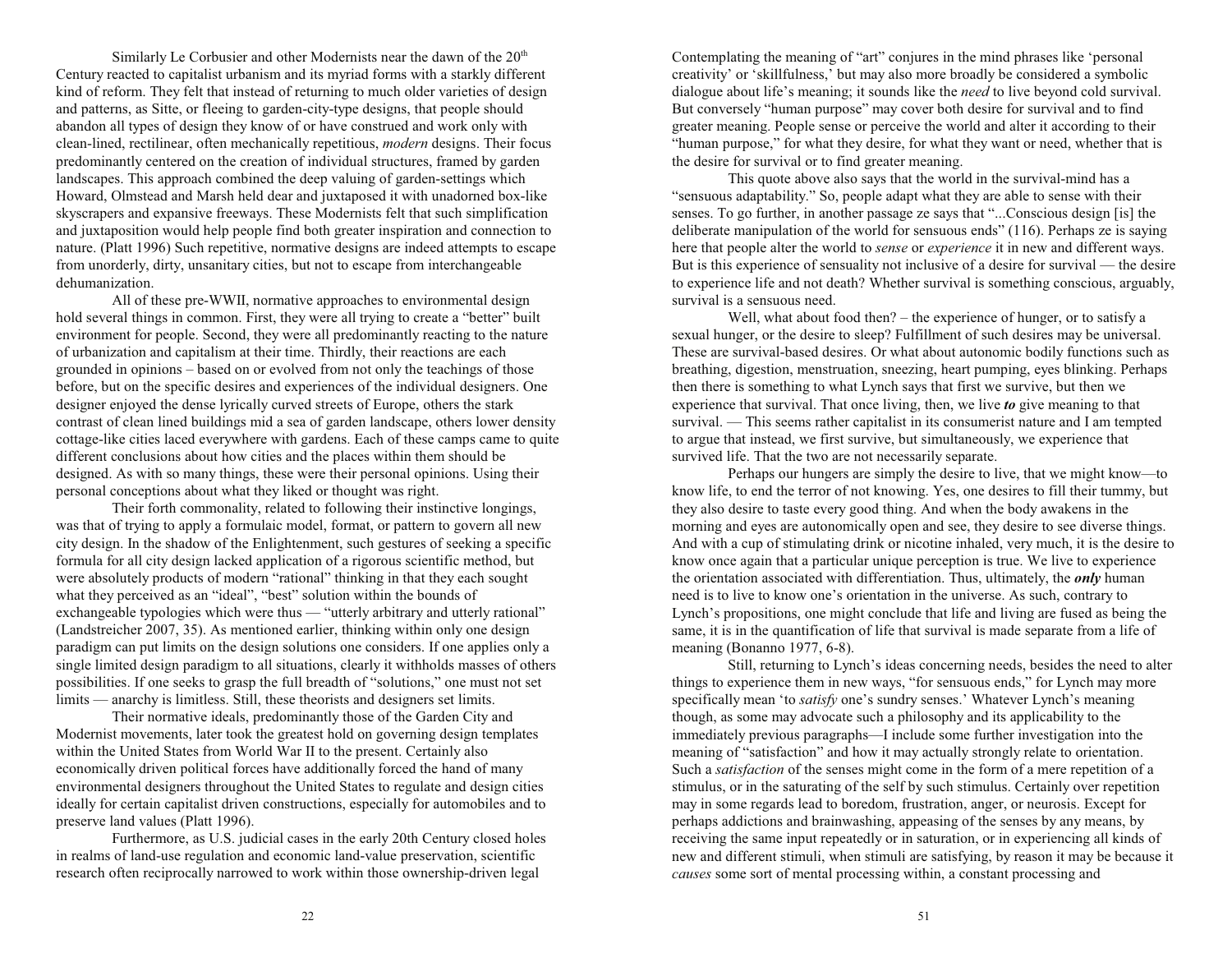Similarly Le Corbusier and other Modernists near the dawn of the 20<sup>th</sup> Century reacted to capitalist urbanism and its myriad forms with a starkly different kind of reform. They felt that instead of returning to much older varieties of design and patterns, as Sitte, or fleeing to garden-city-type designs, that people should abandon all types of design they know of or have construed and work only with clean-lined, rectilinear, often mechanically repetitious, *modern* designs. Their focus predominantly centered on the creation of individual structures, framed by garden landscapes. This approach combined the deep valuing of garden-settings which Howard, Olmstead and Marsh held dear and juxtaposed it with unadorned box-like skyscrapers and expansive freeways. These Modernists felt that such simplification and juxtaposition would help people find both greater inspiration and connection to nature. (Platt 1996) Such repetitive, normative designs are indeed attempts to escape from unorderly, dirty, unsanitary cities, but not to escape from interchangeable dehumanization.

All of these pre-WWII, normative approaches to environmental design hold several things in common. First, they were all trying to create a "better" built environment for people. Second, they were all predominantly reacting to the nature of urbanization and capitalism at their time. Thirdly, their reactions are each grounded in opinions – based on or evolved from not only the teachings of those before, but on the specific desires and experiences of the individual designers. One designer enjoyed the dense lyrically curved streets of Europe, others the stark contrast of clean lined buildings mid a sea of garden landscape, others lower density cottage-like cities laced everywhere with gardens. Each of these camps came to quite different conclusions about how cities and the places within them should be designed. As with so many things, these were their personal opinions. Using their personal conceptions about what they liked or thought was right.

Their forth commonality, related to following their instinctive longings, was that of trying to apply a formulaic model, format, or pattern to govern all new city design. In the shadow of the Enlightenment, such gestures of seeking a specific formula for all city design lacked application of a rigorous scientific method, but were absolutely products of modern "rational" thinking in that they each sought what they perceived as an "ideal", "best" solution within the bounds of exchangeable typologies which were thus  $-$  "utterly arbitrary and utterly rational" (Landstreicher 2007, 35). As mentioned earlier, thinking within only one design paradigm can put limits on the design solutions one considers. If one applies only a single limited design paradigm to all situations, clearly it withholds masses of others possibilities. If one seeks to grasp the full breadth of "solutions," one must not set limits — anarchy is limitless. Still, these theorists and designers set limits.

Their normative ideals, predominantly those of the Garden City and Modernist movements, later took the greatest hold on governing design templates within the United States from World War II to the present. Certainly also economically driven political forces have additionally forced the hand of many environmental designers throughout the United States to regulate and design cities ideally for certain capitalist driven constructions, especially for automobiles and to preserve land values (Platt 1996).

Furthermore, as U.S. judicial cases in the early 20th Century closed holes in realms of land-use regulation and economic land-value preservation, scientific research often reciprocally narrowed to work within those ownership-driven legal

Contemplating the meaning of "art" conjures in the mind phrases like 'personal creativity' or 'skillfulness,' but may also more broadly be considered a symbolic dialogue about life's meaning; it sounds like the *need* to live beyond cold survival. But conversely "human purpose" may cover both desire for survival and to find greater meaning. People sense or perceive the world and alter it according to their "human purpose," for what they desire, for what they want or need, whether that is the desire for survival or to find greater meaning.

This quote above also says that the world in the survival-mind has a "sensuous adaptability." So, people adapt what they are able to sense with their senses. To go further, in another passage ze says that "...Conscious design [is] the deliberate manipulation of the world for sensuous ends"  $(116)$ . Perhaps ze is saying here that people alter the world to *sense* or *experience* it in new and different ways. But is this experience of sensuality not inclusive of a desire for survival  $-$  the desire to experience life and not death? Whether survival is something conscious, arguably, survival is a sensuous need.

Well, what about food then?  $-$  the experience of hunger, or to satisfy a sexual hunger, or the desire to sleep? Fulfillment of such desires may be universal. These are survival-based desires. Or what about autonomic bodily functions such as breathing, digestion, menstruation, sneezing, heart pumping, eyes blinking. Perhaps then there is something to what Lynch says that first we survive, but then we experience that survival. That once living, then, we live *to* give meaning to that survival. — This seems rather capitalist in its consumerist nature and I am tempted to argue that instead, we first survive, but simultaneously, we experience that survived life. That the two are not necessarily separate.

Perhaps our hungers are simply the desire to live, that we might know—to know life, to end the terror of not knowing. Yes, one desires to fill their tummy, but they also desire to taste every good thing. And when the body awakens in the morning and eyes are autonomically open and see, they desire to see diverse things. And with a cup of stimulating drink or nicotine inhaled, very much, it is the desire to know once again that a particular unique perception is true. We live to experience the orientation associated with differentiation. Thus, ultimately, the *only* human need is to live to know one's orientation in the universe. As such, contrary to Lynch's propositions, one might conclude that life and living are fused as being the same, it is in the quantification of life that survival is made separate from a life of meaning (Bonanno 1977, 6-8).

Still, returning to Lynch's ideas concerning needs, besides the need to alter things to experience them in new ways, "for sensuous ends," for Lynch may more specifically mean 'to *satisfy* one's sundry senses.' Whatever Lynch's meaning though, as some may advocate such a philosophy and its applicability to the immediately previous paragraphs—I include some further investigation into the meaning of "satisfaction" and how it may actually strongly relate to orientation. Such a *satisfaction* of the senses might come in the form of a mere repetition of a stimulus, or in the saturating of the self by such stimulus. Certainly over repetition may in some regards lead to boredom, frustration, anger, or neurosis. Except for perhaps addictions and brainwashing, appeasing of the senses by any means, by receiving the same input repeatedly or in saturation, or in experiencing all kinds of new and different stimuli, when stimuli are satisfying, by reason it may be because it *causes* some sort of mental processing within, a constant processing and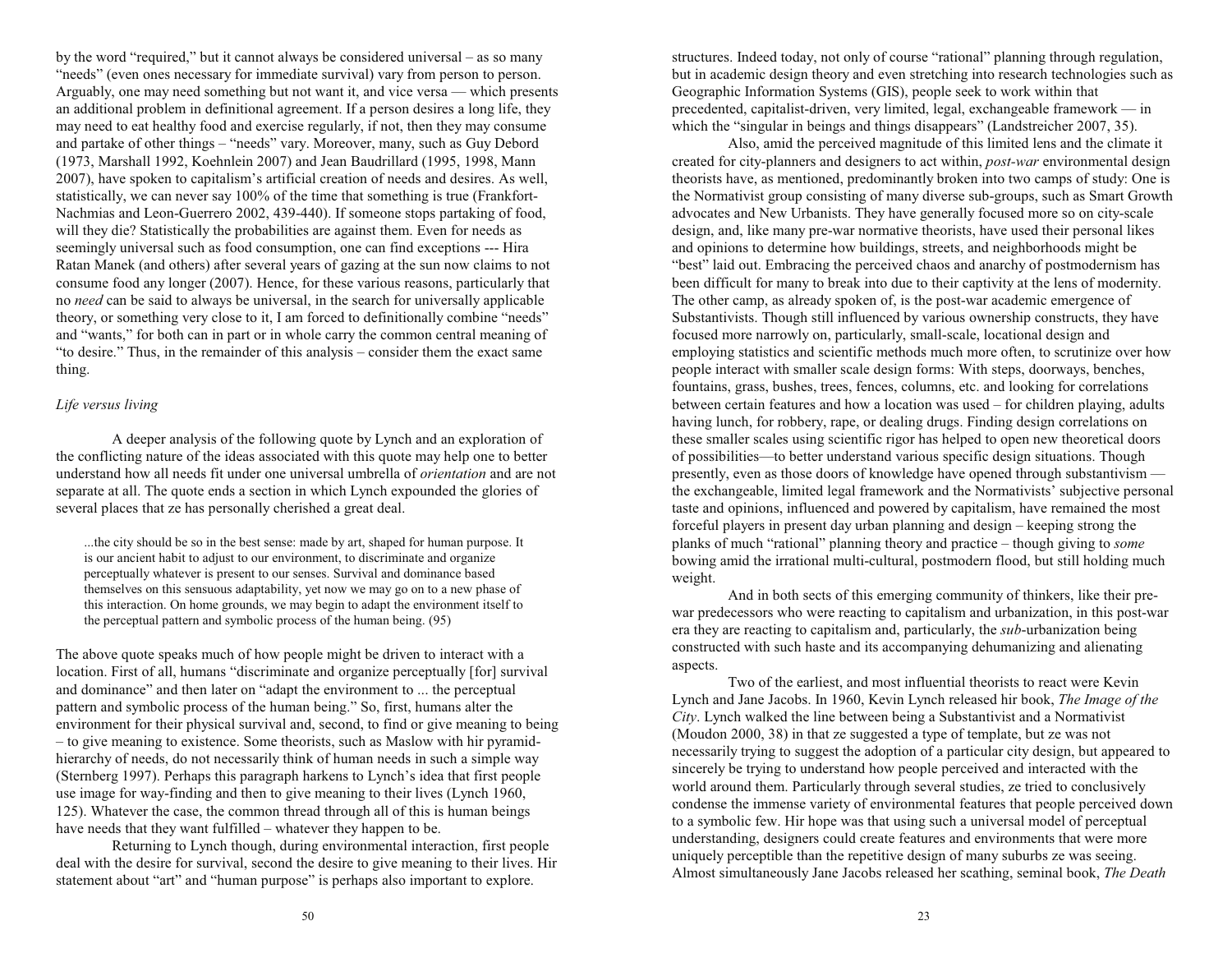by the word "required," but it cannot always be considered universal  $-$  as so many "needs" (even ones necessary for immediate survival) vary from person to person. Arguably, one may need something but not want it, and vice versa — which presents an additional problem in definitional agreement. If a person desires a long life, they may need to eat healthy food and exercise regularly, if not, then they may consume and partake of other things - "needs" vary. Moreover, many, such as Guy Debord (1973, Marshall 1992, Koehnlein 2007) and Jean Baudrillard (1995, 1998, Mann 2007), have spoken to capitalism's artificial creation of needs and desires. As well, statistically, we can never say 100% of the time that something is true (Frankfort-Nachmias and Leon-Guerrero 2002, 439-440). If someone stops partaking of food, will they die? Statistically the probabilities are against them. Even for needs as seemingly universal such as food consumption, one can find exceptions --- Hira Ratan Manek (and others) after several years of gazing at the sun now claims to not consume food any longer (2007). Hence, for these various reasons, particularly that no *need* can be said to always be universal, in the search for universally applicable theory, or something very close to it, I am forced to definitionally combine "needs" and "wants," for both can in part or in whole carry the common central meaning of "to desire." Thus, in the remainder of this analysis  $-$  consider them the exact same thing.

# *Life versus living*

A deeper analysis of the following quote by Lynch and an exploration of the conflicting nature of the ideas associated with this quote may help one to better understand how all needs fit under one universal umbrella of *orientation* and are not separate at all. The quote ends a section in which Lynch expounded the glories of several places that ze has personally cherished a great deal.

...the city should be so in the best sense: made by art, shaped for human purpose. It is our ancient habit to adjust to our environment, to discriminate and organize perceptually whatever is present to our senses. Survival and dominance based themselves on this sensuous adaptability, yet now we may go on to a new phase of this interaction. On home grounds, we may begin to adapt the environment itself to the perceptual pattern and symbolic process of the human being. (95)

The above quote speaks much of how people might be driven to interact with a location. First of all, humans "discriminate and organize perceptually [for] survival and dominance" and then later on "adapt the environment to ... the perceptual pattern and symbolic process of the human being." So, first, humans alter the environment for their physical survival and, second, to find or give meaning to being to give meaning to existence. Some theorists, such as Maslow with hir pyramidhierarchy of needs, do not necessarily think of human needs in such a simple way (Sternberg 1997). Perhaps this paragraph harkens to Lynch's idea that first people use image for way-finding and then to give meaning to their lives (Lynch 1960, 125). Whatever the case, the common thread through all of this is human beings have needs that they want fulfilled – whatever they happen to be.

Returning to Lynch though, during environmental interaction, first people deal with the desire for survival, second the desire to give meaning to their lives. Hir statement about "art" and "human purpose" is perhaps also important to explore.

structures. Indeed today, not only of course "rational" planning through regulation, but in academic design theory and even stretching into research technologies such as Geographic Information Systems (GIS), people seek to work within that precedented, capitalist-driven, very limited, legal, exchangeable framework  $-$  in which the "singular in beings and things disappears" (Landstreicher 2007, 35).

Also, amid the perceived magnitude of this limited lens and the climate it created for city-planners and designers to act within, *post-war* environmental design theorists have, as mentioned, predominantly broken into two camps of study: One is the Normativist group consisting of many diverse sub-groups, such as Smart Growth advocates and New Urbanists. They have generally focused more so on city-scale design, and, like many pre-war normative theorists, have used their personal likes and opinions to determine how buildings, streets, and neighborhoods might be "best" laid out. Embracing the perceived chaos and anarchy of postmodernism has been difficult for many to break into due to their captivity at the lens of modernity. The other camp, as already spoken of, is the post-war academic emergence of Substantivists. Though still influenced by various ownership constructs, they have focused more narrowly on, particularly, small-scale, locational design and employing statistics and scientific methods much more often, to scrutinize over how people interact with smaller scale design forms: With steps, doorways, benches, fountains, grass, bushes, trees, fences, columns, etc. and looking for correlations between certain features and how a location was used  $-$  for children playing, adults having lunch, for robbery, rape, or dealing drugs. Finding design correlations on these smaller scales using scientific rigor has helped to open new theoretical doors of possibilities—to better understand various specific design situations. Though presently, even as those doors of knowledge have opened through substantivism the exchangeable, limited legal framework and the Normativists' subjective personal taste and opinions, influenced and powered by capitalism, have remained the most forceful players in present day urban planning and design – keeping strong the planks of much "rational" planning theory and practice – though giving to *some* bowing amid the irrational multi-cultural, postmodern flood, but still holding much weight.

And in both sects of this emerging community of thinkers, like their prewar predecessors who were reacting to capitalism and urbanization, in this post-war era they are reacting to capitalism and, particularly, the *sub*-urbanization being constructed with such haste and its accompanying dehumanizing and alienating aspects.

Two of the earliest, and most influential theorists to react were Kevin Lynch and Jane Jacobs. In 1960, Kevin Lynch released hir book, *The Image of the City*. Lynch walked the line between being a Substantivist and a Normativist (Moudon 2000, 38) in that ze suggested a type of template, but ze was not necessarily trying to suggest the adoption of a particular city design, but appeared to sincerely be trying to understand how people perceived and interacted with the world around them. Particularly through several studies, ze tried to conclusively condense the immense variety of environmental features that people perceived down to a symbolic few. Hir hope was that using such a universal model of perceptual understanding, designers could create features and environments that were more uniquely perceptible than the repetitive design of many suburbs ze was seeing. Almost simultaneously Jane Jacobs released her scathing, seminal book, *The Death*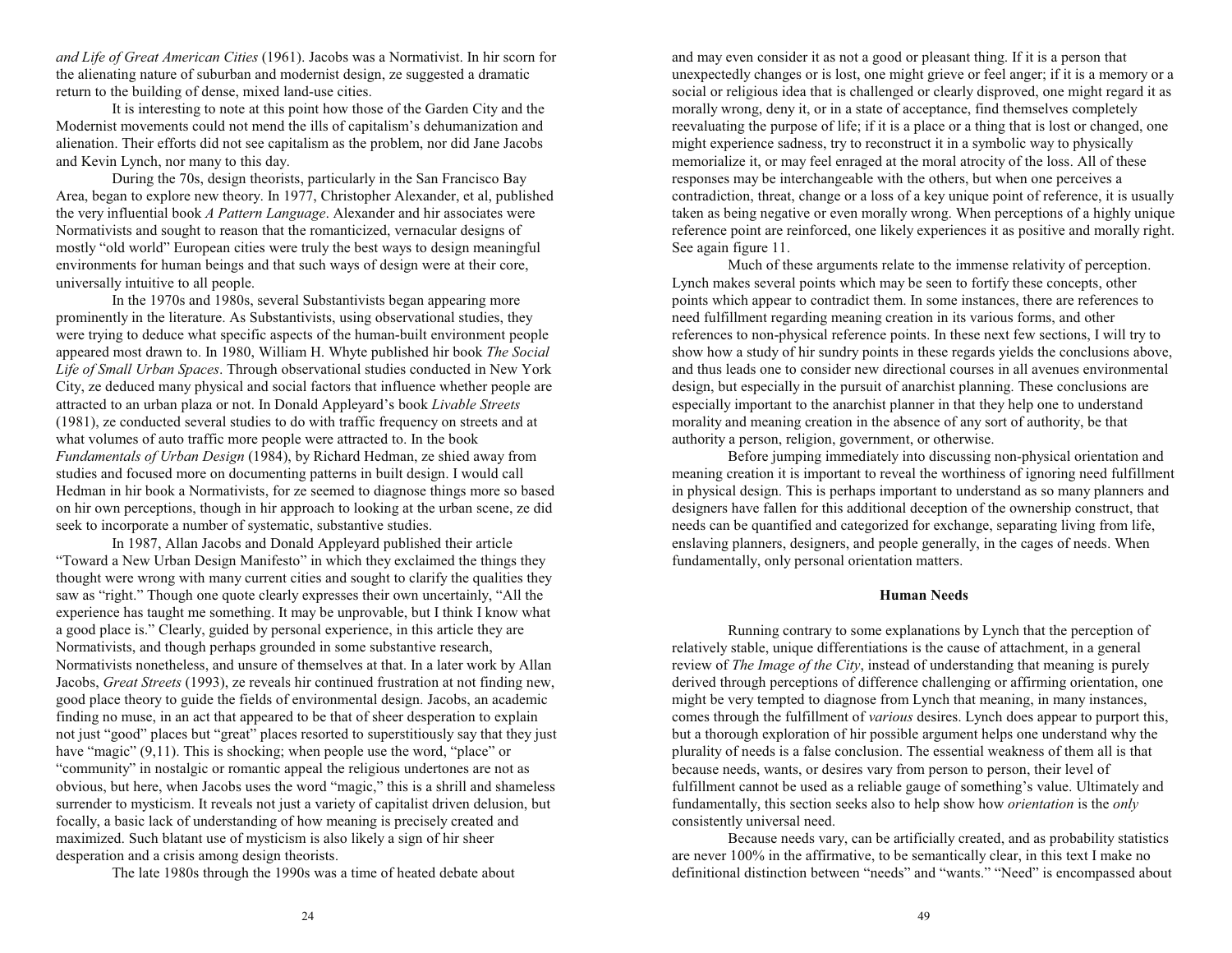*and Life of Great American Cities* (1961). Jacobs was a Normativist. In hir scorn for the alienating nature of suburban and modernist design, ze suggested a dramatic return to the building of dense, mixed land-use cities.

It is interesting to note at this point how those of the Garden City and the Modernist movements could not mend the ills of capitalism's dehumanization and alienation. Their efforts did not see capitalism as the problem, nor did Jane Jacobs and Kevin Lynch, nor many to this day.

During the 70s, design theorists, particularly in the San Francisco Bay Area, began to explore new theory. In 1977, Christopher Alexander, et al, published the very influential book *A Pattern Language*. Alexander and hir associates were Normativists and sought to reason that the romanticized, vernacular designs of mostly "old world" European cities were truly the best ways to design meaningful environments for human beings and that such ways of design were at their core, universally intuitive to all people.

In the 1970s and 1980s, several Substantivists began appearing more prominently in the literature. As Substantivists, using observational studies, they were trying to deduce what specific aspects of the human-built environment people appeared most drawn to. In 1980, William H. Whyte published hir book *The Social Life of Small Urban Spaces*. Through observational studies conducted in New York City, ze deduced many physical and social factors that influence whether people are attracted to an urban plaza or not. In Donald Appleyard's book *Livable Streets* (1981), ze conducted several studies to do with traffic frequency on streets and at what volumes of auto traffic more people were attracted to. In the book *Fundamentals of Urban Design* (1984), by Richard Hedman, ze shied away from studies and focused more on documenting patterns in built design. I would call Hedman in hir book a Normativists, for ze seemed to diagnose things more so based on hir own perceptions, though in hir approach to looking at the urban scene, ze did seek to incorporate a number of systematic, substantive studies.

In 1987, Allan Jacobs and Donald Appleyard published their article "Toward a New Urban Design Manifesto" in which they exclaimed the things they thought were wrong with many current cities and sought to clarify the qualities they saw as "right." Though one quote clearly expresses their own uncertainly, "All the experience has taught me something. It may be unprovable, but I think I know what a good place is. Clearly, guided by personal experience, in this article they are Normativists, and though perhaps grounded in some substantive research, Normativists nonetheless, and unsure of themselves at that. In a later work by Allan Jacobs, *Great Streets* (1993), ze reveals hir continued frustration at not finding new, good place theory to guide the fields of environmental design. Jacobs, an academic finding no muse, in an act that appeared to be that of sheer desperation to explain not just "good" places but "great" places resorted to superstitiously say that they just have "magic"  $(9,11)$ . This is shocking; when people use the word, "place" or "community" in nostalgic or romantic appeal the religious undertones are not as obvious, but here, when Jacobs uses the word "magic," this is a shrill and shameless surrender to mysticism. It reveals not just a variety of capitalist driven delusion, but focally, a basic lack of understanding of how meaning is precisely created and maximized. Such blatant use of mysticism is also likely a sign of hir sheer desperation and a crisis among design theorists.

The late 1980s through the 1990s was a time of heated debate about

and may even consider it as not a good or pleasant thing. If it is a person that unexpectedly changes or is lost, one might grieve or feel anger; if it is a memory or a social or religious idea that is challenged or clearly disproved, one might regard it as morally wrong, deny it, or in a state of acceptance, find themselves completely reevaluating the purpose of life; if it is a place or a thing that is lost or changed, one might experience sadness, try to reconstruct it in a symbolic way to physically memorialize it, or may feel enraged at the moral atrocity of the loss. All of these responses may be interchangeable with the others, but when one perceives a contradiction, threat, change or a loss of a key unique point of reference, it is usually taken as being negative or even morally wrong. When perceptions of a highly unique reference point are reinforced, one likely experiences it as positive and morally right. See again figure 11.

Much of these arguments relate to the immense relativity of perception. Lynch makes several points which may be seen to fortify these concepts, other points which appear to contradict them. In some instances, there are references to need fulfillment regarding meaning creation in its various forms, and other references to non-physical reference points. In these next few sections, I will try to show how a study of hir sundry points in these regards yields the conclusions above, and thus leads one to consider new directional courses in all avenues environmental design, but especially in the pursuit of anarchist planning. These conclusions are especially important to the anarchist planner in that they help one to understand morality and meaning creation in the absence of any sort of authority, be that authority a person, religion, government, or otherwise.

Before jumping immediately into discussing non-physical orientation and meaning creation it is important to reveal the worthiness of ignoring need fulfillment in physical design. This is perhaps important to understand as so many planners and designers have fallen for this additional deception of the ownership construct, that needs can be quantified and categorized for exchange, separating living from life, enslaving planners, designers, and people generally, in the cages of needs. When fundamentally, only personal orientation matters.

## **Human Needs**

Running contrary to some explanations by Lynch that the perception of relatively stable, unique differentiations is the cause of attachment, in a general review of *The Image of the City*, instead of understanding that meaning is purely derived through perceptions of difference challenging or affirming orientation, one might be very tempted to diagnose from Lynch that meaning, in many instances, comes through the fulfillment of *various* desires. Lynch does appear to purport this, but a thorough exploration of hir possible argument helps one understand why the plurality of needs is a false conclusion. The essential weakness of them all is that because needs, wants, or desires vary from person to person, their level of fulfillment cannot be used as a reliable gauge of something's value. Ultimately and fundamentally, this section seeks also to help show how *orientation* is the *only* consistently universal need.

Because needs vary, can be artificially created, and as probability statistics are never 100% in the affirmative, to be semantically clear, in this text I make no definitional distinction between "needs" and "wants." "Need" is encompassed about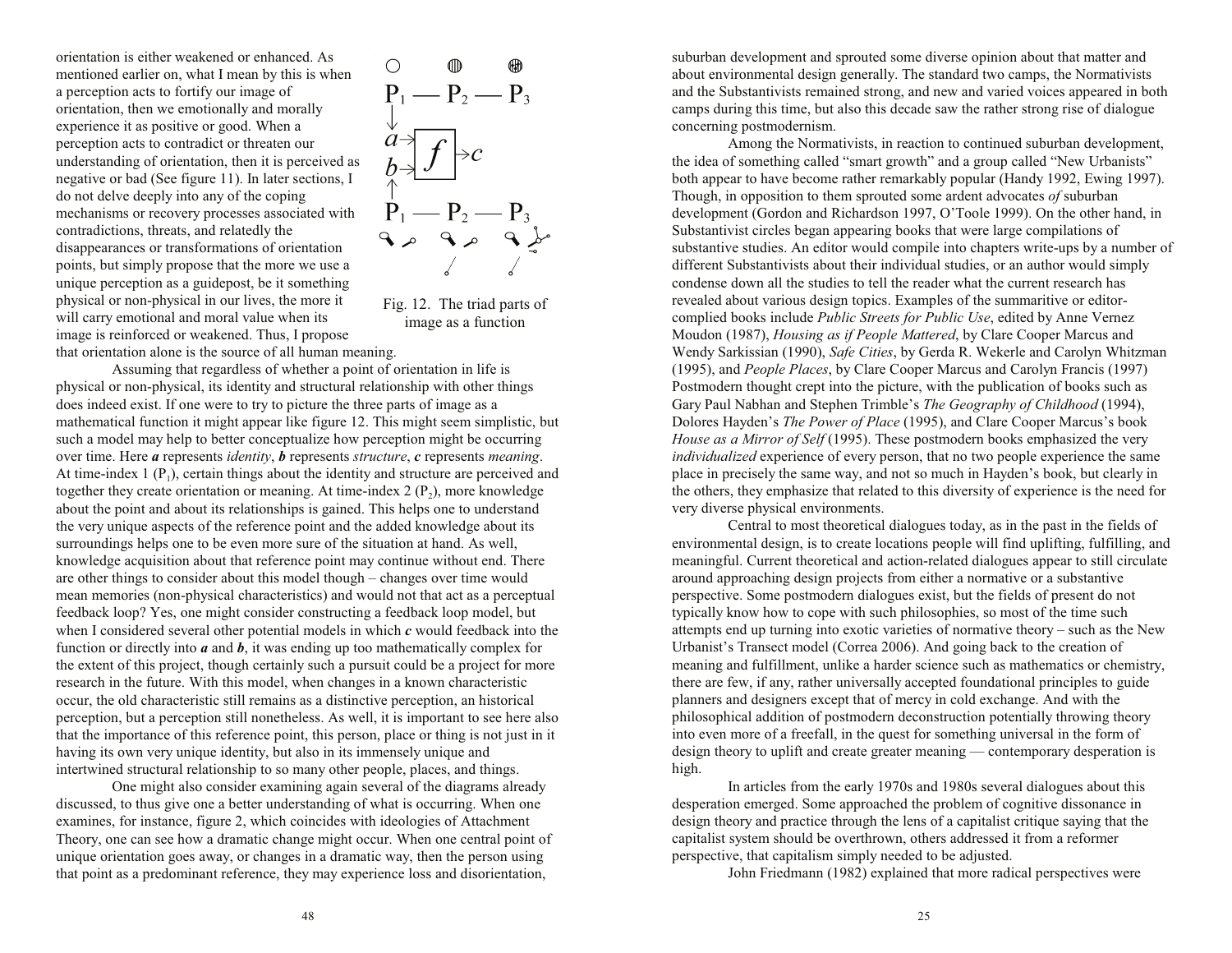orientation is either weakened or enhanced. As mentioned earlier on, what I mean by this is when a perception acts to fortify our image of orientation, then we emotionally and morally experience it as positive or good. When a perception acts to contradict or threaten our understanding of orientation, then it is perceived as negative or bad (See figure 11). In later sections, I do not delve deeply into any of the coping mechanisms or recovery processes associated with contradictions, threats, and relatedly the disappearances or transformations of orientation points, but simply propose that the more we use a unique perception as a guidepost, be it something physical or non-physical in our lives, the more it will carry emotional and moral value when its image is reinforced or weakened. Thus, I propose that orientation alone is the source of all human meaning.



Fig. 12. The triad parts of image as a function

Assuming that regardless of whether a point of orientation in life is physical or non-physical, its identity and structural relationship with other things does indeed exist. If one were to try to picture the three parts of image as a mathematical function it might appear like figure 12. This might seem simplistic, but such a model may help to better conceptualize how perception might be occurring over time. Here *<sup>a</sup>* represents *identity*, *b* represents *structure*, *<sup>c</sup>* represents *meaning*. At time-index  $1 (P_1)$ , certain things about the identity and structure are perceived and together they create orientation or meaning. At time-index  $2(P_2)$ , more knowledge about the point and about its relationships is gained. This helps one to understand the very unique aspects of the reference point and the added knowledge about its surroundings helps one to be even more sure of the situation at hand. As well, knowledge acquisition about that reference point may continue without end. There are other things to consider about this model though – changes over time would mean memories (non-physical characteristics) and would not that act as a perceptual feedback loop? Yes, one might consider constructing a feedback loop model, but when I considered several other potential models in which *<sup>c</sup>* would feedback into the function or directly into *<sup>a</sup>* and *b*, it was ending up too mathematically complex for the extent of this project, though certainly such a pursuit could be a project for more research in the future. With this model, when changes in a known characteristic occur, the old characteristic still remains as a distinctive perception, an historical perception, but a perception still nonetheless. As well, it is important to see here also that the importance of this reference point, this person, place or thing is not just in it having its own very unique identity, but also in its immensely unique and intertwined structural relationship to so many other people, places, and things.

One might also consider examining again several of the diagrams already discussed, to thus give one a better understanding of what is occurring. When one examines, for instance, figure 2, which coincides with ideologies of Attachment Theory, one can see how a dramatic change might occur. When one central point of unique orientation goes away, or changes in a dramatic way, then the person using that point as a predominant reference, they may experience loss and disorientation,

suburban development and sprouted some diverse opinion about that matter and about environmental design generally. The standard two camps, the Normativists and the Substantivists remained strong, and new and varied voices appeared in both camps during this time, but also this decade saw the rather strong rise of dialogue concerning postmodernism.

Among the Normativists, in reaction to continued suburban development, the idea of something called "smart growth" and a group called "New Urbanists" both appear to have become rather remarkably popular (Handy 1992, Ewing 1997). Though, in opposition to them sprouted some ardent advocates *of* suburban development (Gordon and Richardson 1997, O'Toole 1999). On the other hand, in Substantivist circles began appearing books that were large compilations of substantive studies. An editor would compile into chapters write-ups by a number of different Substantivists about their individual studies, or an author would simply condense down all the studies to tell the reader what the current research has revealed about various design topics. Examples of the summaritive or editorcomplied books include *Public Streets for Public Use*, edited by Anne Vernez Moudon (1987), *Housing as if People Mattered*, by Clare Cooper Marcus and Wendy Sarkissian (1990), *Safe Cities*, by Gerda R. Wekerle and Carolyn Whitzman (1995), and *People Places*, by Clare Cooper Marcus and Carolyn Francis (1997) Postmodern thought crept into the picture, with the publication of books such as Gary Paul Nabhan and Stephen Trimble's *The Geography of Childhood* (1994), Dolores Hayden's *The Power of Place* (1995), and Clare Cooper Marcus's book *House as a Mirror of Self* (1995). These postmodern books emphasized the very *individualized* experience of every person, that no two people experience the same place in precisely the same way, and not so much in Hayden's book, but clearly in the others, they emphasize that related to this diversity of experience is the need for very diverse physical environments.

Central to most theoretical dialogues today, as in the past in the fields of environmental design, is to create locations people will find uplifting, fulfilling, and meaningful. Current theoretical and action-related dialogues appear to still circulate around approaching design projects from either a normative or a substantive perspective. Some postmodern dialogues exist, but the fields of present do not typically know how to cope with such philosophies, so most of the time such attempts end up turning into exotic varieties of normative theory  $-$  such as the New Urbanist's Transect model (Correa 2006). And going back to the creation of meaning and fulfillment, unlike a harder science such as mathematics or chemistry, there are few, if any, rather universally accepted foundational principles to guide planners and designers except that of mercy in cold exchange. And with the philosophical addition of postmodern deconstruction potentially throwing theory into even more of a freefall, in the quest for something universal in the form of  $\gamma$  design theory to uplift and create greater meaning — contemporary desperation is high.

In articles from the early 1970s and 1980s several dialogues about this desperation emerged. Some approached the problem of cognitive dissonance in design theory and practice through the lens of a capitalist critique saying that the capitalist system should be overthrown, others addressed it from a reformer perspective, that capitalism simply needed to be adjusted.

John Friedmann (1982) explained that more radical perspectives were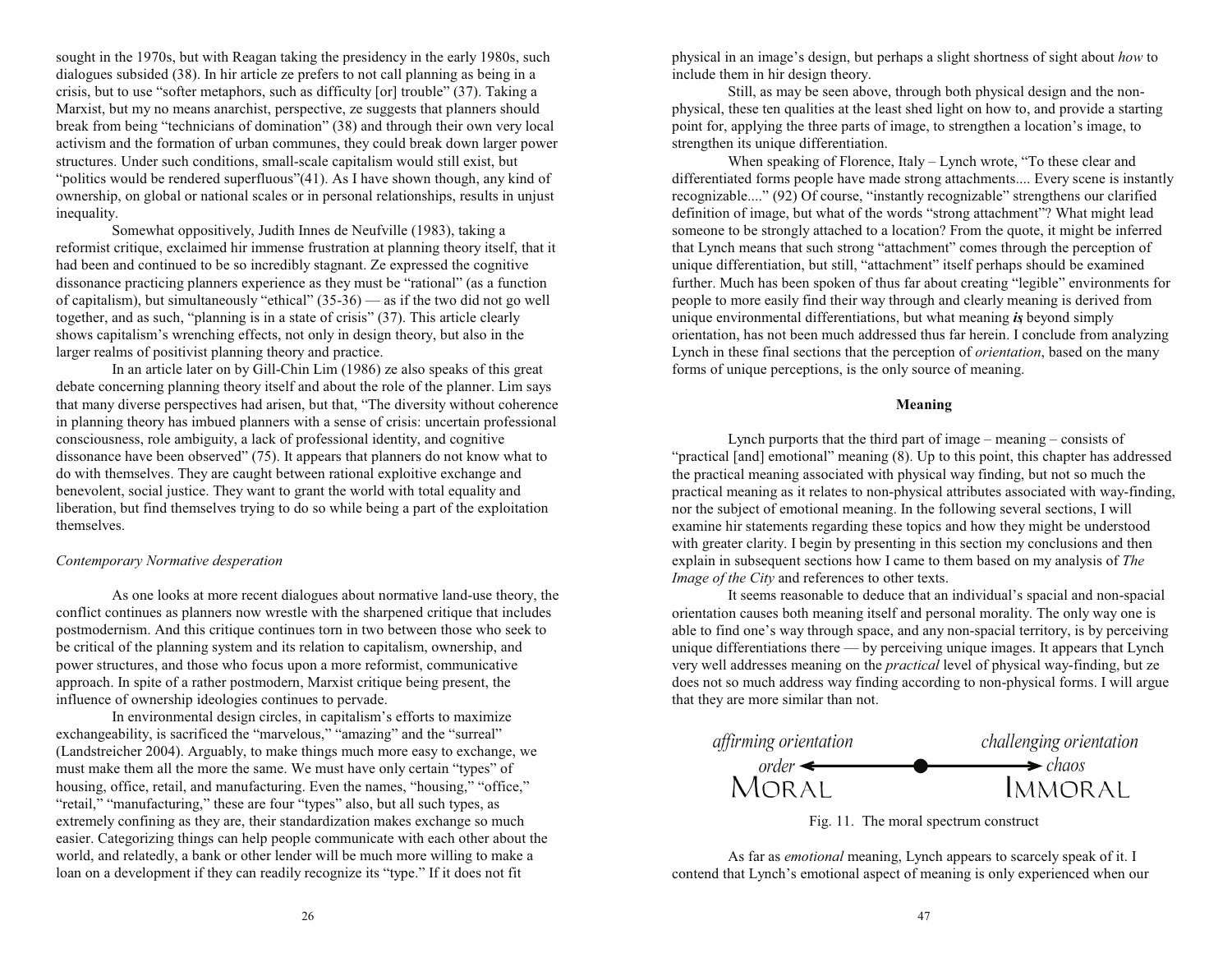sought in the 1970s, but with Reagan taking the presidency in the early 1980s, such dialogues subsided (38). In hir article ze prefers to not call planning as being in a crisis, but to use "softer metaphors, such as difficulty [or] trouble"  $(37)$ . Taking a Marxist, but my no means anarchist, perspective, ze suggests that planners should break from being "technicians of domination" (38) and through their own very local activism and the formation of urban communes, they could break down larger power structures. Under such conditions, small-scale capitalism would still exist, but "politics would be rendered superfluous" $(41)$ . As I have shown though, any kind of ownership, on global or national scales or in personal relationships, results in unjust inequality.

Somewhat oppositively, Judith Innes de Neufville (1983), taking a reformist critique, exclaimed hir immense frustration at planning theory itself, that it had been and continued to be so incredibly stagnant. Ze expressed the cognitive dissonance practicing planners experience as they must be "rational" (as a function of capitalism), but simultaneously "ethical"  $(35-36)$  — as if the two did not go well together, and as such, "planning is in a state of crisis"  $(37)$ . This article clearly shows capitalism's wrenching effects, not only in design theory, but also in the larger realms of positivist planning theory and practice.

In an article later on by Gill-Chin Lim (1986) ze also speaks of this great debate concerning planning theory itself and about the role of the planner. Lim says that many diverse perspectives had arisen, but that, The diversity without coherence in planning theory has imbued planners with a sense of crisis: uncertain professional consciousness, role ambiguity, a lack of professional identity, and cognitive dissonance have been observed"  $(75)$ . It appears that planners do not know what to do with themselves. They are caught between rational exploitive exchange and benevolent, social justice. They want to grant the world with total equality and liberation, but find themselves trying to do so while being a part of the exploitation themselves.

## *Contemporary Normative desperation*

As one looks at more recent dialogues about normative land-use theory, the conflict continues as planners now wrestle with the sharpened critique that includes postmodernism. And this critique continues torn in two between those who seek to be critical of the planning system and its relation to capitalism, ownership, and power structures, and those who focus upon a more reformist, communicative approach. In spite of a rather postmodern, Marxist critique being present, the influence of ownership ideologies continues to pervade.

In environmental design circles, in capitalism's efforts to maximize exchangeability, is sacrificed the "marvelous," "amazing" and the "surreal" (Landstreicher 2004). Arguably, to make things much more easy to exchange, we must make them all the more the same. We must have only certain "types" of housing, office, retail, and manufacturing. Even the names, "housing," "office," "retail," "manufacturing," these are four "types" also, but all such types, as extremely confining as they are, their standardization makes exchange so much easier. Categorizing things can help people communicate with each other about the world, and relatedly, a bank or other lender will be much more willing to make a loan on a development if they can readily recognize its "type." If it does not fit

physical in an image's design, but perhaps a slight shortness of sight about *how* to include them in hir design theory.

Still, as may be seen above, through both physical design and the nonphysical, these ten qualities at the least shed light on how to, and provide a starting point for, applying the three parts of image, to strengthen a location's image, to strengthen its unique differentiation.

When speaking of Florence, Italy  $-$  Lynch wrote, "To these clear and differentiated forms people have made strong attachments.... Every scene is instantly recognizable...." (92) Of course, "instantly recognizable" strengthens our clarified definition of image, but what of the words "strong attachment"? What might lead someone to be strongly attached to a location? From the quote, it might be inferred that Lynch means that such strong "attachment" comes through the perception of unique differentiation, but still, "attachment" itself perhaps should be examined further. Much has been spoken of thus far about creating "legible" environments for people to more easily find their way through and clearly meaning is derived from unique environmental differentiations, but what meaning *is*, beyond simply orientation, has not been much addressed thus far herein. I conclude from analyzing Lynch in these final sections that the perception of *orientation*, based on the many forms of unique perceptions, is the only source of meaning.

# **Meaning**

Lynch purports that the third part of image  $-$  meaning  $-$  consists of "practical [and] emotional" meaning  $(8)$ . Up to this point, this chapter has addressed the practical meaning associated with physical way finding, but not so much the practical meaning as it relates to non-physical attributes associated with way-finding, nor the subject of emotional meaning. In the following several sections, I will examine hir statements regarding these topics and how they might be understood with greater clarity. I begin by presenting in this section my conclusions and then explain in subsequent sections how I came to them based on my analysis of *The Image of the City* and references to other texts.

It seems reasonable to deduce that an individual's spacial and non-spacial orientation causes both meaning itself and personal morality. The only way one is able to find one's way through space, and any non-spacial territory, is by perceiving unique differentiations there — by perceiving unique images. It appears that Lynch very well addresses meaning on the *practical* level of physical way-finding, but ze does not so much address way finding according to non-physical forms. I will argue that they are more similar than not.



Fig. 11. The moral spectrum construct

As far as *emotional* meaning, Lynch appears to scarcely speak of it. I contend that Lynch's emotional aspect of meaning is only experienced when our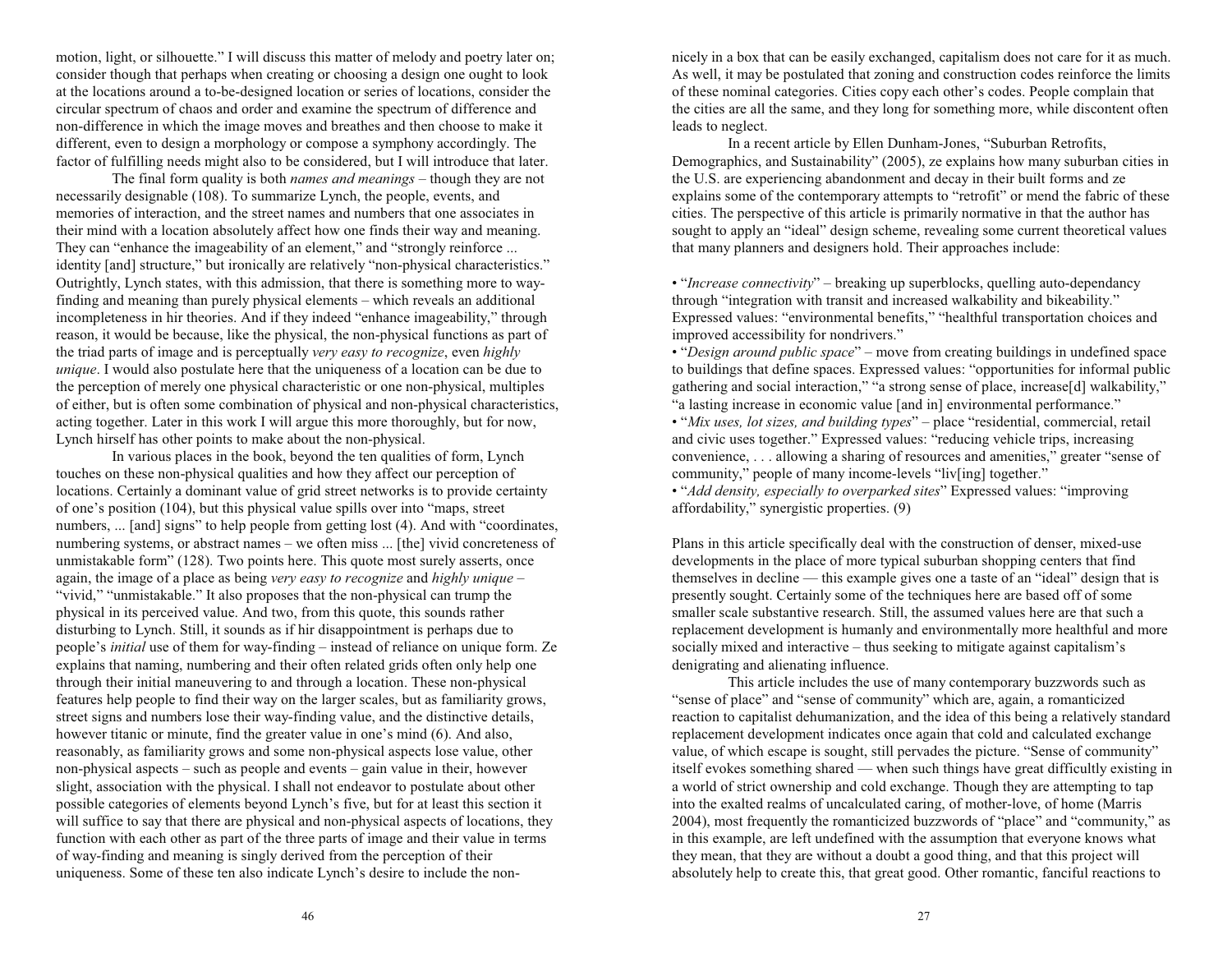motion, light, or silhouette." I will discuss this matter of melody and poetry later on; consider though that perhaps when creating or choosing a design one ought to look at the locations around a to-be-designed location or series of locations, consider the circular spectrum of chaos and order and examine the spectrum of difference and non-difference in which the image moves and breathes and then choose to make it different, even to design a morphology or compose a symphony accordingly. The factor of fulfilling needs might also to be considered, but I will introduce that later.

The final form quality is both *names and meanings* – though they are not necessarily designable (108). To summarize Lynch, the people, events, and memories of interaction, and the street names and numbers that one associates in their mind with a location absolutely affect how one finds their way and meaning. They can "enhance the imageability of an element," and "strongly reinforce ... identity [and] structure," but ironically are relatively "non-physical characteristics." Outrightly, Lynch states, with this admission, that there is something more to wayfinding and meaning than purely physical elements – which reveals an additional incompleteness in hir theories. And if they indeed "enhance imageability," through reason, it would be because, like the physical, the non-physical functions as part of the triad parts of image and is perceptually *very easy to recognize*, even *highly unique*. I would also postulate here that the uniqueness of a location can be due to the perception of merely one physical characteristic or one non-physical, multiples of either, but is often some combination of physical and non-physical characteristics, acting together. Later in this work I will argue this more thoroughly, but for now, Lynch hirself has other points to make about the non-physical.

In various places in the book, beyond the ten qualities of form, Lynch touches on these non-physical qualities and how they affect our perception of locations. Certainly a dominant value of grid street networks is to provide certainty of one's position (104), but this physical value spills over into "maps, street numbers, ... [and] signs" to help people from getting lost (4). And with "coordinates, numbering systems, or abstract names – we often miss ... [the] vivid concreteness of unmistakable form" (128). Two points here. This quote most surely asserts, once again, the image of a place as being *very easy to recognize* and *highly unique* "vivid," "unmistakable." It also proposes that the non-physical can trump the physical in its perceived value. And two, from this quote, this sounds rather disturbing to Lynch. Still, it sounds as if hir disappointment is perhaps due to people's *initial* use of them for way-finding – instead of reliance on unique form. Ze explains that naming, numbering and their often related grids often only help one through their initial maneuvering to and through a location. These non-physical features help people to find their way on the larger scales, but as familiarity grows, street signs and numbers lose their way-finding value, and the distinctive details, however titanic or minute, find the greater value in one's mind (6). And also, reasonably, as familiarity grows and some non-physical aspects lose value, other non-physical aspects  $-$  such as people and events  $-$  gain value in their, however slight, association with the physical. I shall not endeavor to postulate about other possible categories of elements beyond Lynch's five, but for at least this section it will suffice to say that there are physical and non-physical aspects of locations, they function with each other as part of the three parts of image and their value in terms of way-finding and meaning is singly derived from the perception of their uniqueness. Some of these ten also indicate Lynch's desire to include the nonnicely in a box that can be easily exchanged, capitalism does not care for it as much. As well, it may be postulated that zoning and construction codes reinforce the limits of these nominal categories. Cities copy each other's codes. People complain that the cities are all the same, and they long for something more, while discontent often leads to neglect.

In a recent article by Ellen Dunham-Jones, "Suburban Retrofits, Demographics, and Sustainability" (2005), ze explains how many suburban cities in the U.S. are experiencing abandonment and decay in their built forms and ze explains some of the contemporary attempts to "retrofit" or mend the fabric of these cities. The perspective of this article is primarily normative in that the author has sought to apply an "ideal" design scheme, revealing some current theoretical values that many planners and designers hold. Their approaches include:

• "*Increase connectivity*" – breaking up superblocks, quelling auto-dependancy through "integration with transit and increased walkability and bikeability." Expressed values: "environmental benefits," "healthful transportation choices and improved accessibility for nondrivers.

• "*Design around public space*" – move from creating buildings in undefined space to buildings that define spaces. Expressed values: "opportunities for informal public gathering and social interaction," "a strong sense of place, increase[d] walkability," "a lasting increase in economic value [and in] environmental performance."

• "*Mix uses, lot sizes, and building types*" – place "residential, commercial, retail and civic uses together." Expressed values: "reducing vehicle trips, increasing convenience,  $\dots$  allowing a sharing of resources and amenities," greater "sense of community," people of many income-levels " $liv$ [ing] together."

• "Add density, especially to overparked sites" Expressed values: "improving affordability," synergistic properties. (9)

Plans in this article specifically deal with the construction of denser, mixed-use developments in the place of more typical suburban shopping centers that find themselves in decline  $-$  this example gives one a taste of an "ideal" design that is presently sought. Certainly some of the techniques here are based off of some smaller scale substantive research. Still, the assumed values here are that such a replacement development is humanly and environmentally more healthful and more socially mixed and interactive  $-$  thus seeking to mitigate against capitalism's denigrating and alienating influence.

This article includes the use of many contemporary buzzwords such as "sense of place" and "sense of community" which are, again, a romanticized reaction to capitalist dehumanization, and the idea of this being a relatively standard replacement development indicates once again that cold and calculated exchange value, of which escape is sought, still pervades the picture. "Sense of community" itself evokes something shared — when such things have great difficultly existing in a world of strict ownership and cold exchange. Though they are attempting to tap into the exalted realms of uncalculated caring, of mother-love, of home (Marris 2004), most frequently the romanticized buzzwords of "place" and "community," as in this example, are left undefined with the assumption that everyone knows what they mean, that they are without a doubt a good thing, and that this project will absolutely help to create this, that great good. Other romantic, fanciful reactions to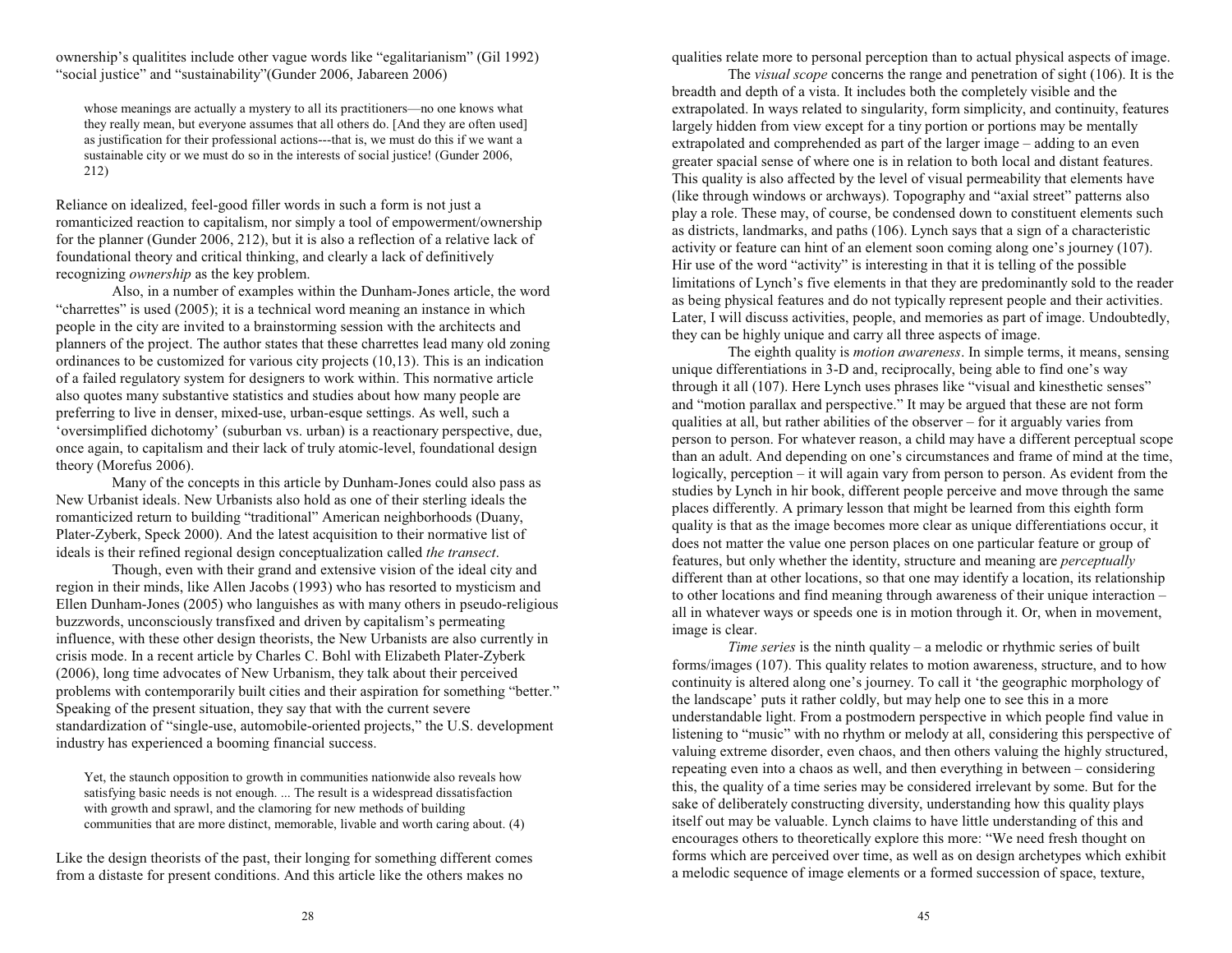ownership's qualitites include other vague words like "egalitarianism" (Gil 1992) "social justice" and "sustainability" (Gunder 2006, Jabareen 2006)

whose meanings are actually a mystery to all its practitioners-no one knows what they really mean, but everyone assumes that all others do. [And they are often used] as justification for their professional actions---that is, we must do this if we want a sustainable city or we must do so in the interests of social justice! (Gunder 2006, 212)

Reliance on idealized, feel-good filler words in such a form is not just a romanticized reaction to capitalism, nor simply a tool of empowerment/ownership for the planner (Gunder 2006, 212), but it is also a reflection of a relative lack of foundational theory and critical thinking, and clearly a lack of definitively recognizing *ownership* as the key problem.

Also, in a number of examples within the Dunham-Jones article, the word "charrettes" is used  $(2005)$ ; it is a technical word meaning an instance in which people in the city are invited to a brainstorming session with the architects and planners of the project. The author states that these charrettes lead many old zoning ordinances to be customized for various city projects (10,13). This is an indication of a failed regulatory system for designers to work within. This normative article also quotes many substantive statistics and studies about how many people are preferring to live in denser, mixed-use, urban-esque settings. As well, such a oversimplified dichotomy (suburban vs. urban) is a reactionary perspective, due, once again, to capitalism and their lack of truly atomic-level, foundational design theory (Morefus 2006).

Many of the concepts in this article by Dunham-Jones could also pass as New Urbanist ideals. New Urbanists also hold as one of their sterling ideals the romanticized return to building "traditional" American neighborhoods (Duany, Plater-Zyberk, Speck 2000). And the latest acquisition to their normative list of ideals is their refined regional design conceptualization called *the transect*.

Though, even with their grand and extensive vision of the ideal city and region in their minds, like Allen Jacobs (1993) who has resorted to mysticism and Ellen Dunham-Jones (2005) who languishes as with many others in pseudo-religious buzzwords, unconsciously transfixed and driven by capitalism's permeating influence, with these other design theorists, the New Urbanists are also currently in crisis mode. In a recent article by Charles C. Bohl with Elizabeth Plater-Zyberk (2006), long time advocates of New Urbanism, they talk about their perceived problems with contemporarily built cities and their aspiration for something "better." Speaking of the present situation, they say that with the current severe standardization of "single-use, automobile-oriented projects," the U.S. development industry has experienced a booming financial success.

Yet, the staunch opposition to growth in communities nationwide also reveals how satisfying basic needs is not enough. ... The result is a widespread dissatisfaction with growth and sprawl, and the clamoring for new methods of building communities that are more distinct, memorable, livable and worth caring about. (4)

Like the design theorists of the past, their longing for something different comes from a distaste for present conditions. And this article like the others makes no

qualities relate more to personal perception than to actual physical aspects of image.

The *visual scope* concerns the range and penetration of sight (106). It is the breadth and depth of a vista. It includes both the completely visible and the extrapolated. In ways related to singularity, form simplicity, and continuity, features largely hidden from view except for a tiny portion or portions may be mentally extrapolated and comprehended as part of the larger image  $-$  adding to an even greater spacial sense of where one is in relation to both local and distant features. This quality is also affected by the level of visual permeability that elements have (like through windows or archways). Topography and "axial street" patterns also play a role. These may, of course, be condensed down to constituent elements such as districts, landmarks, and paths (106). Lynch says that a sign of a characteristic activity or feature can hint of an element soon coming along one's journey (107). Hir use of the word "activity" is interesting in that it is telling of the possible limitations of Lynch's five elements in that they are predominantly sold to the reader as being physical features and do not typically represent people and their activities. Later, I will discuss activities, people, and memories as part of image. Undoubtedly, they can be highly unique and carry all three aspects of image.

The eighth quality is *motion awareness*. In simple terms, it means, sensing unique differentiations in 3-D and, reciprocally, being able to find one's way through it all (107). Here Lynch uses phrases like "visual and kinesthetic senses" and "motion parallax and perspective." It may be argued that these are not form qualities at all, but rather abilities of the observer  $-$  for it arguably varies from person to person. For whatever reason, a child may have a different perceptual scope than an adult. And depending on one's circumstances and frame of mind at the time, logically, perception – it will again vary from person to person. As evident from the studies by Lynch in hir book, different people perceive and move through the same <sup>p</sup>laces differently. A primary lesson that might be learned from this eighth form quality is that as the image becomes more clear as unique differentiations occur, it does not matter the value one person places on one particular feature or group of features, but only whether the identity, structure and meaning are *perceptually* different than at other locations, so that one may identify a location, its relationship to other locations and find meaning through awareness of their unique interaction all in whatever ways or speeds one is in motion through it. Or, when in movement, image is clear.

*Time series* is the ninth quality - a melodic or rhythmic series of built forms/images (107). This quality relates to motion awareness, structure, and to how continuity is altered along one's journey. To call it 'the geographic morphology of the landscape' puts it rather coldly, but may help one to see this in a more understandable light. From a postmodern perspective in which people find value in listening to "music" with no rhythm or melody at all, considering this perspective of valuing extreme disorder, even chaos, and then others valuing the highly structured, repeating even into a chaos as well, and then everything in between  $-$  considering this, the quality of a time series may be considered irrelevant by some. But for the sake of deliberately constructing diversity, understanding how this quality plays itself out may be valuable. Lynch claims to have little understanding of this and encourages others to theoretically explore this more: We need fresh thought on forms which are perceived over time, as well as on design archetypes which exhibit a melodic sequence of image elements or a formed succession of space, texture,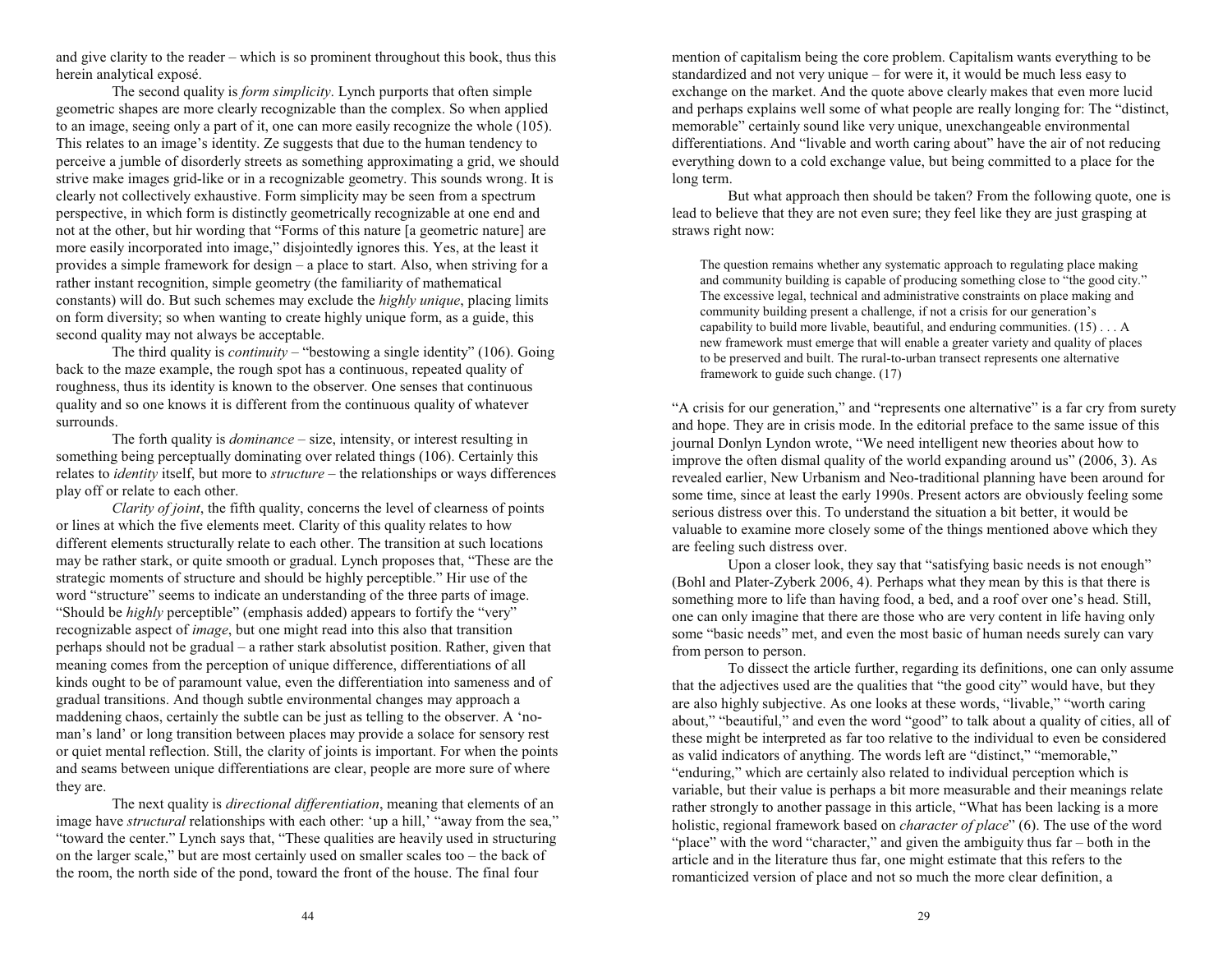and give clarity to the reader  $-$  which is so prominent throughout this book, thus this herein analytical exposé.

The second quality is *form simplicity*. Lynch purports that often simple geometric shapes are more clearly recognizable than the complex. So when applied to an image, seeing only a part of it, one can more easily recognize the whole (105). This relates to an image's identity. Ze suggests that due to the human tendency to perceive a jumble of disorderly streets as something approximating a grid, we should strive make images grid-like or in a recognizable geometry. This sounds wrong. It is clearly not collectively exhaustive. Form simplicity may be seen from a spectrum perspective, in which form is distinctly geometrically recognizable at one end and not at the other, but hir wording that "Forms of this nature [a geometric nature] are more easily incorporated into image," disjointedly ignores this. Yes, at the least it provides a simple framework for design  $-$  a place to start. Also, when striving for a rather instant recognition, simple geometry (the familiarity of mathematical constants) will do. But such schemes may exclude the *highly unique*, placing limits on form diversity; so when wanting to create highly unique form, as a guide, this second quality may not always be acceptable.

The third quality is *continuity* – "bestowing a single identity" (106). Going back to the maze example, the rough spot has a continuous, repeated quality of roughness, thus its identity is known to the observer. One senses that continuous quality and so one knows it is different from the continuous quality of whatever surrounds.

The forth quality is *dominance* – size, intensity, or interest resulting in something being perceptually dominating over related things (106). Certainly this relates to *identity* itself, but more to *structure* – the relationships or ways differences play off or relate to each other.

*Clarity of joint*, the fifth quality, concerns the level of clearness of points or lines at which the five elements meet. Clarity of this quality relates to how different elements structurally relate to each other. The transition at such locations may be rather stark, or quite smooth or gradual. Lynch proposes that, "These are the strategic moments of structure and should be highly perceptible." Hir use of the word "structure" seems to indicate an understanding of the three parts of image. "Should be *highly* perceptible" (emphasis added) appears to fortify the "very" recognizable aspect of *image*, but one might read into this also that transition perhaps should not be gradual  $-$  a rather stark absolutist position. Rather, given that meaning comes from the perception of unique difference, differentiations of all kinds ought to be of paramount value, even the differentiation into sameness and of gradual transitions. And though subtle environmental changes may approach a maddening chaos, certainly the subtle can be just as telling to the observer. A 'noman's land' or long transition between places may provide a solace for sensory rest or quiet mental reflection. Still, the clarity of joints is important. For when the points and seams between unique differentiations are clear, people are more sure of where they are.

The next quality is *directional differentiation*, meaning that elements of an image have *structural* relationships with each other: 'up a hill,' "away from the sea," "toward the center." Lynch says that, "These qualities are heavily used in structuring on the larger scale," but are most certainly used on smaller scales too  $-$  the back of the room, the north side of the pond, toward the front of the house. The final four

mention of capitalism being the core problem. Capitalism wants everything to be standardized and not very unique  $-$  for were it, it would be much less easy to exchange on the market. And the quote above clearly makes that even more lucid and perhaps explains well some of what people are really longing for: The "distinct, memorable" certainly sound like very unique, unexchangeable environmental differentiations. And "livable and worth caring about" have the air of not reducing everything down to a cold exchange value, but being committed to a place for the long term.

But what approach then should be taken? From the following quote, one is lead to believe that they are not even sure; they feel like they are just grasping at straws right now:

The question remains whether any systematic approach to regulating place making and community building is capable of producing something close to "the good city." The excessive legal, technical and administrative constraints on place making and community building present a challenge, if not a crisis for our generation's capability to build more livable, beautiful, and enduring communities. (15) . . . A new framework must emerge that will enable a greater variety and quality of places to be preserved and built. The rural-to-urban transect represents one alternative framework to guide such change. (17)

"A crisis for our generation," and "represents one alternative" is a far cry from surety and hope. They are in crisis mode. In the editorial preface to the same issue of this journal Donlyn Lyndon wrote, We need intelligent new theories about how to improve the often dismal quality of the world expanding around us"  $(2006, 3)$ . As revealed earlier, New Urbanism and Neo-traditional planning have been around for some time, since at least the early 1990s. Present actors are obviously feeling some serious distress over this. To understand the situation a bit better, it would be valuable to examine more closely some of the things mentioned above which they are feeling such distress over.

Upon a closer look, they say that "satisfying basic needs is not enough" (Bohl and Plater-Zyberk 2006, 4). Perhaps what they mean by this is that there is something more to life than having food, a bed, and a roof over one's head. Still, one can only imagine that there are those who are very content in life having only some "basic needs" met, and even the most basic of human needs surely can vary from person to person.

To dissect the article further, regarding its definitions, one can only assume that the adjectives used are the qualities that "the good city" would have, but they are also highly subjective. As one looks at these words, "livable," "worth caring about," "beautiful," and even the word "good" to talk about a quality of cities, all of these might be interpreted as far too relative to the individual to even be considered as valid indicators of anything. The words left are "distinct," "memorable," "enduring," which are certainly also related to individual perception which is variable, but their value is perhaps a bit more measurable and their meanings relate rather strongly to another passage in this article, What has been lacking is a more holistic, regional framework based on *character of place*" (6). The use of the word "place" with the word "character," and given the ambiguity thus  $far - both$  in the article and in the literature thus far, one might estimate that this refers to the romanticized version of place and not so much the more clear definition, a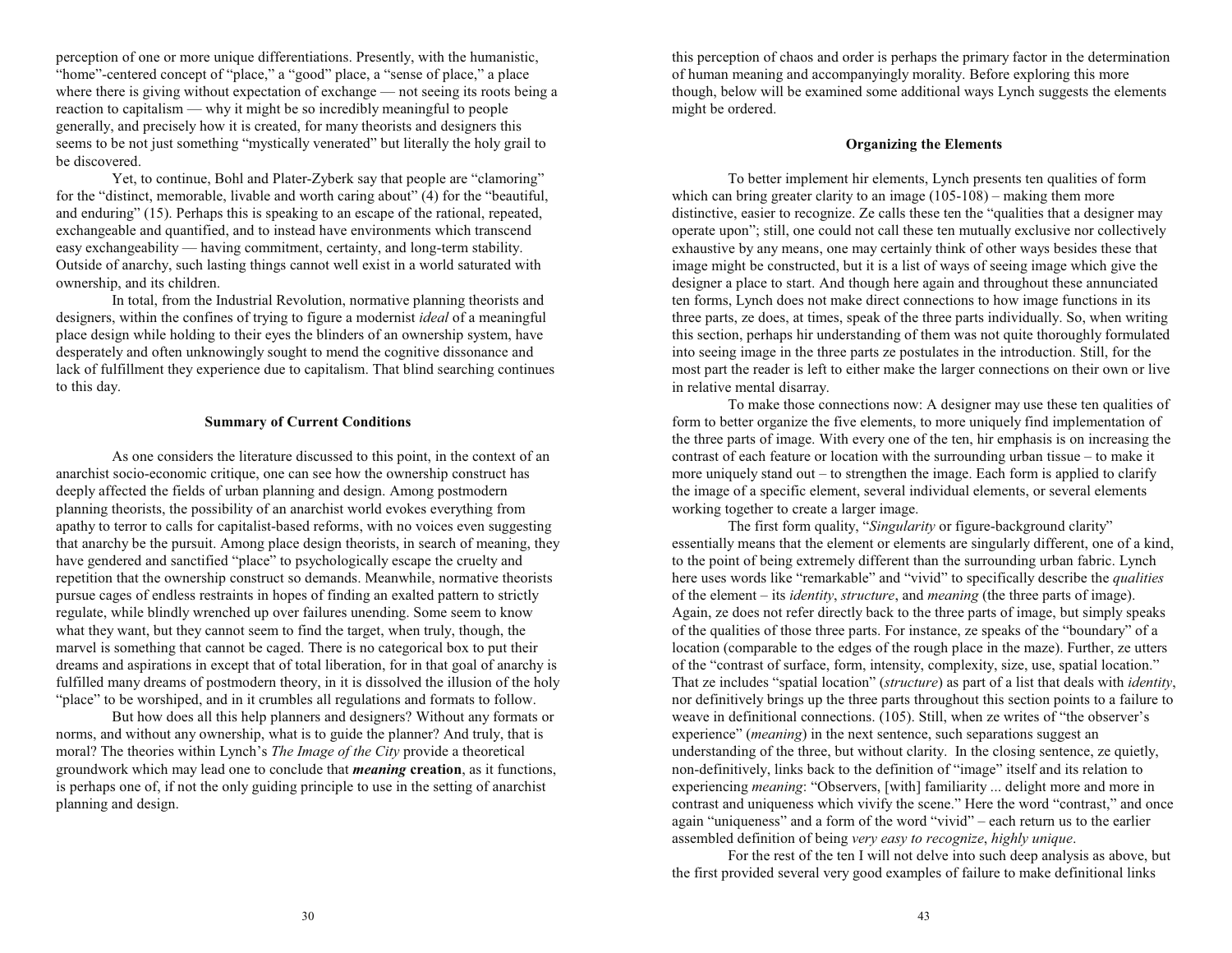perception of one or more unique differentiations. Presently, with the humanistic, "home"-centered concept of "place," a "good" place, a "sense of place," a place where there is giving without expectation of exchange  $-$  not seeing its roots being a reaction to capitalism — why it might be so incredibly meaningful to people generally, and precisely how it is created, for many theorists and designers this seems to be not just something "mystically venerated" but literally the holy grail to be discovered.

Yet, to continue, Bohl and Plater-Zyberk say that people are "clamoring" for the "distinct, memorable, livable and worth caring about"  $(4)$  for the "beautiful, and enduring"  $(15)$ . Perhaps this is speaking to an escape of the rational, repeated, exchangeable and quantified, and to instead have environments which transcend easy exchangeability — having commitment, certainty, and long-term stability. Outside of anarchy, such lasting things cannot well exist in a world saturated with ownership, and its children.

In total, from the Industrial Revolution, normative planning theorists and designers, within the confines of trying to figure a modernist *ideal* of a meaningful place design while holding to their eyes the blinders of an ownership system, have desperately and often unknowingly sought to mend the cognitive dissonance and lack of fulfillment they experience due to capitalism. That blind searching continues to this day.

## **Summary of Current Conditions**

As one considers the literature discussed to this point, in the context of an anarchist socio-economic critique, one can see how the ownership construct has deeply affected the fields of urban planning and design. Among postmodern planning theorists, the possibility of an anarchist world evokes everything from apathy to terror to calls for capitalist-based reforms, with no voices even suggesting that anarchy be the pursuit. Among place design theorists, in search of meaning, they have gendered and sanctified "place" to psychologically escape the cruelty and repetition that the ownership construct so demands. Meanwhile, normative theorists pursue cages of endless restraints in hopes of finding an exalted pattern to strictly regulate, while blindly wrenched up over failures unending. Some seem to know what they want, but they cannot seem to find the target, when truly, though, the marvel is something that cannot be caged. There is no categorical box to put their dreams and aspirations in except that of total liberation, for in that goal of anarchy is fulfilled many dreams of postmodern theory, in it is dissolved the illusion of the holy "place" to be worshiped, and in it crumbles all regulations and formats to follow.

But how does all this help planners and designers? Without any formats or norms, and without any ownership, what is to guide the planner? And truly, that is moral? The theories within Lynch's *The Image of the City* provide a theoretical groundwork which may lead one to conclude that *meaning* **creation**, as it functions, is perhaps one of, if not the only guiding principle to use in the setting of anarchist planning and design.

this perception of chaos and order is perhaps the primary factor in the determination of human meaning and accompanyingly morality. Before exploring this more though, below will be examined some additional ways Lynch suggests the elements might be ordered.

## **Organizing the Elements**

To better implement hir elements, Lynch presents ten qualities of form which can bring greater clarity to an image  $(105-108)$  – making them more distinctive, easier to recognize. Ze calls these ten the "qualities that a designer may operate upon"; still, one could not call these ten mutually exclusive nor collectively exhaustive by any means, one may certainly think of other ways besides these that image might be constructed, but it is a list of ways of seeing image which give the designer a place to start. And though here again and throughout these annunciated ten forms, Lynch does not make direct connections to how image functions in its three parts, ze does, at times, speak of the three parts individually. So, when writing this section, perhaps hir understanding of them was not quite thoroughly formulated into seeing image in the three parts ze postulates in the introduction. Still, for the most part the reader is left to either make the larger connections on their own or live in relative mental disarray.

To make those connections now: A designer may use these ten qualities of form to better organize the five elements, to more uniquely find implementation of the three parts of image. With every one of the ten, hir emphasis is on increasing the contrast of each feature or location with the surrounding urban tissue  $-$  to make it more uniquely stand out  $-$  to strengthen the image. Each form is applied to clarify the image of a specific element, several individual elements, or several elements working together to create a larger image.

The first form quality, "Singularity or figure-background clarity" essentially means that the element or elements are singularly different, one of a kind, to the point of being extremely different than the surrounding urban fabric. Lynch here uses words like "remarkable" and "vivid" to specifically describe the *qualities* of the element – its *identity*, *structure*, and *meaning* (the three parts of image). Again, ze does not refer directly back to the three parts of image, but simply speaks of the qualities of those three parts. For instance, ze speaks of the "boundary" of a location (comparable to the edges of the rough place in the maze). Further, ze utters of the "contrast of surface, form, intensity, complexity, size, use, spatial location." That ze includes "spatial location" (*structure*) as part of a list that deals with *identity*, nor definitively brings up the three parts throughout this section points to a failure to weave in definitional connections. (105). Still, when ze writes of "the observer's experience" *(meaning)* in the next sentence, such separations suggest an understanding of the three, but without clarity. In the closing sentence, ze quietly, non-definitively, links back to the definition of "image" itself and its relation to experiencing *meaning*: "Observers, [with] familiarity ... delight more and more in contrast and uniqueness which vivify the scene." Here the word "contrast," and once again "uniqueness" and a form of the word "vivid" – each return us to the earlier assembled definition of being *very easy to recognize*, *highly unique*.

For the rest of the ten I will not delve into such deep analysis as above, but the first provided several very good examples of failure to make definitional links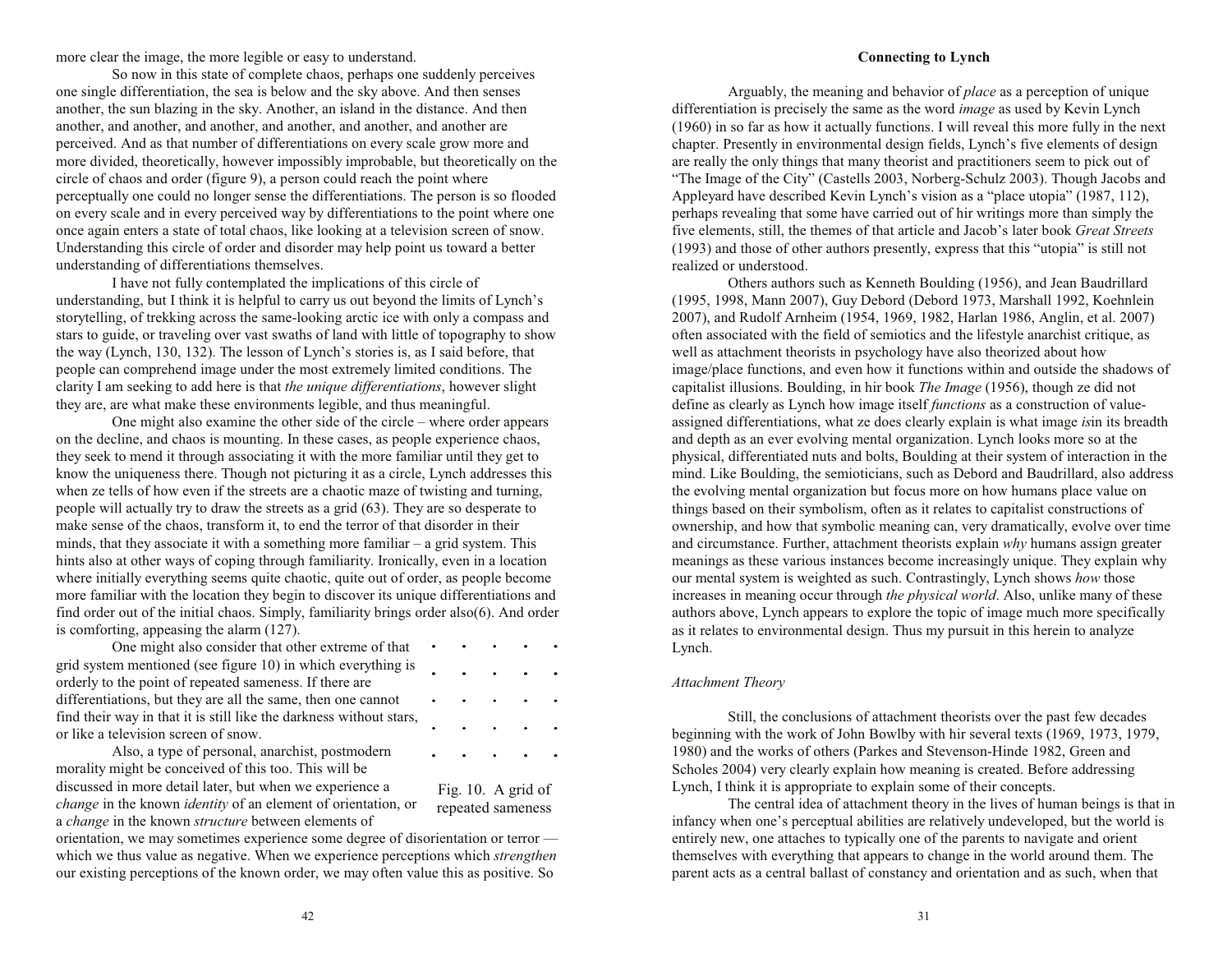more clear the image, the more legible or easy to understand.

So now in this state of complete chaos, perhaps one suddenly perceives one single differentiation, the sea is below and the sky above. And then senses another, the sun blazing in the sky. Another, an island in the distance. And then another, and another, and another, and another, and another, and another are perceived. And as that number of differentiations on every scale grow more and more divided, theoretically, however impossibly improbable, but theoretically on the circle of chaos and order (figure 9), a person could reach the point where perceptually one could no longer sense the differentiations. The person is so flooded on every scale and in every perceived way by differentiations to the point where one once again enters a state of total chaos, like looking at a television screen of snow. Understanding this circle of order and disorder may help point us toward a better understanding of differentiations themselves.

I have not fully contemplated the implications of this circle of understanding, but I think it is helpful to carry us out beyond the limits of Lynch's storytelling, of trekking across the same-looking arctic ice with only a compass and stars to guide, or traveling over vast swaths of land with little of topography to show the way (Lynch, 130, 132). The lesson of Lynch's stories is, as I said before, that people can comprehend image under the most extremely limited conditions. The clarity I am seeking to add here is that *the unique differentiations*, however slight they are, are what make these environments legible, and thus meaningful.

One might also examine the other side of the circle  $-$  where order appears on the decline, and chaos is mounting. In these cases, as people experience chaos, they seek to mend it through associating it with the more familiar until they get to know the uniqueness there. Though not picturing it as a circle, Lynch addresses this when ze tells of how even if the streets are a chaotic maze of twisting and turning, people will actually try to draw the streets as a grid (63). They are so desperate to make sense of the chaos, transform it, to end the terror of that disorder in their minds, that they associate it with a something more familiar  $-$  a grid system. This hints also at other ways of coping through familiarity. Ironically, even in a location where initially everything seems quite chaotic, quite out of order, as people become more familiar with the location they begin to discover its unique differentiations and find order out of the initial chaos. Simply, familiarity brings order also(6). And order is comforting, appeasing the alarm (127).

One might also consider that other extreme of that grid system mentioned (see figure 10) in which everything is orderly to the point of repeated sameness. If there are differentiations, but they are all the same, then one cannot find their way in that it is still like the darkness without stars, or like a television screen of snow.

Also, a type of personal, anarchist, postmodern morality might be conceived of this too. This will be discussed in more detail later, but when we experience a *change* in the known *identity* of an element of orientation, or <sup>a</sup> *change* in the known *structure* between elements of

Fig. 10. A grid of repeated sameness

 $\sim 100$ 

 $\sim$   $\sim$ 

orientation, we may sometimes experience some degree of disorientation or terror which we thus value as negative. When we experience perceptions which *strengthen* our existing perceptions of the known order, we may often value this as positive. So

# **Connecting to Lynch**

Arguably, the meaning and behavior of *place* as a perception of unique differentiation is precisely the same as the word *image* as used by Kevin Lynch (1960) in so far as how it actually functions. I will reveal this more fully in the next chapter. Presently in environmental design fields, Lynch's five elements of design are really the only things that many theorist and practitioners seem to pick out of "The Image of the City" (Castells 2003, Norberg-Schulz 2003). Though Jacobs and Appleyard have described Kevin Lynch's vision as a "place utopia" (1987, 112), perhaps revealing that some have carried out of hir writings more than simply the five elements, still, the themes of that article and Jacob's later book *Great Streets*  $(1993)$  and those of other authors presently, express that this "utopia" is still not realized or understood.

Others authors such as Kenneth Boulding (1956), and Jean Baudrillard (1995, 1998, Mann 2007), Guy Debord (Debord 1973, Marshall 1992, Koehnlein 2007), and Rudolf Arnheim (1954, 1969, 1982, Harlan 1986, Anglin, et al. 2007) often associated with the field of semiotics and the lifestyle anarchist critique, as well as attachment theorists in psychology have also theorized about how image/place functions, and even how it functions within and outside the shadows of capitalist illusions. Boulding, in hir book *The Image* (1956), though ze did not define as clearly as Lynch how image itself *functions* as a construction of valueassigned differentiations, what ze does clearly explain is what image *is* in its breadth and depth as an ever evolving mental organization. Lynch looks more so at the physical, differentiated nuts and bolts, Boulding at their system of interaction in the mind. Like Boulding, the semioticians, such as Debord and Baudrillard, also address the evolving mental organization but focus more on how humans place value on things based on their symbolism, often as it relates to capitalist constructions of ownership, and how that symbolic meaning can, very dramatically, evolve over time and circumstance. Further, attachment theorists explain *why* humans assign greater meanings as these various instances become increasingly unique. They explain why our mental system is weighted as such. Contrastingly, Lynch shows *how* those increases in meaning occur through *the physical world*. Also, unlike many of these authors above, Lynch appears to explore the topic of image much more specifically as it relates to environmental design. Thus my pursuit in this herein to analyze Lynch.

# *Attachment Theory*

Still, the conclusions of attachment theorists over the past few decades beginning with the work of John Bowlby with hir several texts (1969, 1973, 1979, 1980) and the works of others (Parkes and Stevenson-Hinde 1982, Green and Scholes 2004) very clearly explain how meaning is created. Before addressing Lynch, I think it is appropriate to explain some of their concepts.

The central idea of attachment theory in the lives of human beings is that in infancy when one's perceptual abilities are relatively undeveloped, but the world is entirely new, one attaches to typically one of the parents to navigate and orient themselves with everything that appears to change in the world around them. The parent acts as a central ballast of constancy and orientation and as such, when that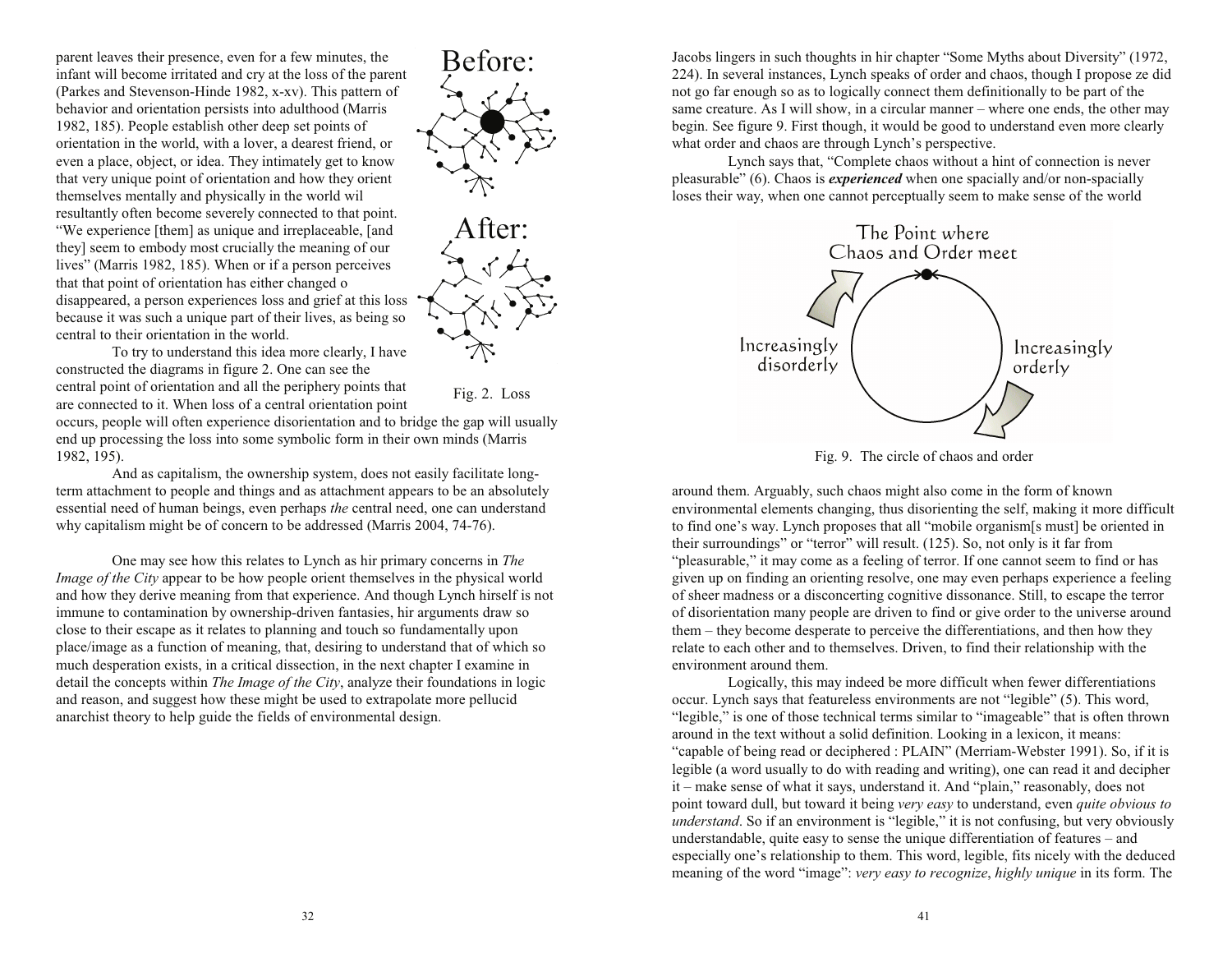parent leaves their presence, even for a few minutes, the infant will become irritated and cry at the loss of the parent (Parkes and Stevenson-Hinde 1982, x-xv). This pattern of behavior and orientation persists into adulthood (Marris 1982, 185). People establish other deep set points of orientation in the world, with a lover, a dearest friend, or even a place, object, or idea. They intimately get to know that very unique point of orientation and how they orient themselves mentally and physically in the world wil resultantly often become severely connected to that point. We experience [them] as unique and irreplaceable, [and they] seem to embody most crucially the meaning of our lives" (Marris 1982, 185). When or if a person perceives that that point of orientation has either changed o disappeared, a person experiences loss and grief at this loss because it was such a unique part of their lives, as being so central to their orientation in the world.



To try to understand this idea more clearly, I have constructed the diagrams in figure 2. One can see the central point of orientation and all the periphery points that are connected to it. When loss of a central orientation point

Fig. 2. Loss

occurs, people will often experience disorientation and to bridge the gap will usually end up processing the loss into some symbolic form in their own minds (Marris 1982, 195).

And as capitalism, the ownership system, does not easily facilitate longterm attachment to people and things and as attachment appears to be an absolutely essential need of human beings, even perhaps *the* central need, one can understand why capitalism might be of concern to be addressed (Marris 2004, 74-76).

One may see how this relates to Lynch as hir primary concerns in *The Image of the City* appear to be how people orient themselves in the physical world and how they derive meaning from that experience. And though Lynch hirself is not immune to contamination by ownership-driven fantasies, hir arguments draw so close to their escape as it relates to planning and touch so fundamentally upon place/image as a function of meaning, that, desiring to understand that of which so much desperation exists, in a critical dissection, in the next chapter I examine in detail the concepts within *The Image of the City*, analyze their foundations in logic and reason, and suggest how these might be used to extrapolate more pellucid anarchist theory to help guide the fields of environmental design.

Jacobs lingers in such thoughts in hir chapter "Some Myths about Diversity" (1972, 224). In several instances, Lynch speaks of order and chaos, though I propose ze did not go far enough so as to logically connect them definitionally to be part of the same creature. As I will show, in a circular manner  $-$  where one ends, the other may begin. See figure 9. First though, it would be good to understand even more clearly what order and chaos are through Lynch's perspective.

Lynch says that, "Complete chaos without a hint of connection is never pleasurable" (6). Chaos is *experienced* when one spacially and/or non-spacially loses their way, when one cannot perceptually seem to make sense of the world



Fig. 9. The circle of chaos and order

around them. Arguably, such chaos might also come in the form of known environmental elements changing, thus disorienting the self, making it more difficult to find one's way. Lynch proposes that all "mobile organism[s must] be oriented in their surroundings" or "terror" will result.  $(125)$ . So, not only is it far from "pleasurable," it may come as a feeling of terror. If one cannot seem to find or has given up on finding an orienting resolve, one may even perhaps experience a feeling of sheer madness or a disconcerting cognitive dissonance. Still, to escape the terror of disorientation many people are driven to find or give order to the universe around them – they become desperate to perceive the differentiations, and then how they relate to each other and to themselves. Driven, to find their relationship with the environment around them.

Logically, this may indeed be more difficult when fewer differentiations occur. Lynch says that featureless environments are not "legible" (5). This word, "legible," is one of those technical terms similar to "imageable" that is often thrown around in the text without a solid definition. Looking in a lexicon, it means: "capable of being read or deciphered : PLAIN" (Merriam-Webster 1991). So, if it is legible (a word usually to do with reading and writing), one can read it and decipher it – make sense of what it says, understand it. And "plain," reasonably, does not point toward dull, but toward it being *very easy* to understand, even *quite obvious to understand*. So if an environment is "legible," it is not confusing, but very obviously understandable, quite easy to sense the unique differentiation of features  $-$  and especially one's relationship to them. This word, legible, fits nicely with the deduced meaning of the word "image": *very easy to recognize*, *highly unique* in its form. The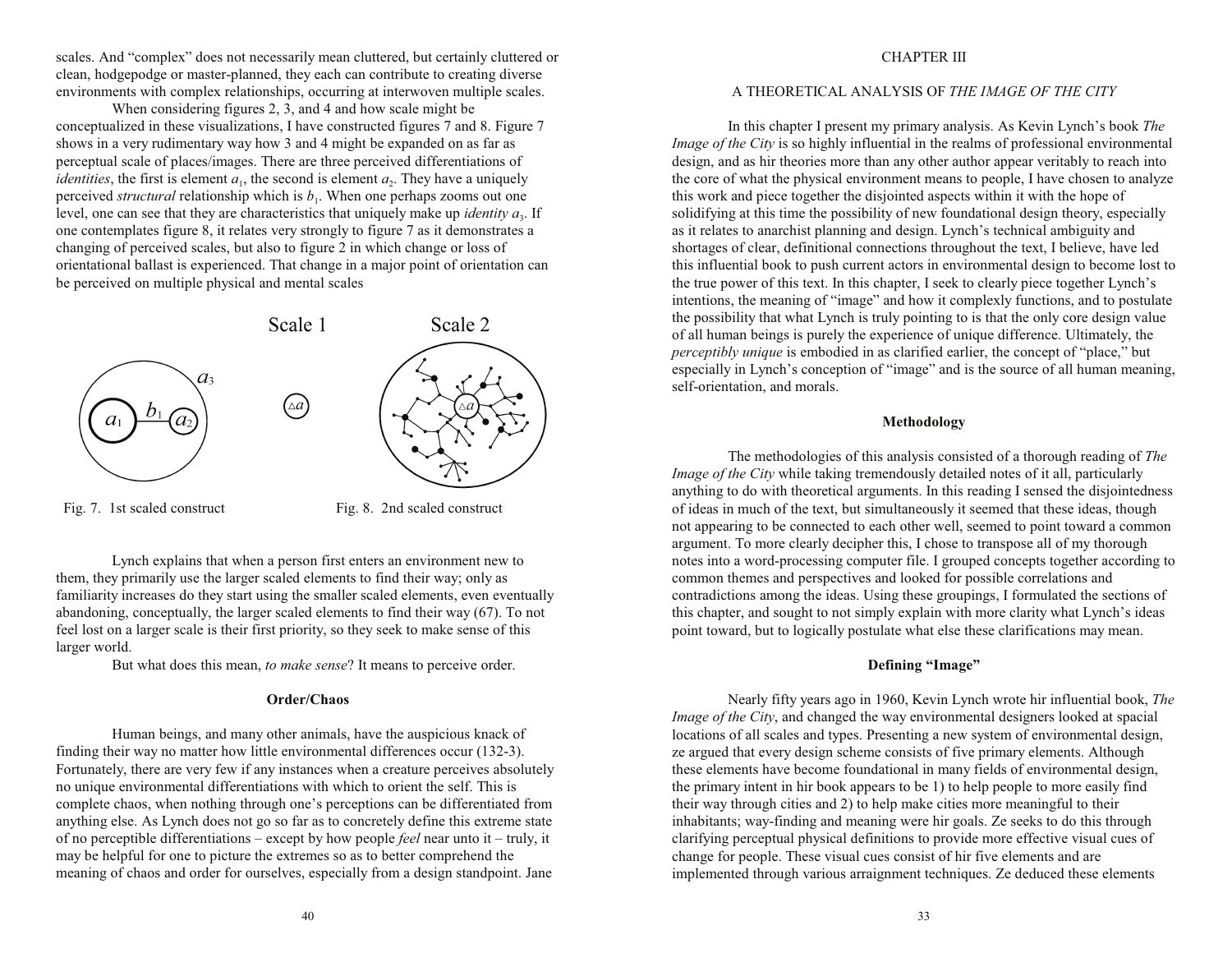scales. And "complex" does not necessarily mean cluttered, but certainly cluttered or clean, hodgepodge or master-planned, they each can contribute to creating diverse environments with complex relationships, occurring at interwoven multiple scales.

When considering figures 2, 3, and 4 and how scale might be conceptualized in these visualizations, I have constructed figures 7 and 8. Figure 7 shows in a very rudimentary way how 3 and 4 might be expanded on as far as perceptual scale of places/images. There are three perceived differentiations of *identities*, the first is element  $a_1$ , the second is element  $a_2$ . They have a uniquely perceived *structural* relationship which is  $b_1$ . When one perhaps zooms out one level, one can see that they are characteristics that uniquely make up *identity*  $a_3$ . If one contemplates figure 8, it relates very strongly to figure 7 as it demonstrates a changing of perceived scales, but also to figure 2 in which change or loss of orientational ballast is experienced. That change in a major point of orientation can be perceived on multiple physical and mental scales



Fig. 7. 1st scaled construct Fig. 8. 2nd scaled construct

Lynch explains that when a person first enters an environment new to them, they primarily use the larger scaled elements to find their way; only as familiarity increases do they start using the smaller scaled elements, even eventually abandoning, conceptually, the larger scaled elements to find their way (67). To not feel lost on a larger scale is their first priority, so they seek to make sense of this larger world.

But what does this mean, *to make sense*? It means to perceive order.

# **Order/Chaos**

Human beings, and many other animals, have the auspicious knack of finding their way no matter how little environmental differences occur (132-3). Fortunately, there are very few if any instances when a creature perceives absolutely no unique environmental differentiations with which to orient the self. This is complete chaos, when nothing through one's perceptions can be differentiated from anything else. As Lynch does not go so far as to concretely define this extreme state of no perceptible differentiations – except by how people *feel* near unto it – truly, it may be helpful for one to picture the extremes so as to better comprehend the meaning of chaos and order for ourselves, especially from a design standpoint. Jane

# A THEORETICAL ANALYSIS OF *THE IMAGE OF THE CITY*

In this chapter I present my primary analysis. As Kevin Lynch's book *The Image of the City* is so highly influential in the realms of professional environmental design, and as hir theories more than any other author appear veritably to reach into the core of what the physical environment means to people, I have chosen to analyze this work and piece together the disjointed aspects within it with the hope of solidifying at this time the possibility of new foundational design theory, especially as it relates to anarchist planning and design. Lynch's technical ambiguity and shortages of clear, definitional connections throughout the text, I believe, have led this influential book to push current actors in environmental design to become lost to the true power of this text. In this chapter, I seek to clearly piece together Lynch's intentions, the meaning of "image" and how it complexly functions, and to postulate the possibility that what Lynch is truly pointing to is that the only core design value of all human beings is purely the experience of unique difference. Ultimately, the *perceptibly unique* is embodied in as clarified earlier, the concept of "place," but  $\epsilon$  especially in Lynch's conception of "image" and is the source of all human meaning, self-orientation, and morals.

# **Methodology**

The methodologies of this analysis consisted of a thorough reading of *The Image of the City* while taking tremendously detailed notes of it all, particularly anything to do with theoretical arguments. In this reading I sensed the disjointedness of ideas in much of the text, but simultaneously it seemed that these ideas, though not appearing to be connected to each other well, seemed to point toward a common argument. To more clearly decipher this, I chose to transpose all of my thorough notes into a word-processing computer file. I grouped concepts together according to common themes and perspectives and looked for possible correlations and contradictions among the ideas. Using these groupings, I formulated the sections of this chapter, and sought to not simply explain with more clarity what Lynch's ideas point toward, but to logically postulate what else these clarifications may mean.

# **Defining "Image"**

Nearly fifty years ago in 1960, Kevin Lynch wrote hir influential book, *The Image of the City*, and changed the way environmental designers looked at spacial locations of all scales and types. Presenting a new system of environmental design, ze argued that every design scheme consists of five primary elements. Although these elements have become foundational in many fields of environmental design, the primary intent in hir book appears to be 1) to help people to more easily find their way through cities and 2) to help make cities more meaningful to their inhabitants; way-finding and meaning were hir goals. Ze seeks to do this through clarifying perceptual physical definitions to provide more effective visual cues of change for people. These visual cues consist of hir five elements and are implemented through various arraignment techniques. Ze deduced these elements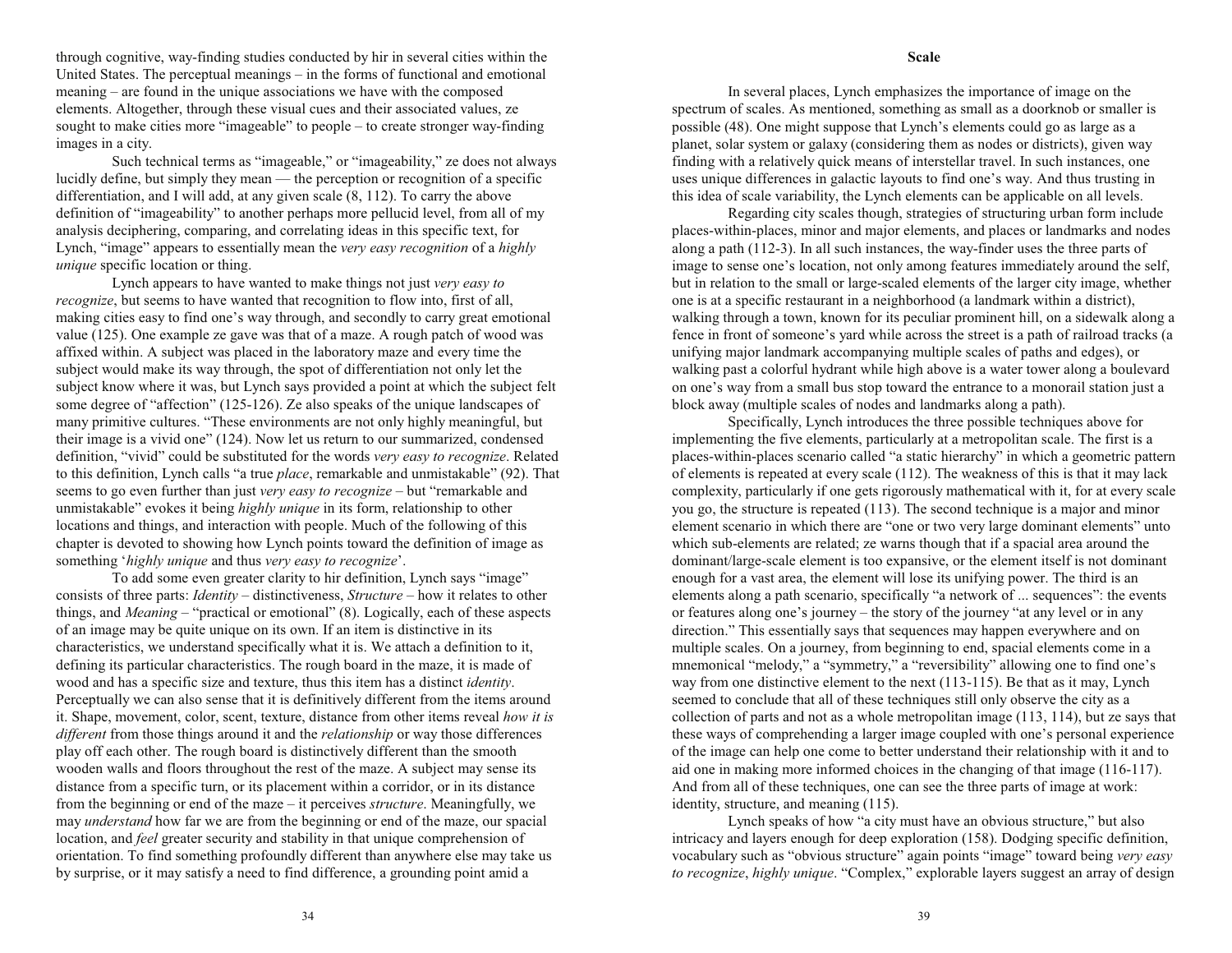through cognitive, way-finding studies conducted by hir in several cities within the United States. The perceptual meanings  $-\text{in}$  the forms of functional and emotional  $meaning - are found in the unique associations we have with the composed$ elements. Altogether, through these visual cues and their associated values, ze sought to make cities more "imageable" to people  $-$  to create stronger way-finding images in a city.

Such technical terms as "imageable," or "imageability," ze does not always lucidly define, but simply they mean  $-$  the perception or recognition of a specific differentiation, and I will add, at any given scale (8, 112). To carry the above definition of "imageability" to another perhaps more pellucid level, from all of my analysis deciphering, comparing, and correlating ideas in this specific text, for Lynch, "image" appears to essentially mean the *very easy recognition* of a *highly unique* specific location or thing.

Lynch appears to have wanted to make things not just *very easy to recognize*, but seems to have wanted that recognition to flow into, first of all, making cities easy to find one's way through, and secondly to carry great emotional value (125). One example ze gave was that of a maze. A rough patch of wood was affixed within. A subject was placed in the laboratory maze and every time the subject would make its way through, the spot of differentiation not only let the subject know where it was, but Lynch says provided a point at which the subject felt some degree of "affection" (125-126). Ze also speaks of the unique landscapes of many primitive cultures. "These environments are not only highly meaningful, but their image is a vivid one"  $(124)$ . Now let us return to our summarized, condensed definition, "vivid" could be substituted for the words *very easy to recognize*. Related to this definition, Lynch calls "a true *place*, remarkable and unmistakable" (92). That seems to go even further than just *very easy to recognize* – but "remarkable and unmistakable" evokes it being *highly unique* in its form, relationship to other locations and things, and interaction with people. Much of the following of this chapter is devoted to showing how Lynch points toward the definition of image as something *highly unique* and thus *very easy to recognize*.

To add some even greater clarity to hir definition, Lynch says "image" consists of three parts: *Identity* – distinctiveness, *Structure* – how it relates to other things, and *Meaning* – "practical or emotional" (8). Logically, each of these aspects of an image may be quite unique on its own. If an item is distinctive in its characteristics, we understand specifically what it is. We attach a definition to it, defining its particular characteristics. The rough board in the maze, it is made of wood and has a specific size and texture, thus this item has a distinct *identity*. Perceptually we can also sense that it is definitively different from the items around it. Shape, movement, color, scent, texture, distance from other items reveal *how it is different* from those things around it and the *relationship* or way those differences play off each other. The rough board is distinctively different than the smooth wooden walls and floors throughout the rest of the maze. A subject may sense its distance from a specific turn, or its placement within a corridor, or in its distance from the beginning or end of the maze – it perceives *structure*. Meaningfully, we may *understand* how far we are from the beginning or end of the maze, our spacial location, and *feel* greater security and stability in that unique comprehension of orientation. To find something profoundly different than anywhere else may take us by surprise, or it may satisfy a need to find difference, a grounding point amid a

#### **Scale**

In several places, Lynch emphasizes the importance of image on the spectrum of scales. As mentioned, something as small as a doorknob or smaller is possible (48). One might suppose that Lynch's elements could go as large as a planet, solar system or galaxy (considering them as nodes or districts), given way finding with a relatively quick means of interstellar travel. In such instances, one uses unique differences in galactic layouts to find one's way. And thus trusting in this idea of scale variability, the Lynch elements can be applicable on all levels.

Regarding city scales though, strategies of structuring urban form include places-within-places, minor and major elements, and places or landmarks and nodes along a path (112-3). In all such instances, the way-finder uses the three parts of image to sense one's location, not only among features immediately around the self, but in relation to the small or large-scaled elements of the larger city image, whether one is at a specific restaurant in a neighborhood (a landmark within a district), walking through a town, known for its peculiar prominent hill, on a sidewalk along a fence in front of someone's yard while across the street is a path of railroad tracks (a unifying major landmark accompanying multiple scales of paths and edges), or walking past a colorful hydrant while high above is a water tower along a boulevard on one's way from a small bus stop toward the entrance to a monorail station just a block away (multiple scales of nodes and landmarks along a path).

Specifically, Lynch introduces the three possible techniques above for implementing the five elements, particularly at a metropolitan scale. The first is a places-within-places scenario called "a static hierarchy" in which a geometric pattern of elements is repeated at every scale (112). The weakness of this is that it may lack complexity, particularly if one gets rigorously mathematical with it, for at every scale you go, the structure is repeated (113). The second technique is a major and minor element scenario in which there are "one or two very large dominant elements" unto which sub-elements are related; ze warns though that if a spacial area around the dominant/large-scale element is too expansive, or the element itself is not dominant enough for a vast area, the element will lose its unifying power. The third is an elements along a path scenario, specifically "a network of ... sequences": the events or features along one's journey  $-$  the story of the journey "at any level or in any direction." This essentially says that sequences may happen everywhere and on multiple scales. On a journey, from beginning to end, spacial elements come in a mnemonical "melody," a "symmetry," a "reversibility" allowing one to find one's way from one distinctive element to the next (113-115). Be that as it may, Lynch seemed to conclude that all of these techniques still only observe the city as a collection of parts and not as a whole metropolitan image (113, 114), but ze says that these ways of comprehending a larger image coupled with one's personal experience of the image can help one come to better understand their relationship with it and to aid one in making more informed choices in the changing of that image (116-117). And from all of these techniques, one can see the three parts of image at work: identity, structure, and meaning (115).

Lynch speaks of how "a city must have an obvious structure," but also intricacy and layers enough for deep exploration (158). Dodging specific definition, vocabulary such as "obvious structure" again points "image" toward being *very easy to recognize, highly unique.* "Complex," explorable layers suggest an array of design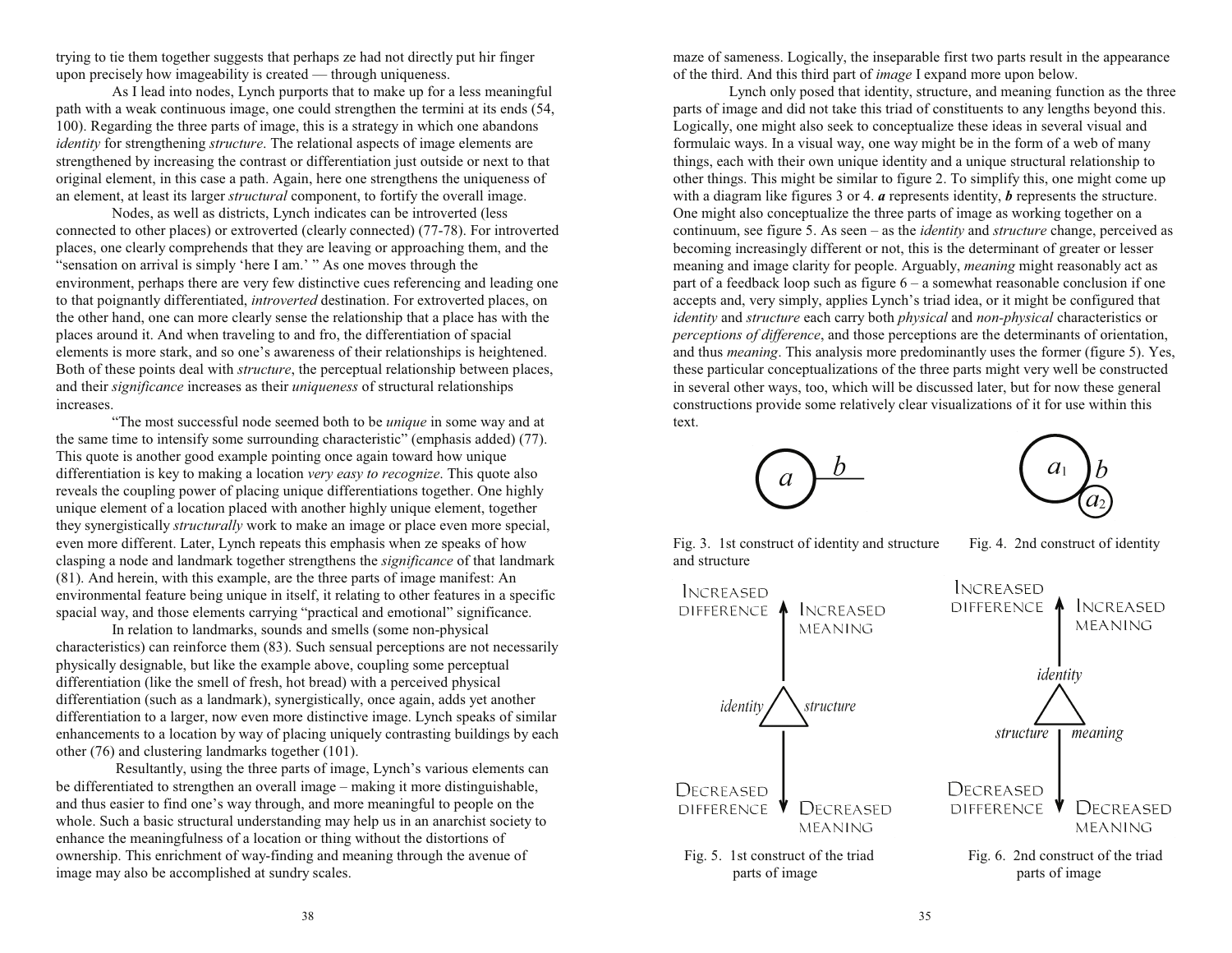trying to tie them together suggests that perhaps ze had not directly put hir finger upon precisely how imageability is created  $-$  through uniqueness.

As I lead into nodes, Lynch purports that to make up for a less meaningful path with a weak continuous image, one could strengthen the termini at its ends (54, 100). Regarding the three parts of image, this is a strategy in which one abandons *identity* for strengthening *structure*. The relational aspects of image elements are strengthened by increasing the contrast or differentiation just outside or next to that original element, in this case a path. Again, here one strengthens the uniqueness of an element, at least its larger *structural* component, to fortify the overall image.

Nodes, as well as districts, Lynch indicates can be introverted (less connected to other places) or extroverted (clearly connected) (77-78). For introverted places, one clearly comprehends that they are leaving or approaching them, and the "sensation on arrival is simply 'here I am.' " As one moves through the environment, perhaps there are very few distinctive cues referencing and leading one to that poignantly differentiated, *introverted* destination. For extroverted places, on the other hand, one can more clearly sense the relationship that a place has with the places around it. And when traveling to and fro, the differentiation of spacial elements is more stark, and so one's awareness of their relationships is heightened. Both of these points deal with *structure*, the perceptual relationship between places, and their *significance* increases as their *uniqueness* of structural relationships increases.

The most successful node seemed both to be *unique* in some way and at the same time to intensify some surrounding characteristic" (emphasis added)  $(77)$ . This quote is another good example pointing once again toward how unique differentiation is key to making a location *very easy to recognize*. This quote also reveals the coupling power of placing unique differentiations together. One highly unique element of a location placed with another highly unique element, together they synergistically *structurally* work to make an image or place even more special, even more different. Later, Lynch repeats this emphasis when ze speaks of how clasping a node and landmark together strengthens the *significance* of that landmark (81). And herein, with this example, are the three parts of image manifest: An environmental feature being unique in itself, it relating to other features in a specific spacial way, and those elements carrying "practical and emotional" significance.

In relation to landmarks, sounds and smells (some non-physical characteristics) can reinforce them (83). Such sensual perceptions are not necessarily physically designable, but like the example above, coupling some perceptual differentiation (like the smell of fresh, hot bread) with a perceived physical differentiation (such as a landmark), synergistically, once again, adds yet another differentiation to a larger, now even more distinctive image. Lynch speaks of similar enhancements to a location by way of placing uniquely contrasting buildings by each other (76) and clustering landmarks together (101).

Resultantly, using the three parts of image, Lynch's various elements can be differentiated to strengthen an overall image – making it more distinguishable, and thus easier to find one's way through, and more meaningful to people on the whole. Such a basic structural understanding may help us in an anarchist society to enhance the meaningfulness of a location or thing without the distortions of ownership. This enrichment of way-finding and meaning through the avenue of image may also be accomplished at sundry scales.

maze of sameness. Logically, the inseparable first two parts result in the appearance of the third. And this third part of *image* I expand more upon below.

Lynch only posed that identity, structure, and meaning function as the three parts of image and did not take this triad of constituents to any lengths beyond this. Logically, one might also seek to conceptualize these ideas in several visual and formulaic ways. In a visual way, one way might be in the form of a web of many things, each with their own unique identity and a unique structural relationship to other things. This might be similar to figure 2. To simplify this, one might come up with a diagram like figures 3 or 4. *<sup>a</sup>* represents identity, *b* represents the structure. One might also conceptualize the three parts of image as working together on a continuum, see figure 5. As seen – as the *identity* and *structure* change, perceived as becoming increasingly different or not, this is the determinant of greater or lesser meaning and image clarity for people. Arguably, *meaning* might reasonably act as part of a feedback loop such as figure  $6 - a$  somewhat reasonable conclusion if one accepts and, very simply, applies Lynch's triad idea, or it might be configured that *identity* and *structure* each carry both *physical* and *non-physical* characteristics or *perceptions of difference*, and those perceptions are the determinants of orientation, and thus *meaning*. This analysis more predominantly uses the former (figure 5). Yes, these particular conceptualizations of the three parts might very well be constructed in several other ways, too, which will be discussed later, but for now these general constructions provide some relatively clear visualizations of it for use within this text.





Fig. 3. 1st construct of identity and structure Fig. 4. 2nd construct of identity and structure